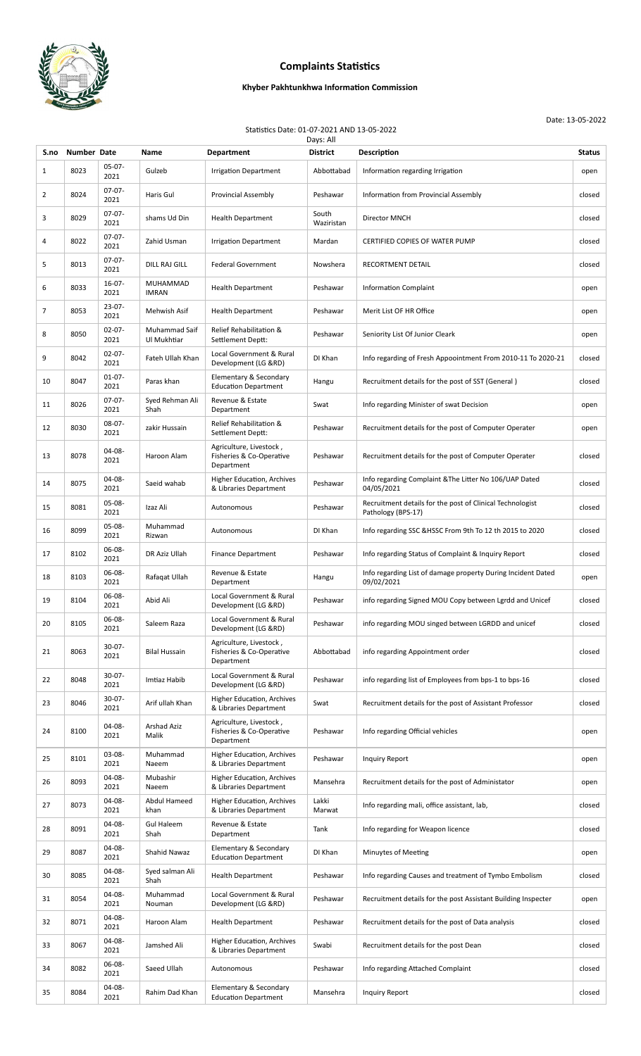

## **Complaints Statistics**

## **Khyber Pakhtunkhwa Information Commission**

Date: 13-05-2022

Statistics Date: 01-07-2021 AND 13-05-2022

| Days: All    |             |                     |                              |                                                                   |                     |                                                                                 |               |  |  |
|--------------|-------------|---------------------|------------------------------|-------------------------------------------------------------------|---------------------|---------------------------------------------------------------------------------|---------------|--|--|
| S.no         | Number Date |                     | Name                         | <b>Department</b>                                                 | <b>District</b>     | Description                                                                     | <b>Status</b> |  |  |
| $\mathbf{1}$ | 8023        | 05-07-<br>2021      | Gulzeb                       | <b>Irrigation Department</b>                                      | Abbottabad          | Information regarding Irrigation                                                | open          |  |  |
| 2            | 8024        | $07-07-$<br>2021    | Haris Gul                    | <b>Provincial Assembly</b>                                        | Peshawar            | Information from Provincial Assembly                                            | closed        |  |  |
| 3            | 8029        | $07-07-$<br>2021    | shams Ud Din                 | <b>Health Department</b>                                          | South<br>Waziristan | Director MNCH                                                                   | closed        |  |  |
| 4            | 8022        | $07-07-$<br>2021    | Zahid Usman                  | <b>Irrigation Department</b>                                      | Mardan              | CERTIFIED COPIES OF WATER PUMP                                                  | closed        |  |  |
| 5            | 8013        | $07-07-$<br>2021    | DILL RAJ GILL                | <b>Federal Government</b>                                         | Nowshera            | RECORTMENT DETAIL                                                               | closed        |  |  |
| 6            | 8033        | $16 - 07 -$<br>2021 | MUHAMMAD<br>IMRAN            | <b>Health Department</b>                                          | Peshawar            | <b>Information Complaint</b>                                                    | open          |  |  |
| 7            | 8053        | $23 - 07 -$<br>2021 | Mehwish Asif                 | <b>Health Department</b>                                          | Peshawar            | Merit List OF HR Office                                                         | open          |  |  |
| 8            | 8050        | $02 - 07 -$<br>2021 | Muhammad Saif<br>Ul Mukhtiar | Relief Rehabilitation &<br>Settlement Deptt:                      | Peshawar            | Seniority List Of Junior Cleark                                                 | open          |  |  |
| 9            | 8042        | $02-07-$<br>2021    | Fateh Ullah Khan             | Local Government & Rural<br>Development (LG &RD)                  | DI Khan             | Info regarding of Fresh Appoointment From 2010-11 To 2020-21                    | closed        |  |  |
| 10           | 8047        | $01-07-$<br>2021    | Paras khan                   | Elementary & Secondary<br><b>Education Department</b>             | Hangu               | Recruitment details for the post of SST (General)                               | closed        |  |  |
| 11           | 8026        | $07-07-$<br>2021    | Syed Rehman Ali<br>Shah      | Revenue & Estate<br>Department                                    | Swat                | Info regarding Minister of swat Decision                                        | open          |  |  |
| 12           | 8030        | $08-07-$<br>2021    | zakir Hussain                | Relief Rehabilitation &<br>Settlement Deptt:                      | Peshawar            | Recruitment details for the post of Computer Operater                           | open          |  |  |
| 13           | 8078        | 04-08-<br>2021      | Haroon Alam                  | Agriculture, Livestock,<br>Fisheries & Co-Operative<br>Department | Peshawar            | Recruitment details for the post of Computer Operater                           | closed        |  |  |
| 14           | 8075        | 04-08-<br>2021      | Saeid wahab                  | Higher Education, Archives<br>& Libraries Department              | Peshawar            | Info regarding Complaint & The Litter No 106/UAP Dated<br>04/05/2021            | closed        |  |  |
| 15           | 8081        | 05-08-<br>2021      | Izaz Ali                     | Autonomous                                                        | Peshawar            | Recruitment details for the post of Clinical Technologist<br>Pathology (BPS-17) | closed        |  |  |
| 16           | 8099        | 05-08-<br>2021      | Muhammad<br>Rizwan           | Autonomous                                                        | DI Khan             | Info regarding SSC & HSSC From 9th To 12 th 2015 to 2020                        | closed        |  |  |
| 17           | 8102        | 06-08-<br>2021      | DR Aziz Ullah                | <b>Finance Department</b>                                         | Peshawar            | Info regarding Status of Complaint & Inquiry Report                             | closed        |  |  |
| 18           | 8103        | 06-08-<br>2021      | Rafaqat Ullah                | Revenue & Estate<br>Department                                    | Hangu               | Info regarding List of damage property During Incident Dated<br>09/02/2021      | open          |  |  |
| 19           | 8104        | 06-08-<br>2021      | Abid Ali                     | <b>Local Government &amp; Rural</b><br>Development (LG &RD)       | Peshawar            | info regarding Signed MOU Copy between Lgrdd and Unicef                         | closed        |  |  |
| 20           | 8105        | 06-08-<br>2021      | Saleem Raza                  | Local Government & Rural<br>Development (LG &RD)                  | Peshawar            | info regarding MOU singed between LGRDD and unicef                              | closed        |  |  |
| 21           | 8063        | $30-07-$<br>2021    | <b>Bilal Hussain</b>         | Agriculture, Livestock,<br>Fisheries & Co-Operative<br>Department | Abbottabad          | info regarding Appointment order                                                | closed        |  |  |
| 22           | 8048        | 30-07-<br>2021      | Imtiaz Habib                 | Local Government & Rural<br>Development (LG &RD)                  | Peshawar            | info regarding list of Employees from bps-1 to bps-16                           | closed        |  |  |
| 23           | 8046        | $30-07-$<br>2021    | Arif ullah Khan              | <b>Higher Education, Archives</b><br>& Libraries Department       | Swat                | Recruitment details for the post of Assistant Professor                         | closed        |  |  |
| 24           | 8100        | 04-08-<br>2021      | <b>Arshad Aziz</b><br>Malik  | Agriculture, Livestock,<br>Fisheries & Co-Operative<br>Department | Peshawar            | Info regarding Official vehicles                                                | open          |  |  |
| 25           | 8101        | 03-08-<br>2021      | Muhammad<br>Naeem            | <b>Higher Education, Archives</b><br>& Libraries Department       | Peshawar            | <b>Inquiry Report</b>                                                           | open          |  |  |
| 26           | 8093        | 04-08-<br>2021      | Mubashir<br>Naeem            | <b>Higher Education, Archives</b><br>& Libraries Department       | Mansehra            | Recruitment details for the post of Administator                                | open          |  |  |
| 27           | 8073        | 04-08-<br>2021      | Abdul Hameed<br>khan         | Higher Education, Archives<br>& Libraries Department              | Lakki<br>Marwat     | Info regarding mali, office assistant, lab,                                     | closed        |  |  |
| 28           | 8091        | 04-08-<br>2021      | <b>Gul Haleem</b><br>Shah    | Revenue & Estate<br>Department                                    | Tank                | Info regarding for Weapon licence                                               | closed        |  |  |
| 29           | 8087        | 04-08-<br>2021      | Shahid Nawaz                 | Elementary & Secondary<br><b>Education Department</b>             | DI Khan             | Minuytes of Meeting                                                             | open          |  |  |
| 30           | 8085        | 04-08-<br>2021      | Syed salman Ali<br>Shah      | <b>Health Department</b>                                          | Peshawar            | Info regarding Causes and treatment of Tymbo Embolism                           | closed        |  |  |
| 31           | 8054        | 04-08-<br>2021      | Muhammad<br>Nouman           | Local Government & Rural<br>Development (LG &RD)                  | Peshawar            | Recruitment details for the post Assistant Building Inspecter                   | open          |  |  |
| 32           | 8071        | 04-08-<br>2021      | Haroon Alam                  | <b>Health Department</b>                                          | Peshawar            | Recruitment details for the post of Data analysis                               | closed        |  |  |
| 33           | 8067        | 04-08-<br>2021      | Jamshed Ali                  | <b>Higher Education, Archives</b><br>& Libraries Department       | Swabi               | Recruitment details for the post Dean                                           | closed        |  |  |
| 34           | 8082        | 06-08-<br>2021      | Saeed Ullah                  | Autonomous                                                        | Peshawar            | Info regarding Attached Complaint                                               | closed        |  |  |
| 35           | 8084        | 04-08-<br>2021      | Rahim Dad Khan               | Elementary & Secondary<br><b>Education Department</b>             | Mansehra            | <b>Inquiry Report</b>                                                           | closed        |  |  |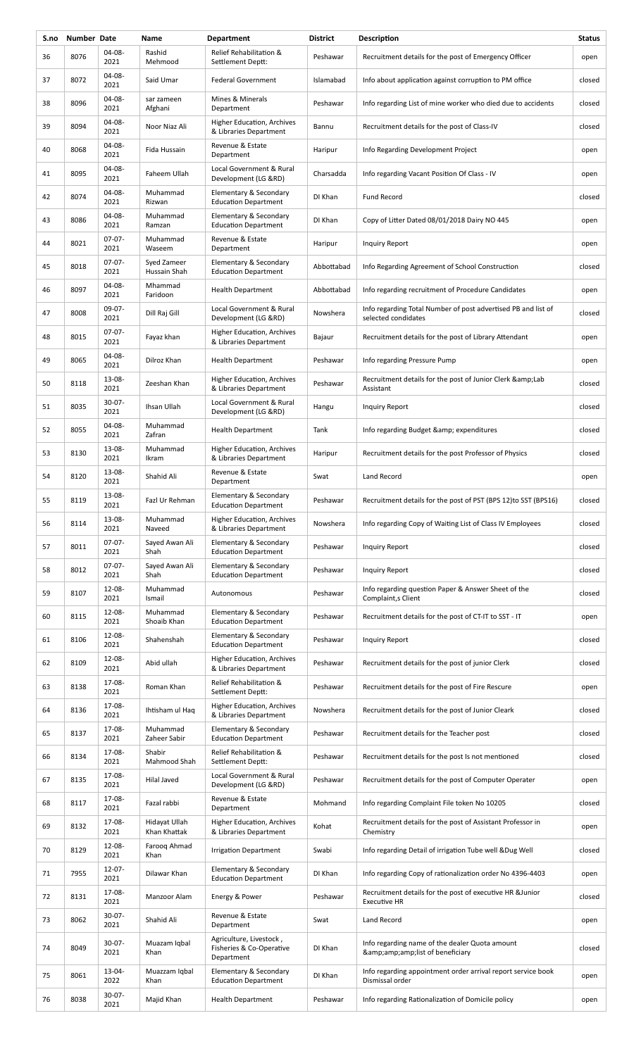| S.no | Number Date |                     | Name                          | <b>Department</b>                                                 | <b>District</b> | Description                                                                          | <b>Status</b> |
|------|-------------|---------------------|-------------------------------|-------------------------------------------------------------------|-----------------|--------------------------------------------------------------------------------------|---------------|
| 36   | 8076        | 04-08-<br>2021      | Rashid<br>Mehmood             | Relief Rehabilitation &<br>Settlement Deptt:                      | Peshawar        | Recruitment details for the post of Emergency Officer                                | open          |
| 37   | 8072        | 04-08-<br>2021      | Said Umar                     | <b>Federal Government</b>                                         | Islamabad       | Info about application against corruption to PM office                               | closed        |
| 38   | 8096        | 04-08-<br>2021      | sar zameen<br>Afghani         | Mines & Minerals<br>Department                                    | Peshawar        | Info regarding List of mine worker who died due to accidents                         | closed        |
| 39   | 8094        | 04-08-<br>2021      | Noor Niaz Ali                 | Higher Education, Archives<br>& Libraries Department              | Bannu           | Recruitment details for the post of Class-IV                                         | closed        |
| 40   | 8068        | 04-08-<br>2021      | Fida Hussain                  | Revenue & Estate<br>Department                                    | Haripur         | Info Regarding Development Project                                                   | open          |
| 41   | 8095        | 04-08-<br>2021      | Faheem Ullah                  | Local Government & Rural<br>Development (LG &RD)                  | Charsadda       | Info regarding Vacant Position Of Class - IV                                         | open          |
| 42   | 8074        | 04-08-<br>2021      | Muhammad<br>Rizwan            | Elementary & Secondary<br><b>Education Department</b>             | DI Khan         | <b>Fund Record</b>                                                                   | closed        |
| 43   | 8086        | 04-08-<br>2021      | Muhammad<br>Ramzan            | Elementary & Secondary<br><b>Education Department</b>             | DI Khan         | Copy of Litter Dated 08/01/2018 Dairy NO 445                                         | open          |
| 44   | 8021        | $07-07-$<br>2021    | Muhammad<br>Waseem            | Revenue & Estate<br>Department                                    | Haripur         | Inquiry Report                                                                       | open          |
| 45   | 8018        | $07-07-$<br>2021    | Syed Zameer<br>Hussain Shah   | Elementary & Secondary<br><b>Education Department</b>             | Abbottabad      | Info Regarding Agreement of School Construction                                      | closed        |
| 46   | 8097        | 04-08-<br>2021      | Mhammad<br>Faridoon           | <b>Health Department</b>                                          | Abbottabad      | Info regarding recruitment of Procedure Candidates                                   | open          |
| 47   | 8008        | 09-07-<br>2021      | Dill Raj Gill                 | Local Government & Rural<br>Development (LG &RD)                  | Nowshera        | Info regarding Total Number of post advertised PB and list of<br>selected condidates | closed        |
| 48   | 8015        | $07-07-$<br>2021    | Fayaz khan                    | Higher Education, Archives<br>& Libraries Department              | Bajaur          | Recruitment details for the post of Library Attendant                                | open          |
| 49   | 8065        | 04-08-<br>2021      | Dilroz Khan                   | <b>Health Department</b>                                          | Peshawar        | Info regarding Pressure Pump                                                         | open          |
| 50   | 8118        | 13-08-<br>2021      | Zeeshan Khan                  | Higher Education, Archives<br>& Libraries Department              | Peshawar        | Recruitment details for the post of Junior Clerk & amp; Lab<br>Assistant             | closed        |
| 51   | 8035        | $30 - 07 -$<br>2021 | Ihsan Ullah                   | Local Government & Rural<br>Development (LG &RD)                  | Hangu           | Inquiry Report                                                                       | closed        |
| 52   | 8055        | 04-08-<br>2021      | Muhammad<br>Zafran            | <b>Health Department</b>                                          | Tank            | Info regarding Budget & expenditures                                                 | closed        |
| 53   | 8130        | 13-08-<br>2021      | Muhammad<br>Ikram             | <b>Higher Education, Archives</b><br>& Libraries Department       | Haripur         | Recruitment details for the post Professor of Physics                                | closed        |
| 54   | 8120        | 13-08-<br>2021      | Shahid Ali                    | Revenue & Estate<br>Department                                    | Swat            | Land Record                                                                          | open          |
| 55   | 8119        | 13-08-<br>2021      | Fazl Ur Rehman                | Elementary & Secondary<br><b>Education Department</b>             | Peshawar        | Recruitment details for the post of PST (BPS 12)to SST (BPS16)                       | closed        |
| 56   | 8114        | 13-08-<br>2021      | Muhammad<br>Naveed            | Higher Education, Archives<br>& Libraries Department              | Nowshera        | Info regarding Copy of Waiting List of Class IV Employees                            | closed        |
| 57   | 8011        | $07-07-$<br>2021    | Sayed Awan Ali<br>Shah        | Elementary & Secondary<br><b>Education Department</b>             | Peshawar        | Inquiry Report                                                                       | closed        |
| 58   | 8012        | $07-07-$<br>2021    | Sayed Awan Ali<br>Shah        | Elementary & Secondary<br><b>Education Department</b>             | Peshawar        | Inquiry Report                                                                       | closed        |
| 59   | 8107        | 12-08-<br>2021      | Muhammad<br>Ismail            | Autonomous                                                        | Peshawar        | Info regarding question Paper & Answer Sheet of the<br>Complaint, sClient            | closed        |
| 60   | 8115        | 12-08-<br>2021      | Muhammad<br>Shoaib Khan       | Elementary & Secondary<br><b>Education Department</b>             | Peshawar        | Recruitment details for the post of CT-IT to SST - IT                                | open          |
| 61   | 8106        | 12-08-<br>2021      | Shahenshah                    | Elementary & Secondary<br><b>Education Department</b>             | Peshawar        | Inquiry Report                                                                       | closed        |
| 62   | 8109        | 12-08-<br>2021      | Abid ullah                    | Higher Education, Archives<br>& Libraries Department              | Peshawar        | Recruitment details for the post of junior Clerk                                     | closed        |
| 63   | 8138        | 17-08-<br>2021      | Roman Khan                    | Relief Rehabilitation &<br>Settlement Deptt:                      | Peshawar        | Recruitment details for the post of Fire Rescure                                     | open          |
| 64   | 8136        | 17-08-<br>2021      | Ihtisham ul Hag               | Higher Education, Archives<br>& Libraries Department              | Nowshera        | Recruitment details for the post of Junior Cleark                                    | closed        |
| 65   | 8137        | 17-08-<br>2021      | Muhammad<br>Zaheer Sabir      | Elementary & Secondary<br><b>Education Department</b>             | Peshawar        | Recruitment details for the Teacher post                                             | closed        |
| 66   | 8134        | 17-08-<br>2021      | Shabir<br>Mahmood Shah        | Relief Rehabilitation &<br>Settlement Deptt:                      | Peshawar        | Recruitment details for the post Is not mentioned                                    | closed        |
| 67   | 8135        | 17-08-<br>2021      | Hilal Javed                   | Local Government & Rural<br>Development (LG &RD)                  | Peshawar        | Recruitment details for the post of Computer Operater                                | open          |
| 68   | 8117        | 17-08-<br>2021      | Fazal rabbi                   | Revenue & Estate<br>Department                                    | Mohmand         | Info regarding Complaint File token No 10205                                         | closed        |
| 69   | 8132        | 17-08-<br>2021      | Hidayat Ullah<br>Khan Khattak | Higher Education, Archives<br>& Libraries Department              | Kohat           | Recruitment details for the post of Assistant Professor in<br>Chemistry              | open          |
| 70   | 8129        | 12-08-<br>2021      | Faroog Ahmad<br>Khan          | <b>Irrigation Department</b>                                      | Swabi           | Info regarding Detail of irrigation Tube well &Dug Well                              | closed        |
| 71   | 7955        | $12 - 07 -$<br>2021 | Dilawar Khan                  | Elementary & Secondary<br><b>Education Department</b>             | DI Khan         | Info regarding Copy of rationalization order No 4396-4403                            | open          |
| 72   | 8131        | 17-08-<br>2021      | Manzoor Alam                  | Energy & Power                                                    | Peshawar        | Recruitment details for the post of executive HR & Junior<br><b>Executive HR</b>     | closed        |
| 73   | 8062        | $30 - 07 -$<br>2021 | Shahid Ali                    | Revenue & Estate<br>Department                                    | Swat            | Land Record                                                                          | open          |
| 74   | 8049        | $30 - 07 -$<br>2021 | Muazam Iqbal<br>Khan          | Agriculture, Livestock,<br>Fisheries & Co-Operative<br>Department | DI Khan         | Info regarding name of the dealer Quota amount<br>&list of beneficiary               | closed        |
| 75   | 8061        | 13-04-<br>2022      | Muazzam Iqbal<br>Khan         | Elementary & Secondary<br><b>Education Department</b>             | DI Khan         | Info regarding appointment order arrival report service book<br>Dismissal order      | open          |
| 76   | 8038        | $30-07-$<br>2021    | Majid Khan                    | <b>Health Department</b>                                          | Peshawar        | Info regarding Rationalization of Domicile policy                                    | open          |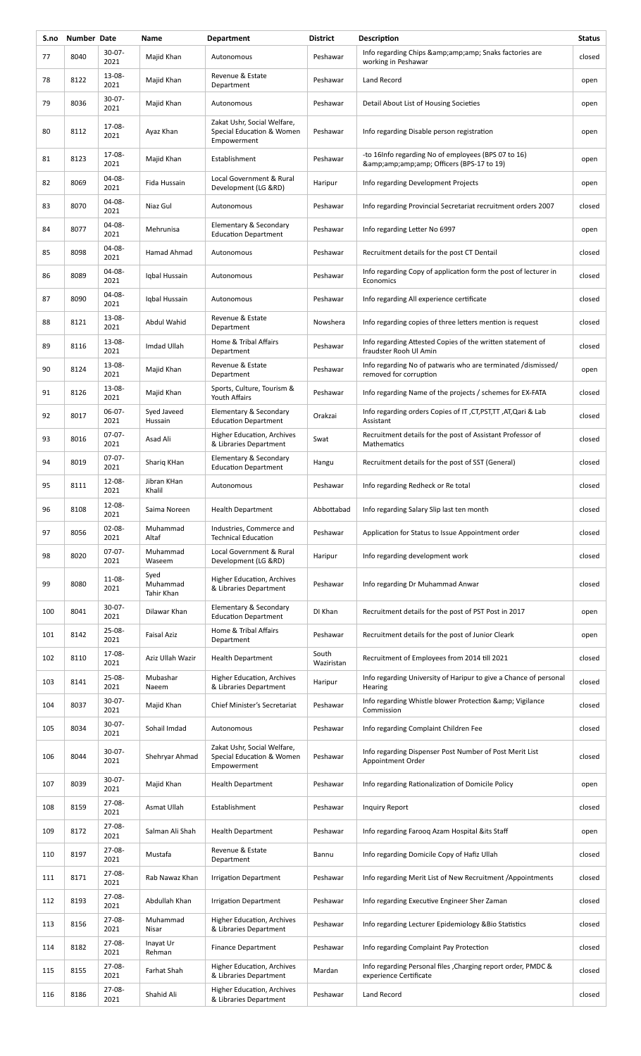| S.no | Number Date |                     | Name                           | <b>Department</b>                                                       | <b>District</b>     | Description                                                                            | <b>Status</b> |
|------|-------------|---------------------|--------------------------------|-------------------------------------------------------------------------|---------------------|----------------------------------------------------------------------------------------|---------------|
| 77   | 8040        | $30-07-$<br>2021    | Majid Khan                     | Autonomous                                                              | Peshawar            | Info regarding Chips & amp; amp; amp; Snaks factories are<br>working in Peshawar       | closed        |
| 78   | 8122        | 13-08-<br>2021      | Majid Khan                     | Revenue & Estate<br>Department                                          | Peshawar            | Land Record                                                                            | open          |
| 79   | 8036        | $30 - 07 -$<br>2021 | Majid Khan                     | Autonomous                                                              | Peshawar            | Detail About List of Housing Societies                                                 | open          |
| 80   | 8112        | 17-08-<br>2021      | Ayaz Khan                      | Zakat Ushr, Social Welfare,<br>Special Education & Women<br>Empowerment | Peshawar            | Info regarding Disable person registration                                             | open          |
| 81   | 8123        | 17-08-<br>2021      | Majid Khan                     | Establishment                                                           | Peshawar            | -to 16Info regarding No of employees (BPS 07 to 16)<br>& Officers (BPS-17 to 19)       | open          |
| 82   | 8069        | 04-08-<br>2021      | Fida Hussain                   | Local Government & Rural<br>Development (LG &RD)                        | Haripur             | Info regarding Development Projects                                                    | open          |
| 83   | 8070        | 04-08-<br>2021      | Niaz Gul                       | Autonomous                                                              | Peshawar            | Info regarding Provincial Secretariat recruitment orders 2007                          | closed        |
| 84   | 8077        | 04-08-<br>2021      | Mehrunisa                      | Elementary & Secondary<br><b>Education Department</b>                   | Peshawar            | Info regarding Letter No 6997                                                          | open          |
| 85   | 8098        | 04-08-<br>2021      | Hamad Ahmad                    | Autonomous                                                              | Peshawar            | Recruitment details for the post CT Dentail                                            | closed        |
| 86   | 8089        | 04-08-<br>2021      | Iqbal Hussain                  | Autonomous                                                              | Peshawar            | Info regarding Copy of application form the post of lecturer in<br>Economics           | closed        |
| 87   | 8090        | 04-08-<br>2021      | Iqbal Hussain                  | Autonomous                                                              | Peshawar            | Info regarding All experience certificate                                              | closed        |
| 88   | 8121        | 13-08-<br>2021      | Abdul Wahid                    | Revenue & Estate<br>Department                                          | Nowshera            | Info regarding copies of three letters mention is request                              | closed        |
| 89   | 8116        | 13-08-<br>2021      | Imdad Ullah                    | Home & Tribal Affairs<br>Department                                     | Peshawar            | Info regarding Attested Copies of the written statement of<br>fraudster Rooh Ul Amin   | closed        |
| 90   | 8124        | 13-08-<br>2021      | Majid Khan                     | Revenue & Estate<br>Department                                          | Peshawar            | Info regarding No of patwaris who are terminated /dismissed/<br>removed for corruption | open          |
| 91   | 8126        | 13-08-<br>2021      | Majid Khan                     | Sports, Culture, Tourism &<br>Youth Affairs                             | Peshawar            | Info regarding Name of the projects / schemes for EX-FATA                              | closed        |
| 92   | 8017        | $06-07-$<br>2021    | Syed Javeed<br>Hussain         | Elementary & Secondary<br><b>Education Department</b>                   | Orakzai             | Info regarding orders Copies of IT, CT, PST, TT, AT, Qari & Lab<br>Assistant           | closed        |
| 93   | 8016        | $07-07-$<br>2021    | Asad Ali                       | Higher Education, Archives<br>& Libraries Department                    | Swat                | Recruitment details for the post of Assistant Professor of<br>Mathematics              | closed        |
| 94   | 8019        | $07-07-$<br>2021    | Sharig KHan                    | Elementary & Secondary<br><b>Education Department</b>                   | Hangu               | Recruitment details for the post of SST (General)                                      | closed        |
| 95   | 8111        | 12-08-<br>2021      | Jibran KHan<br>Khalil          | Autonomous                                                              | Peshawar            | Info regarding Redheck or Re total                                                     | closed        |
| 96   | 8108        | 12-08-<br>2021      | Saima Noreen                   | <b>Health Department</b>                                                | Abbottabad          | Info regarding Salary Slip last ten month                                              | closed        |
| 97   | 8056        | $02 - 08 -$<br>2021 | Muhammad<br>Altaf              | Industries, Commerce and<br><b>Technical Education</b>                  | Peshawar            | Application for Status to Issue Appointment order                                      | closed        |
| 98   | 8020        | $07-07-$<br>2021    | Muhammad<br>Waseem             | Local Government & Rural<br>Development (LG &RD)                        | Haripur             | Info regarding development work                                                        | closed        |
| 99   | 8080        | 11-08-<br>2021      | Syed<br>Muhammad<br>Tahir Khan | Higher Education, Archives<br>& Libraries Department                    | Peshawar            | Info regarding Dr Muhammad Anwar                                                       | closed        |
| 100  | 8041        | $30 - 07 -$<br>2021 | Dilawar Khan                   | Elementary & Secondary<br><b>Education Department</b>                   | DI Khan             | Recruitment details for the post of PST Post in 2017                                   | open          |
| 101  | 8142        | 25-08-<br>2021      | <b>Faisal Aziz</b>             | Home & Tribal Affairs<br>Department                                     | Peshawar            | Recruitment details for the post of Junior Cleark                                      | open          |
| 102  | 8110        | 17-08-<br>2021      | Aziz Ullah Wazir               | <b>Health Department</b>                                                | South<br>Waziristan | Recruitment of Employees from 2014 till 2021                                           | closed        |
| 103  | 8141        | $25-08-$<br>2021    | Mubashar<br>Naeem              | Higher Education, Archives<br>& Libraries Department                    | Haripur             | Info regarding University of Haripur to give a Chance of personal<br>Hearing           | closed        |
| 104  | 8037        | 30-07-<br>2021      | Majid Khan                     | <b>Chief Minister's Secretariat</b>                                     | Peshawar            | Info regarding Whistle blower Protection & amp; Vigilance<br>Commission                | closed        |
| 105  | 8034        | $30-07-$<br>2021    | Sohail Imdad                   | Autonomous                                                              | Peshawar            | Info regarding Complaint Children Fee                                                  | closed        |
| 106  | 8044        | $30-07-$<br>2021    | Shehryar Ahmad                 | Zakat Ushr, Social Welfare,<br>Special Education & Women<br>Empowerment | Peshawar            | Info regarding Dispenser Post Number of Post Merit List<br>Appointment Order           | closed        |
| 107  | 8039        | $30-07-$<br>2021    | Majid Khan                     | <b>Health Department</b>                                                | Peshawar            | Info regarding Rationalization of Domicile Policy                                      | open          |
| 108  | 8159        | 27-08-<br>2021      | Asmat Ullah                    | Establishment                                                           | Peshawar            | Inquiry Report                                                                         | closed        |
| 109  | 8172        | 27-08-<br>2021      | Salman Ali Shah                | <b>Health Department</b>                                                | Peshawar            | Info regarding Farooq Azam Hospital & its Staff                                        | open          |
| 110  | 8197        | 27-08-<br>2021      | Mustafa                        | Revenue & Estate<br>Department                                          | Bannu               | Info regarding Domicile Copy of Hafiz Ullah                                            | closed        |
| 111  | 8171        | 27-08-<br>2021      | Rab Nawaz Khan                 | <b>Irrigation Department</b>                                            | Peshawar            | Info regarding Merit List of New Recruitment / Appointments                            | closed        |
| 112  | 8193        | 27-08-<br>2021      | Abdullah Khan                  | <b>Irrigation Department</b>                                            | Peshawar            | Info regarding Executive Engineer Sher Zaman                                           | closed        |
| 113  | 8156        | 27-08-<br>2021      | Muhammad<br>Nisar              | Higher Education, Archives<br>& Libraries Department                    | Peshawar            | Info regarding Lecturer Epidemiology & Bio Statistics                                  | closed        |
| 114  | 8182        | 27-08-<br>2021      | Inayat Ur<br>Rehman            | <b>Finance Department</b>                                               | Peshawar            | Info regarding Complaint Pay Protection                                                | closed        |
| 115  | 8155        | 27-08-<br>2021      | Farhat Shah                    | Higher Education, Archives<br>& Libraries Department                    | Mardan              | Info regarding Personal files, Charging report order, PMDC &<br>experience Certificate | closed        |
| 116  | 8186        | 27-08-<br>2021      | Shahid Ali                     | Higher Education, Archives<br>& Libraries Department                    | Peshawar            | Land Record                                                                            | closed        |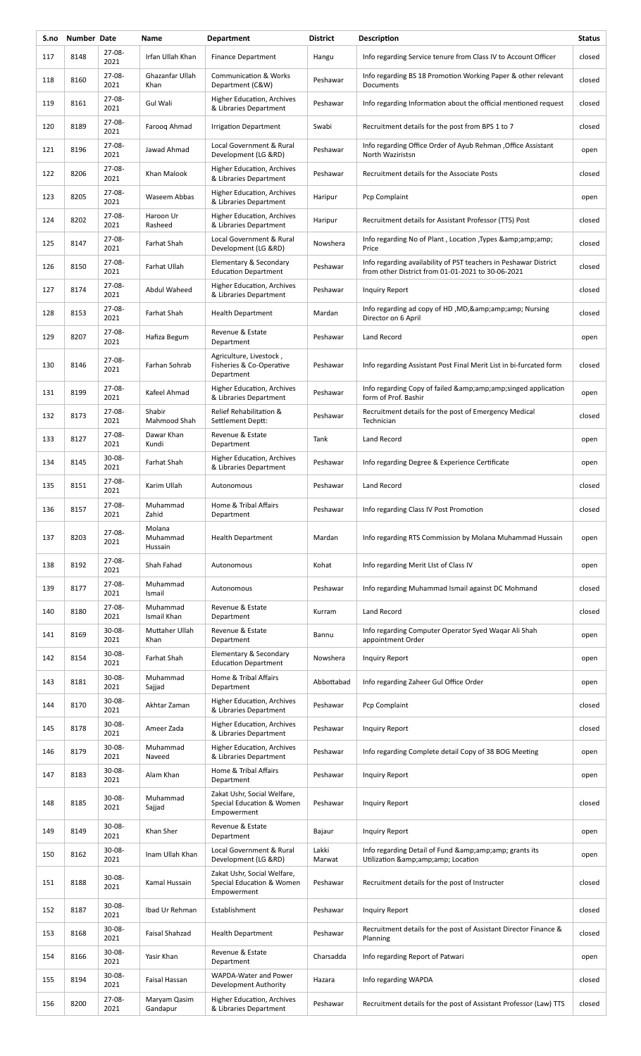| S.no | Number Date |                     | Name                          | <b>Department</b>                                                       | <b>District</b> | Description                                                                                                           | <b>Status</b> |
|------|-------------|---------------------|-------------------------------|-------------------------------------------------------------------------|-----------------|-----------------------------------------------------------------------------------------------------------------------|---------------|
| 117  | 8148        | 27-08-<br>2021      | Irfan Ullah Khan              | <b>Finance Department</b>                                               | Hangu           | Info regarding Service tenure from Class IV to Account Officer                                                        | closed        |
| 118  | 8160        | $27 - 08 -$<br>2021 | Ghazanfar Ullah<br>Khan       | <b>Communication &amp; Works</b><br>Department (C&W)                    | Peshawar        | Info regarding BS 18 Promotion Working Paper & other relevant<br>Documents                                            | closed        |
| 119  | 8161        | 27-08-<br>2021      | Gul Wali                      | <b>Higher Education, Archives</b><br>& Libraries Department             | Peshawar        | Info regarding Information about the official mentioned request                                                       | closed        |
| 120  | 8189        | 27-08-<br>2021      | Faroog Ahmad                  | <b>Irrigation Department</b>                                            | Swabi           | Recruitment details for the post from BPS 1 to 7                                                                      | closed        |
| 121  | 8196        | 27-08-<br>2021      | Jawad Ahmad                   | Local Government & Rural<br>Development (LG &RD)                        | Peshawar        | Info regarding Office Order of Ayub Rehman , Office Assistant<br>North Waziristsn                                     | open          |
| 122  | 8206        | 27-08-<br>2021      | Khan Malook                   | Higher Education, Archives<br>& Libraries Department                    | Peshawar        | Recruitment details for the Associate Posts                                                                           | closed        |
| 123  | 8205        | 27-08-<br>2021      | Waseem Abbas                  | Higher Education, Archives<br>& Libraries Department                    | Haripur         | Pcp Complaint                                                                                                         | open          |
| 124  | 8202        | 27-08-<br>2021      | Haroon Ur<br>Rasheed          | Higher Education, Archives<br>& Libraries Department                    | Haripur         | Recruitment details for Assistant Professor (TTS) Post                                                                | closed        |
| 125  | 8147        | 27-08-<br>2021      | Farhat Shah                   | Local Government & Rural<br>Development (LG &RD)                        | Nowshera        | Info regarding No of Plant, Location, Types & info<br>Price                                                           | closed        |
| 126  | 8150        | $27 - 08 -$<br>2021 | Farhat Ullah                  | Elementary & Secondary<br><b>Education Department</b>                   | Peshawar        | Info regarding availability of PST teachers in Peshawar District<br>from other District from 01-01-2021 to 30-06-2021 | closed        |
| 127  | 8174        | $27 - 08 -$<br>2021 | Abdul Waheed                  | Higher Education, Archives<br>& Libraries Department                    | Peshawar        | <b>Inquiry Report</b>                                                                                                 | closed        |
| 128  | 8153        | 27-08-<br>2021      | <b>Farhat Shah</b>            | <b>Health Department</b>                                                | Mardan          | Info regarding ad copy of HD, MD, & amp; amp; amp; Nursing<br>Director on 6 April                                     | closed        |
| 129  | 8207        | 27-08-<br>2021      | Hafiza Begum                  | Revenue & Estate<br>Department                                          | Peshawar        | Land Record                                                                                                           | open          |
| 130  | 8146        | $27 - 08 -$<br>2021 | Farhan Sohrab                 | Agriculture, Livestock,<br>Fisheries & Co-Operative<br>Department       | Peshawar        | Info regarding Assistant Post Final Merit List in bi-furcated form                                                    | closed        |
| 131  | 8199        | $27 - 08 -$<br>2021 | Kafeel Ahmad                  | Higher Education, Archives<br>& Libraries Department                    | Peshawar        | Info regarding Copy of failed &singed application<br>form of Prof. Bashir                                             | open          |
| 132  | 8173        | 27-08-<br>2021      | Shabir<br>Mahmood Shah        | Relief Rehabilitation &<br>Settlement Deptt:                            | Peshawar        | Recruitment details for the post of Emergency Medical<br>Technician                                                   | closed        |
| 133  | 8127        | 27-08-<br>2021      | Dawar Khan<br>Kundi           | Revenue & Estate<br>Department                                          | Tank            | Land Record                                                                                                           | open          |
| 134  | 8145        | $30 - 08 -$<br>2021 | Farhat Shah                   | Higher Education, Archives<br>& Libraries Department                    | Peshawar        | Info regarding Degree & Experience Certificate                                                                        | open          |
| 135  | 8151        | 27-08-<br>2021      | Karim Ullah                   | Autonomous                                                              | Peshawar        | Land Record                                                                                                           | closed        |
| 136  | 8157        | $27 - 08 -$<br>2021 | Muhammad<br>Zahid             | Home & Tribal Affairs<br>Department                                     | Peshawar        | Info regarding Class IV Post Promotion                                                                                | closed        |
| 137  | 8203        | $27 - 08 -$<br>2021 | Molana<br>Muhammad<br>Hussain | <b>Health Department</b>                                                | Mardan          | Info regarding RTS Commission by Molana Muhammad Hussain                                                              | open          |
| 138  | 8192        | $27 - 08 -$<br>2021 | Shah Fahad                    | Autonomous                                                              | Kohat           | Info regarding Merit LIst of Class IV                                                                                 | open          |
| 139  | 8177        | $27 - 08 -$<br>2021 | Muhammad<br>Ismail            | Autonomous                                                              | Peshawar        | Info regarding Muhammad Ismail against DC Mohmand                                                                     | closed        |
| 140  | 8180        | $27 - 08 -$<br>2021 | Muhammad<br>Ismail Khan       | Revenue & Estate<br>Department                                          | Kurram          | Land Record                                                                                                           | closed        |
| 141  | 8169        | 30-08-<br>2021      | Muttaher Ullah<br>Khan        | Revenue & Estate<br>Department                                          | Bannu           | Info regarding Computer Operator Syed Wagar Ali Shah<br>appointment Order                                             | open          |
| 142  | 8154        | 30-08-<br>2021      | Farhat Shah                   | Elementary & Secondary<br><b>Education Department</b>                   | Nowshera        | Inquiry Report                                                                                                        | open          |
| 143  | 8181        | $30 - 08 -$<br>2021 | Muhammad<br>Sajjad            | Home & Tribal Affairs<br>Department                                     | Abbottabad      | Info regarding Zaheer Gul Office Order                                                                                | open          |
| 144  | 8170        | $30 - 08 -$<br>2021 | Akhtar Zaman                  | Higher Education, Archives<br>& Libraries Department                    | Peshawar        | Pcp Complaint                                                                                                         | closed        |
| 145  | 8178        | 30-08-<br>2021      | Ameer Zada                    | Higher Education, Archives<br>& Libraries Department                    | Peshawar        | Inquiry Report                                                                                                        | closed        |
| 146  | 8179        | $30 - 08 -$<br>2021 | Muhammad<br>Naveed            | Higher Education, Archives<br>& Libraries Department                    | Peshawar        | Info regarding Complete detail Copy of 38 BOG Meeting                                                                 | open          |
| 147  | 8183        | 30-08-<br>2021      | Alam Khan                     | Home & Tribal Affairs<br>Department                                     | Peshawar        | Inquiry Report                                                                                                        | open          |
| 148  | 8185        | $30 - 08 -$<br>2021 | Muhammad<br>Sajjad            | Zakat Ushr, Social Welfare,<br>Special Education & Women<br>Empowerment | Peshawar        | Inquiry Report                                                                                                        | closed        |
| 149  | 8149        | 30-08-<br>2021      | Khan Sher                     | Revenue & Estate<br>Department                                          | Bajaur          | Inquiry Report                                                                                                        | open          |
| 150  | 8162        | 30-08-<br>2021      | Inam Ullah Khan               | Local Government & Rural<br>Development (LG &RD)                        | Lakki<br>Marwat | Info regarding Detail of Fund & amp; amp; amp; grants its<br>Utilization & Location                                   | open          |
| 151  | 8188        | 30-08-<br>2021      | Kamal Hussain                 | Zakat Ushr, Social Welfare,<br>Special Education & Women<br>Empowerment | Peshawar        | Recruitment details for the post of Instructer                                                                        | closed        |
| 152  | 8187        | 30-08-<br>2021      | Ibad Ur Rehman                | Establishment                                                           | Peshawar        | Inquiry Report                                                                                                        | closed        |
| 153  | 8168        | $30 - 08 -$<br>2021 | Faisal Shahzad                | <b>Health Department</b>                                                | Peshawar        | Recruitment details for the post of Assistant Director Finance &<br>Planning                                          | closed        |
| 154  | 8166        | 30-08-<br>2021      | Yasir Khan                    | Revenue & Estate<br>Department                                          | Charsadda       | Info regarding Report of Patwari                                                                                      | open          |
| 155  | 8194        | 30-08-<br>2021      | Faisal Hassan                 | WAPDA-Water and Power<br>Development Authority                          | Hazara          | Info regarding WAPDA                                                                                                  | closed        |
| 156  | 8200        | 27-08-<br>2021      | Maryam Qasim<br>Gandapur      | Higher Education, Archives<br>& Libraries Department                    | Peshawar        | Recruitment details for the post of Assistant Professor (Law) TTS                                                     | closed        |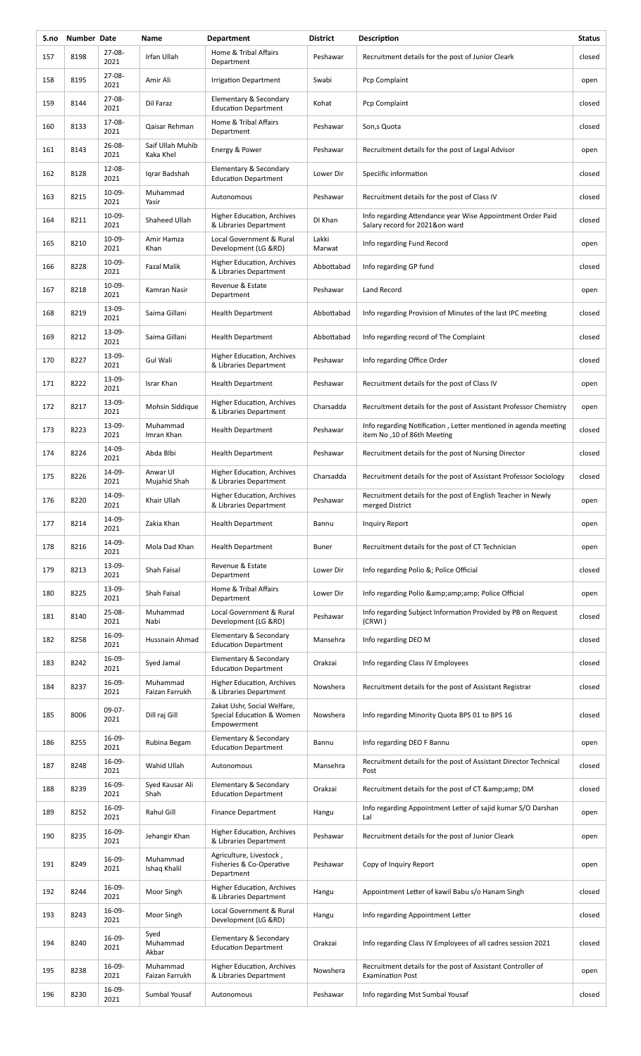| S.no | Number Date |                     | Name                          | <b>Department</b>                                                       | <b>District</b> | <b>Description</b>                                                                             | <b>Status</b> |
|------|-------------|---------------------|-------------------------------|-------------------------------------------------------------------------|-----------------|------------------------------------------------------------------------------------------------|---------------|
| 157  | 8198        | 27-08-<br>2021      | Irfan Ullah                   | Home & Tribal Affairs<br>Department                                     | Peshawar        | Recruitment details for the post of Junior Cleark                                              | closed        |
| 158  | 8195        | 27-08-<br>2021      | Amir Ali                      | <b>Irrigation Department</b>                                            | Swabi           | Pcp Complaint                                                                                  | open          |
| 159  | 8144        | 27-08-<br>2021      | Dil Faraz                     | Elementary & Secondary<br><b>Education Department</b>                   | Kohat           | Pcp Complaint                                                                                  | closed        |
| 160  | 8133        | 17-08-<br>2021      | Qaisar Rehman                 | Home & Tribal Affairs<br>Department                                     | Peshawar        | Son,s Quota                                                                                    | closed        |
| 161  | 8143        | $26 - 08 -$<br>2021 | Saif Ullah Muhib<br>Kaka Khel | Energy & Power                                                          | Peshawar        | Recruitment details for the post of Legal Advisor                                              | open          |
| 162  | 8128        | $12 - 08 -$<br>2021 | Igrar Badshah                 | Elementary & Secondary<br><b>Education Department</b>                   | Lower Dir       | Speciific information                                                                          | closed        |
| 163  | 8215        | $10-09-$<br>2021    | Muhammad<br>Yasir             | Autonomous                                                              | Peshawar        | Recruitment details for the post of Class IV                                                   | closed        |
| 164  | 8211        | 10-09-<br>2021      | Shaheed Ullah                 | <b>Higher Education, Archives</b><br>& Libraries Department             | DI Khan         | Info regarding Attendance year Wise Appointment Order Paid<br>Salary record for 2021&on ward   | closed        |
| 165  | 8210        | 10-09-<br>2021      | Amir Hamza<br>Khan            | Local Government & Rural<br>Development (LG &RD)                        | Lakki<br>Marwat | Info regarding Fund Record                                                                     | open          |
| 166  | 8228        | 10-09-<br>2021      | <b>Fazal Malik</b>            | Higher Education, Archives<br>& Libraries Department                    | Abbottabad      | Info regarding GP fund                                                                         | closed        |
| 167  | 8218        | 10-09-<br>2021      | Kamran Nasir                  | Revenue & Estate<br>Department                                          | Peshawar        | Land Record                                                                                    | open          |
| 168  | 8219        | 13-09-<br>2021      | Saima Gillani                 | <b>Health Department</b>                                                | Abbottabad      | Info regarding Provision of Minutes of the last IPC meeting                                    | closed        |
| 169  | 8212        | 13-09-<br>2021      | Saima Gillani                 | <b>Health Department</b>                                                | Abbottabad      | Info regarding record of The Complaint                                                         | closed        |
| 170  | 8227        | 13-09-<br>2021      | Gul Wali                      | Higher Education, Archives<br>& Libraries Department                    | Peshawar        | Info regarding Office Order                                                                    | closed        |
| 171  | 8222        | 13-09-<br>2021      | Israr Khan                    | <b>Health Department</b>                                                | Peshawar        | Recruitment details for the post of Class IV                                                   | open          |
| 172  | 8217        | 13-09-<br>2021      | Mohsin Siddique               | Higher Education, Archives<br>& Libraries Department                    | Charsadda       | Recruitment details for the post of Assistant Professor Chemistry                              | open          |
| 173  | 8223        | 13-09-<br>2021      | Muhammad<br>Imran Khan        | <b>Health Department</b>                                                | Peshawar        | Info regarding Notification, Letter mentioned in agenda meeting<br>item No, 10 of 86th Meeting | closed        |
| 174  | 8224        | 14-09-<br>2021      | Abda Blbi                     | <b>Health Department</b>                                                | Peshawar        | Recruitment details for the post of Nursing Director                                           | closed        |
| 175  | 8226        | 14-09-<br>2021      | Anwar Ul<br>Mujahid Shah      | <b>Higher Education, Archives</b><br>& Libraries Department             | Charsadda       | Recruitment details for the post of Assistant Professor Sociology                              | closed        |
| 176  | 8220        | 14-09-<br>2021      | Khair Ullah                   | <b>Higher Education, Archives</b><br>& Libraries Department             | Peshawar        | Recruitment details for the post of English Teacher in Newly<br>merged District                | open          |
| 177  | 8214        | 14-09-<br>2021      | Zakia Khan                    | <b>Health Department</b>                                                | Bannu           | Inquiry Report                                                                                 | open          |
| 178  | 8216        | 14-09-<br>2021      | Mola Dad Khan                 | <b>Health Department</b>                                                | <b>Buner</b>    | Recruitment details for the post of CT Technician                                              | open          |
| 179  | 8213        | 13-09-<br>2021      | Shah Faisal                   | Revenue & Estate<br>Department                                          | Lower Dir       | Info regarding Polio &; Police Official                                                        | closed        |
| 180  | 8225        | 13-09-<br>2021      | Shah Faisal                   | Home & Tribal Affairs<br>Department                                     | Lower Dir       | Info regarding Polio & Police Official                                                         | open          |
| 181  | 8140        | 25-08-<br>2021      | Muhammad<br>Nabi              | Local Government & Rural<br>Development (LG &RD)                        | Peshawar        | Info regarding Subject Information Provided by PB on Request<br>(CRWI)                         | closed        |
| 182  | 8258        | 16-09-<br>2021      | Hussnain Ahmad                | Elementary & Secondary<br><b>Education Department</b>                   | Mansehra        | Info regarding DEO M                                                                           | closed        |
| 183  | 8242        | 16-09-<br>2021      | Syed Jamal                    | Elementary & Secondary<br><b>Education Department</b>                   | Orakzai         | Info regarding Class IV Employees                                                              | closed        |
| 184  | 8237        | 16-09-<br>2021      | Muhammad<br>Faizan Farrukh    | Higher Education, Archives<br>& Libraries Department                    | Nowshera        | Recruitment details for the post of Assistant Registrar                                        | closed        |
| 185  | 8006        | 09-07-<br>2021      | Dill raj Gill                 | Zakat Ushr, Social Welfare,<br>Special Education & Women<br>Empowerment | Nowshera        | Info regarding Minority Quota BPS 01 to BPS 16                                                 | closed        |
| 186  | 8255        | 16-09-<br>2021      | Rubina Begam                  | Elementary & Secondary<br><b>Education Department</b>                   | Bannu           | Info regarding DEO F Bannu                                                                     | open          |
| 187  | 8248        | 16-09-<br>2021      | Wahid Ullah                   | Autonomous                                                              | Mansehra        | Recruitment details for the post of Assistant Director Technical<br>Post                       | closed        |
| 188  | 8239        | 16-09-<br>2021      | Syed Kausar Ali<br>Shah       | Elementary & Secondary<br><b>Education Department</b>                   | Orakzai         | Recruitment details for the post of CT & amp; amp; DM                                          | closed        |
| 189  | 8252        | 16-09-<br>2021      | Rahul Gill                    | <b>Finance Department</b>                                               | Hangu           | Info regarding Appointment Letter of sajid kumar S/O Darshan<br>Lal                            | open          |
| 190  | 8235        | 16-09-<br>2021      | Jehangir Khan                 | <b>Higher Education, Archives</b><br>& Libraries Department             | Peshawar        | Recruitment details for the post of Junior Cleark                                              | open          |
| 191  | 8249        | 16-09-<br>2021      | Muhammad<br>Ishaq Khalil      | Agriculture, Livestock,<br>Fisheries & Co-Operative<br>Department       | Peshawar        | Copy of Inquiry Report                                                                         | open          |
| 192  | 8244        | 16-09-<br>2021      | Moor Singh                    | <b>Higher Education, Archives</b><br>& Libraries Department             | Hangu           | Appointment Letter of kawil Babu s/o Hanam Singh                                               | closed        |
| 193  | 8243        | 16-09-<br>2021      | Moor Singh                    | Local Government & Rural<br>Development (LG &RD)                        | Hangu           | Info regarding Appointment Letter                                                              | closed        |
| 194  | 8240        | 16-09-<br>2021      | Syed<br>Muhammad<br>Akbar     | Elementary & Secondary<br><b>Education Department</b>                   | Orakzai         | Info regarding Class IV Employees of all cadres session 2021                                   | closed        |
| 195  | 8238        | 16-09-<br>2021      | Muhammad<br>Faizan Farrukh    | <b>Higher Education, Archives</b><br>& Libraries Department             | Nowshera        | Recruitment details for the post of Assistant Controller of<br><b>Examination Post</b>         | open          |
| 196  | 8230        | 16-09-<br>2021      | Sumbal Yousaf                 | Autonomous                                                              | Peshawar        | Info regarding Mst Sumbal Yousaf                                                               | closed        |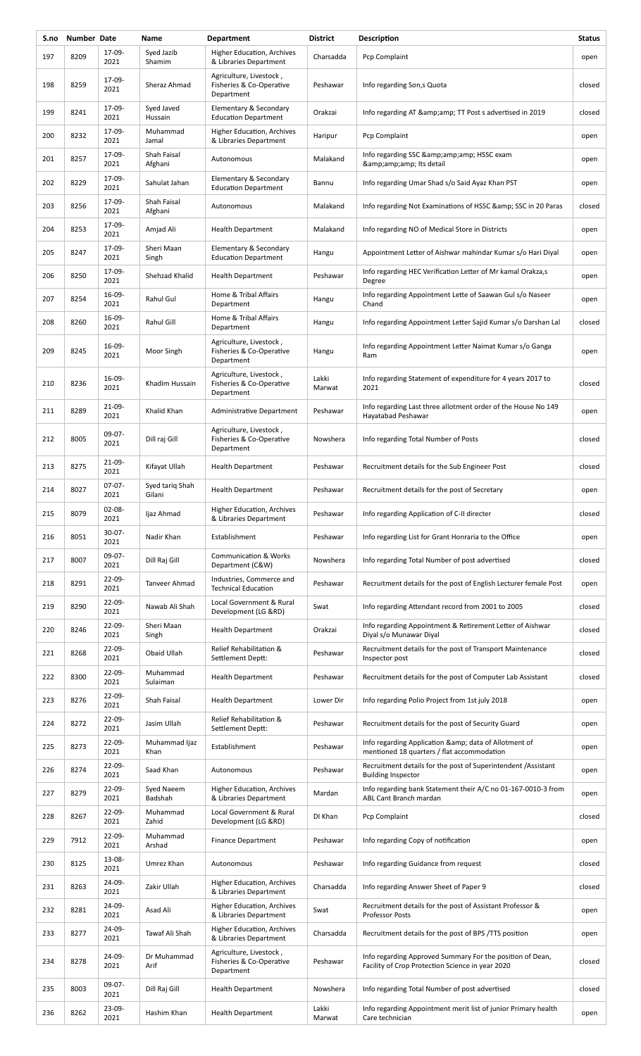| S.no | Number Date |                     | Name                      | <b>Department</b>                                                 | <b>District</b> | Description                                                                                                   | <b>Status</b> |
|------|-------------|---------------------|---------------------------|-------------------------------------------------------------------|-----------------|---------------------------------------------------------------------------------------------------------------|---------------|
| 197  | 8209        | 17-09-<br>2021      | Syed Jazib<br>Shamim      | <b>Higher Education, Archives</b><br>& Libraries Department       | Charsadda       | Pcp Complaint                                                                                                 | open          |
| 198  | 8259        | 17-09-<br>2021      | Sheraz Ahmad              | Agriculture, Livestock,<br>Fisheries & Co-Operative<br>Department | Peshawar        | Info regarding Son, s Quota                                                                                   | closed        |
| 199  | 8241        | 17-09-<br>2021      | Syed Javed<br>Hussain     | Elementary & Secondary<br><b>Education Department</b>             | Orakzai         | Info regarding AT & amp; amp; TT Post s advertised in 2019                                                    | closed        |
| 200  | 8232        | 17-09-<br>2021      | Muhammad<br>Jamal         | Higher Education, Archives<br>& Libraries Department              | Haripur         | Pcp Complaint                                                                                                 | open          |
| 201  | 8257        | 17-09-<br>2021      | Shah Faisal<br>Afghani    | Autonomous                                                        | Malakand        | Info regarding SSC & amp; amp; amp; HSSC exam<br>& Its detail                                                 | open          |
| 202  | 8229        | 17-09-<br>2021      | Sahulat Jahan             | Elementary & Secondary<br><b>Education Department</b>             | Bannu           | Info regarding Umar Shad s/o Said Ayaz Khan PST                                                               | open          |
| 203  | 8256        | 17-09-<br>2021      | Shah Faisal<br>Afghani    | Autonomous                                                        | Malakand        | Info regarding Not Examinations of HSSC & amp; SSC in 20 Paras                                                | closed        |
| 204  | 8253        | 17-09-<br>2021      | Amjad Ali                 | <b>Health Department</b>                                          | Malakand        | Info regarding NO of Medical Store in Districts                                                               | open          |
| 205  | 8247        | 17-09-<br>2021      | Sheri Maan<br>Singh       | Elementary & Secondary<br><b>Education Department</b>             | Hangu           | Appointment Letter of Aishwar mahindar Kumar s/o Hari Diyal                                                   | open          |
| 206  | 8250        | 17-09-<br>2021      | Shehzad Khalid            | <b>Health Department</b>                                          | Peshawar        | Info regarding HEC Verification Letter of Mr kamal Orakza,s<br>Degree                                         | open          |
| 207  | 8254        | 16-09-<br>2021      | Rahul Gul                 | Home & Tribal Affairs<br>Department                               | Hangu           | Info regarding Appointment Lette of Saawan Gul s/o Naseer<br>Chand                                            | open          |
| 208  | 8260        | 16-09-<br>2021      | Rahul Gill                | Home & Tribal Affairs<br>Department                               | Hangu           | Info regarding Appointment Letter Sajid Kumar s/o Darshan Lal                                                 | closed        |
| 209  | 8245        | 16-09-<br>2021      | Moor Singh                | Agriculture, Livestock,<br>Fisheries & Co-Operative<br>Department | Hangu           | Info regarding Appointment Letter Naimat Kumar s/o Ganga<br>Ram                                               | open          |
| 210  | 8236        | 16-09-<br>2021      | Khadim Hussain            | Agriculture, Livestock,<br>Fisheries & Co-Operative<br>Department | Lakki<br>Marwat | Info regarding Statement of expenditure for 4 years 2017 to<br>2021                                           | closed        |
| 211  | 8289        | 21-09-<br>2021      | Khalid Khan               | Administrative Department                                         | Peshawar        | Info regarding Last three allotment order of the House No 149<br>Hayatabad Peshawar                           | open          |
| 212  | 8005        | $09-07-$<br>2021    | Dill raj Gill             | Agriculture, Livestock,<br>Fisheries & Co-Operative<br>Department | Nowshera        | Info regarding Total Number of Posts                                                                          | closed        |
| 213  | 8275        | 21-09-<br>2021      | Kifayat Ullah             | <b>Health Department</b>                                          | Peshawar        | Recruitment details for the Sub Engineer Post                                                                 | closed        |
| 214  | 8027        | $07-07-$<br>2021    | Syed tariq Shah<br>Gilani | <b>Health Department</b>                                          | Peshawar        | Recruitment details for the post of Secretary                                                                 | open          |
| 215  | 8079        | 02-08-<br>2021      | Ijaz Ahmad                | Higher Education, Archives<br>& Libraries Department              | Peshawar        | Info regarding Application of C-II directer                                                                   | closed        |
| 216  | 8051        | $30 - 07 -$<br>2021 | Nadir Khan                | Establishment                                                     | Peshawar        | Info regarding List for Grant Honraria to the Office                                                          | open          |
| 217  | 8007        | 09-07-<br>2021      | Dill Raj Gill             | <b>Communication &amp; Works</b><br>Department (C&W)              | Nowshera        | Info regarding Total Number of post advertised                                                                | closed        |
| 218  | 8291        | 22-09-<br>2021      | Tanveer Ahmad             | Industries, Commerce and<br><b>Technical Education</b>            | Peshawar        | Recruitment details for the post of English Lecturer female Post                                              | open          |
| 219  | 8290        | $22 - 09 -$<br>2021 | Nawab Ali Shah            | Local Government & Rural<br>Development (LG &RD)                  | Swat            | Info regarding Attendant record from 2001 to 2005                                                             | closed        |
| 220  | 8246        | 22-09-<br>2021      | Sheri Maan<br>Singh       | <b>Health Department</b>                                          | Orakzai         | Info regarding Appointment & Retirement Letter of Aishwar<br>Diyal s/o Munawar Diyal                          | closed        |
| 221  | 8268        | 22-09-<br>2021      | Obaid Ullah               | Relief Rehabilitation &<br>Settlement Deptt:                      | Peshawar        | Recruitment details for the post of Transport Maintenance<br>Inspector post                                   | closed        |
| 222  | 8300        | $22 - 09 -$<br>2021 | Muhammad<br>Sulaiman      | <b>Health Department</b>                                          | Peshawar        | Recruitment details for the post of Computer Lab Assistant                                                    | closed        |
| 223  | 8276        | $22 - 09 -$<br>2021 | Shah Faisal               | <b>Health Department</b>                                          | Lower Dir       | Info regarding Polio Project from 1st july 2018                                                               | open          |
| 224  | 8272        | 22-09-<br>2021      | Jasim Ullah               | Relief Rehabilitation &<br>Settlement Deptt:                      | Peshawar        | Recruitment details for the post of Security Guard                                                            | open          |
| 225  | 8273        | $22 - 09 -$<br>2021 | Muhammad Ijaz<br>Khan     | Establishment                                                     | Peshawar        | Info regarding Application & amp; data of Allotment of<br>mentioned 18 quarters / flat accommodation          | open          |
| 226  | 8274        | 22-09-<br>2021      | Saad Khan                 | Autonomous                                                        | Peshawar        | Recruitment details for the post of Superintendent /Assistant<br><b>Building Inspector</b>                    | open          |
| 227  | 8279        | $22 - 09 -$<br>2021 | Syed Naeem<br>Badshah     | Higher Education, Archives<br>& Libraries Department              | Mardan          | Info regarding bank Statement their A/C no 01-167-0010-3 from<br>ABL Cant Branch mardan                       | open          |
| 228  | 8267        | $22 - 09 -$<br>2021 | Muhammad<br>Zahid         | Local Government & Rural<br>Development (LG &RD)                  | DI Khan         | Pcp Complaint                                                                                                 | closed        |
| 229  | 7912        | $22 - 09 -$<br>2021 | Muhammad<br>Arshad        | <b>Finance Department</b>                                         | Peshawar        | Info regarding Copy of notification                                                                           | open          |
| 230  | 8125        | 13-08-<br>2021      | Umrez Khan                | Autonomous                                                        | Peshawar        | Info regarding Guidance from request                                                                          | closed        |
| 231  | 8263        | 24-09-<br>2021      | Zakir Ullah               | <b>Higher Education, Archives</b><br>& Libraries Department       | Charsadda       | Info regarding Answer Sheet of Paper 9                                                                        | closed        |
| 232  | 8281        | 24-09-<br>2021      | Asad Ali                  | <b>Higher Education, Archives</b><br>& Libraries Department       | Swat            | Recruitment details for the post of Assistant Professor &<br><b>Professor Posts</b>                           | open          |
| 233  | 8277        | 24-09-<br>2021      | <b>Tawaf Ali Shah</b>     | <b>Higher Education, Archives</b><br>& Libraries Department       | Charsadda       | Recruitment details for the post of BPS /TTS position                                                         | open          |
| 234  | 8278        | 24-09-<br>2021      | Dr Muhammad<br>Arif       | Agriculture, Livestock,<br>Fisheries & Co-Operative<br>Department | Peshawar        | Info regarding Approved Summary For the position of Dean,<br>Facility of Crop Protection Science in year 2020 | closed        |
| 235  | 8003        | $09-07-$<br>2021    | Dill Raj Gill             | <b>Health Department</b>                                          | Nowshera        | Info regarding Total Number of post advertised                                                                | closed        |
| 236  | 8262        | 23-09-<br>2021      | Hashim Khan               | <b>Health Department</b>                                          | Lakki<br>Marwat | Info regarding Appointment merit list of junior Primary health<br>Care technician                             | open          |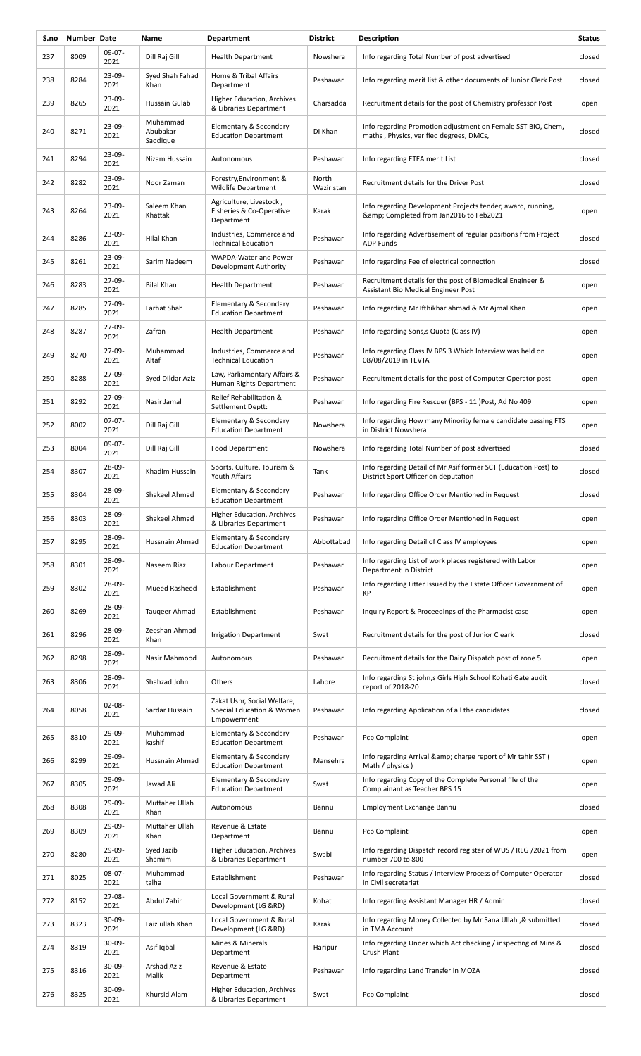| S.no | Number Date |                     | Name                             | <b>Department</b>                                                       | <b>District</b>     | Description                                                                                             | <b>Status</b> |
|------|-------------|---------------------|----------------------------------|-------------------------------------------------------------------------|---------------------|---------------------------------------------------------------------------------------------------------|---------------|
| 237  | 8009        | 09-07-<br>2021      | Dill Raj Gill                    | <b>Health Department</b>                                                | Nowshera            | Info regarding Total Number of post advertised                                                          | closed        |
| 238  | 8284        | $23 - 09 -$<br>2021 | Syed Shah Fahad<br>Khan          | Home & Tribal Affairs<br>Department                                     | Peshawar            | Info regarding merit list & other documents of Junior Clerk Post                                        | closed        |
| 239  | 8265        | 23-09-<br>2021      | Hussain Gulab                    | Higher Education, Archives<br>& Libraries Department                    | Charsadda           | Recruitment details for the post of Chemistry professor Post                                            | open          |
| 240  | 8271        | 23-09-<br>2021      | Muhammad<br>Abubakar<br>Saddique | Elementary & Secondary<br><b>Education Department</b>                   | DI Khan             | Info regarding Promotion adjustment on Female SST BIO, Chem,<br>maths, Physics, verified degrees, DMCs, | closed        |
| 241  | 8294        | 23-09-<br>2021      | Nizam Hussain                    | Autonomous                                                              | Peshawar            | Info regarding ETEA merit List                                                                          | closed        |
| 242  | 8282        | 23-09-<br>2021      | Noor Zaman                       | Forestry, Environment &<br><b>Wildlife Department</b>                   | North<br>Waziristan | Recruitment details for the Driver Post                                                                 | closed        |
| 243  | 8264        | 23-09-<br>2021      | Saleem Khan<br>Khattak           | Agriculture, Livestock,<br>Fisheries & Co-Operative<br>Department       | Karak               | Info regarding Development Projects tender, award, running,<br>& Completed from Jan2016 to Feb2021      | open          |
| 244  | 8286        | 23-09-<br>2021      | Hilal Khan                       | Industries, Commerce and<br><b>Technical Education</b>                  | Peshawar            | Info regarding Advertisement of regular positions from Project<br><b>ADP Funds</b>                      | closed        |
| 245  | 8261        | 23-09-<br>2021      | Sarim Nadeem                     | WAPDA-Water and Power<br>Development Authority                          | Peshawar            | Info regarding Fee of electrical connection                                                             | closed        |
| 246  | 8283        | 27-09-<br>2021      | <b>Bilal Khan</b>                | <b>Health Department</b>                                                | Peshawar            | Recruitment details for the post of Biomedical Engineer &<br>Assistant Bio Medical Engineer Post        | open          |
| 247  | 8285        | 27-09-<br>2021      | Farhat Shah                      | Elementary & Secondary<br><b>Education Department</b>                   | Peshawar            | Info regarding Mr Ifthikhar ahmad & Mr Ajmal Khan                                                       | open          |
| 248  | 8287        | 27-09-<br>2021      | Zafran                           | <b>Health Department</b>                                                | Peshawar            | Info regarding Sons, s Quota (Class IV)                                                                 | open          |
| 249  | 8270        | 27-09-<br>2021      | Muhammad<br>Altaf                | Industries, Commerce and<br><b>Technical Education</b>                  | Peshawar            | Info regarding Class IV BPS 3 Which Interview was held on<br>08/08/2019 in TEVTA                        | open          |
| 250  | 8288        | 27-09-<br>2021      | Syed Dildar Aziz                 | Law, Parliamentary Affairs &<br>Human Rights Department                 | Peshawar            | Recruitment details for the post of Computer Operator post                                              | open          |
| 251  | 8292        | 27-09-<br>2021      | Nasir Jamal                      | Relief Rehabilitation &<br>Settlement Deptt:                            | Peshawar            | Info regarding Fire Rescuer (BPS - 11 )Post, Ad No 409                                                  | open          |
| 252  | 8002        | $07-07-$<br>2021    | Dill Raj Gill                    | Elementary & Secondary<br><b>Education Department</b>                   | Nowshera            | Info regarding How many Minority female candidate passing FTS<br>in District Nowshera                   | open          |
| 253  | 8004        | 09-07-<br>2021      | Dill Raj Gill                    | <b>Food Department</b>                                                  | Nowshera            | Info regarding Total Number of post advertised                                                          | closed        |
| 254  | 8307        | 28-09-<br>2021      | Khadim Hussain                   | Sports, Culture, Tourism &<br>Youth Affairs                             | Tank                | Info regarding Detail of Mr Asif former SCT (Education Post) to<br>District Sport Officer on deputation | closed        |
| 255  | 8304        | 28-09-<br>2021      | Shakeel Ahmad                    | Elementary & Secondary<br><b>Education Department</b>                   | Peshawar            | Info regarding Office Order Mentioned in Request                                                        | closed        |
| 256  | 8303        | 28-09-<br>2021      | Shakeel Ahmad                    | Higher Education, Archives<br>& Libraries Department                    | Peshawar            | Info regarding Office Order Mentioned in Request                                                        | open          |
| 257  | 8295        | 28-09-<br>2021      | Hussnain Ahmad                   | Elementary & Secondary<br><b>Education Department</b>                   | Abbottabad          | Info regarding Detail of Class IV employees                                                             | open          |
| 258  | 8301        | 28-09-<br>2021      | Naseem Riaz                      | Labour Department                                                       | Peshawar            | Info regarding List of work places registered with Labor<br>Department in District                      | open          |
| 259  | 8302        | 28-09-<br>2021      | <b>Mueed Rasheed</b>             | Establishment                                                           | Peshawar            | Info regarding Litter Issued by the Estate Officer Government of<br><b>KP</b>                           | open          |
| 260  | 8269        | 28-09-<br>2021      | Taugeer Ahmad                    | Establishment                                                           | Peshawar            | Inquiry Report & Proceedings of the Pharmacist case                                                     | open          |
| 261  | 8296        | 28-09-<br>2021      | Zeeshan Ahmad<br>Khan            | <b>Irrigation Department</b>                                            | Swat                | Recruitment details for the post of Junior Cleark                                                       | closed        |
| 262  | 8298        | 28-09-<br>2021      | Nasir Mahmood                    | Autonomous                                                              | Peshawar            | Recruitment details for the Dairy Dispatch post of zone 5                                               | open          |
| 263  | 8306        | 28-09-<br>2021      | Shahzad John                     | Others                                                                  | Lahore              | Info regarding St john,s Girls High School Kohati Gate audit<br>report of 2018-20                       | closed        |
| 264  | 8058        | 02-08-<br>2021      | Sardar Hussain                   | Zakat Ushr, Social Welfare,<br>Special Education & Women<br>Empowerment | Peshawar            | Info regarding Application of all the candidates                                                        | closed        |
| 265  | 8310        | 29-09-<br>2021      | Muhammad<br>kashif               | Elementary & Secondary<br><b>Education Department</b>                   | Peshawar            | Pcp Complaint                                                                                           | open          |
| 266  | 8299        | 29-09-<br>2021      | Hussnain Ahmad                   | Elementary & Secondary<br><b>Education Department</b>                   | Mansehra            | Info regarding Arrival & amp; charge report of Mr tahir SST (<br>Math / physics )                       | open          |
| 267  | 8305        | 29-09-<br>2021      | Jawad Ali                        | Elementary & Secondary<br><b>Education Department</b>                   | Swat                | Info regarding Copy of the Complete Personal file of the<br>Complainant as Teacher BPS 15               | open          |
| 268  | 8308        | 29-09-<br>2021      | Muttaher Ullah<br>Khan           | Autonomous                                                              | Bannu               | Employment Exchange Bannu                                                                               | closed        |
| 269  | 8309        | 29-09-<br>2021      | Muttaher Ullah<br>Khan           | Revenue & Estate<br>Department                                          | Bannu               | Pcp Complaint                                                                                           | open          |
| 270  | 8280        | 29-09-<br>2021      | Syed Jazib<br>Shamim             | Higher Education, Archives<br>& Libraries Department                    | Swabi               | Info regarding Dispatch record register of WUS / REG /2021 from<br>number 700 to 800                    | open          |
| 271  | 8025        | $08-07-$<br>2021    | Muhammad<br>talha                | Establishment                                                           | Peshawar            | Info regarding Status / Interview Process of Computer Operator<br>in Civil secretariat                  | closed        |
| 272  | 8152        | 27-08-<br>2021      | Abdul Zahir                      | Local Government & Rural<br>Development (LG &RD)                        | Kohat               | Info regarding Assistant Manager HR / Admin                                                             | closed        |
| 273  | 8323        | 30-09-<br>2021      | Faiz ullah Khan                  | Local Government & Rural<br>Development (LG &RD)                        | Karak               | Info regarding Money Collected by Mr Sana Ullah, & submitted<br>in TMA Account                          | closed        |
| 274  | 8319        | $30 - 09 -$<br>2021 | Asif Iqbal                       | Mines & Minerals<br>Department                                          | Haripur             | Info regarding Under which Act checking / inspecting of Mins &<br>Crush Plant                           | closed        |
| 275  | 8316        | $30 - 09 -$<br>2021 | <b>Arshad Aziz</b><br>Malik      | Revenue & Estate<br>Department                                          | Peshawar            | Info regarding Land Transfer in MOZA                                                                    | closed        |
| 276  | 8325        | 30-09-<br>2021      | Khursid Alam                     | Higher Education, Archives<br>& Libraries Department                    | Swat                | Pcp Complaint                                                                                           | closed        |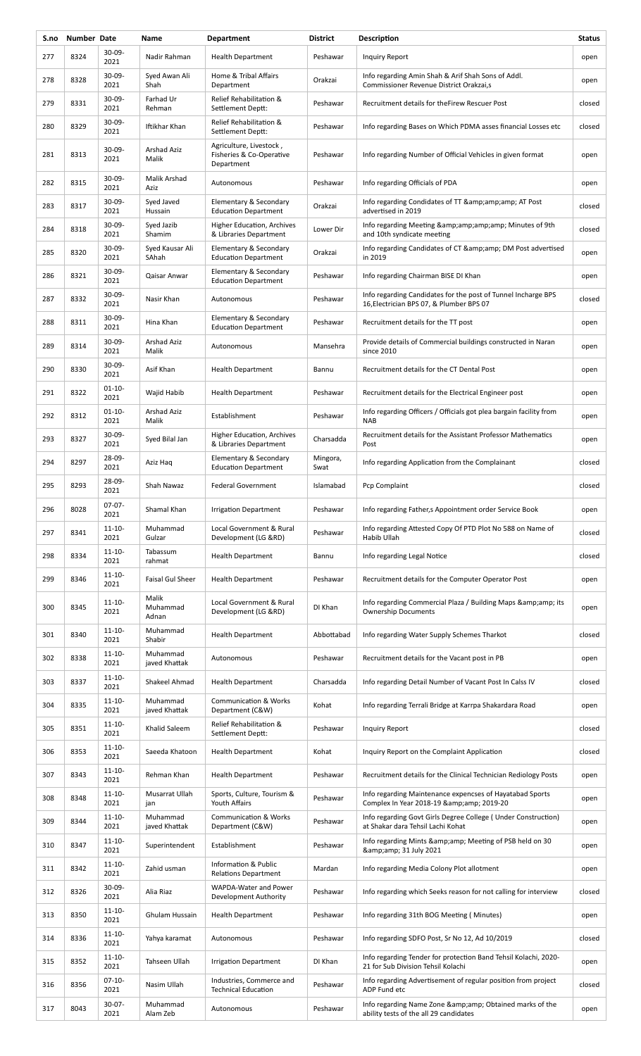| S.no | Number Date |                     | Name                       | <b>Department</b>                                                 | <b>District</b>  | Description                                                                                               | <b>Status</b> |
|------|-------------|---------------------|----------------------------|-------------------------------------------------------------------|------------------|-----------------------------------------------------------------------------------------------------------|---------------|
| 277  | 8324        | $30-09-$<br>2021    | Nadir Rahman               | <b>Health Department</b>                                          | Peshawar         | Inquiry Report                                                                                            | open          |
| 278  | 8328        | $30-09-$<br>2021    | Syed Awan Ali<br>Shah      | Home & Tribal Affairs<br>Department                               | Orakzai          | Info regarding Amin Shah & Arif Shah Sons of Addl.<br>Commissioner Revenue District Orakzai,s             | open          |
| 279  | 8331        | $30-09-$<br>2021    | Farhad Ur<br>Rehman        | Relief Rehabilitation &<br>Settlement Deptt:                      | Peshawar         | Recruitment details for the Firew Rescuer Post                                                            | closed        |
| 280  | 8329        | 30-09-<br>2021      | Iftikhar Khan              | Relief Rehabilitation &<br>Settlement Deptt:                      | Peshawar         | Info regarding Bases on Which PDMA asses financial Losses etc                                             | closed        |
| 281  | 8313        | $30 - 09 -$<br>2021 | Arshad Aziz<br>Malik       | Agriculture, Livestock,<br>Fisheries & Co-Operative<br>Department | Peshawar         | Info regarding Number of Official Vehicles in given format                                                | open          |
| 282  | 8315        | 30-09-<br>2021      | Malik Arshad<br>Aziz       | Autonomous                                                        | Peshawar         | Info regarding Officials of PDA                                                                           | open          |
| 283  | 8317        | $30-09-$<br>2021    | Syed Javed<br>Hussain      | Elementary & Secondary<br><b>Education Department</b>             | Orakzai          | Info regarding Condidates of TT & amp; amp; amp; AT Post<br>advertised in 2019                            | closed        |
| 284  | 8318        | $30-09-$<br>2021    | Syed Jazib<br>Shamim       | Higher Education, Archives<br>& Libraries Department              | Lower Dir        | Info regarding Meeting & amp; amp; amp; amp; Minutes of 9th<br>and 10th syndicate meeting                 | closed        |
| 285  | 8320        | 30-09-<br>2021      | Syed Kausar Ali<br>SAhah   | Elementary & Secondary<br><b>Education Department</b>             | Orakzai          | Info regarding Candidates of CT & amp; amp; DM Post advertised<br>in 2019                                 | open          |
| 286  | 8321        | 30-09-<br>2021      | Qaisar Anwar               | Elementary & Secondary<br><b>Education Department</b>             | Peshawar         | Info regarding Chairman BISE DI Khan                                                                      | open          |
| 287  | 8332        | $30-09-$<br>2021    | Nasir Khan                 | Autonomous                                                        | Peshawar         | Info regarding Candidates for the post of Tunnel Incharge BPS<br>16, Electrician BPS 07, & Plumber BPS 07 | closed        |
| 288  | 8311        | $30-09-$<br>2021    | Hina Khan                  | Elementary & Secondary<br><b>Education Department</b>             | Peshawar         | Recruitment details for the TT post                                                                       | open          |
| 289  | 8314        | 30-09-<br>2021      | Arshad Aziz<br>Malik       | Autonomous                                                        | Mansehra         | Provide details of Commercial buildings constructed in Naran<br>since 2010                                | open          |
| 290  | 8330        | $30-09-$<br>2021    | Asif Khan                  | <b>Health Department</b>                                          | Bannu            | Recruitment details for the CT Dental Post                                                                | open          |
| 291  | 8322        | $01 - 10 -$<br>2021 | Wajid Habib                | <b>Health Department</b>                                          | Peshawar         | Recruitment details for the Electrical Engineer post                                                      | open          |
| 292  | 8312        | $01 - 10 -$<br>2021 | Arshad Aziz<br>Malik       | Establishment                                                     | Peshawar         | Info regarding Officers / Officials got plea bargain facility from<br><b>NAB</b>                          | open          |
| 293  | 8327        | 30-09-<br>2021      | Syed Bilal Jan             | Higher Education, Archives<br>& Libraries Department              | Charsadda        | Recruitment details for the Assistant Professor Mathematics<br>Post                                       | open          |
| 294  | 8297        | 28-09-<br>2021      | Aziz Haq                   | Elementary & Secondary<br><b>Education Department</b>             | Mingora,<br>Swat | Info regarding Application from the Complainant                                                           | closed        |
| 295  | 8293        | 28-09-<br>2021      | Shah Nawaz                 | <b>Federal Government</b>                                         | Islamabad        | Pcp Complaint                                                                                             | closed        |
| 296  | 8028        | $07-07-$<br>2021    | Shamal Khan                | <b>Irrigation Department</b>                                      | Peshawar         | Info regarding Father, s Appointment order Service Book                                                   | open          |
| 297  | 8341        | $11 - 10 -$<br>2021 | Muhammad<br>Gulzar         | Local Government & Rural<br>Development (LG &RD)                  | Peshawar         | Info regarding Attested Copy Of PTD Plot No 588 on Name of<br>Habib Ullah                                 | closed        |
| 298  | 8334        | $11 - 10 -$<br>2021 | Tabassum<br>rahmat         | <b>Health Department</b>                                          | Bannu            | Info regarding Legal Notice                                                                               | closed        |
| 299  | 8346        | $11 - 10 -$<br>2021 | <b>Faisal Gul Sheer</b>    | <b>Health Department</b>                                          | Peshawar         | Recruitment details for the Computer Operator Post                                                        | open          |
| 300  | 8345        | $11 - 10 -$<br>2021 | Malik<br>Muhammad<br>Adnan | Local Government & Rural<br>Development (LG &RD)                  | DI Khan          | Info regarding Commercial Plaza / Building Maps & amp; amp; its<br><b>Ownership Documents</b>             | open          |
| 301  | 8340        | $11 - 10 -$<br>2021 | Muhammad<br>Shabir         | <b>Health Department</b>                                          | Abbottabad       | Info regarding Water Supply Schemes Tharkot                                                               | closed        |
| 302  | 8338        | $11 - 10 -$<br>2021 | Muhammad<br>javed Khattak  | Autonomous                                                        | Peshawar         | Recruitment details for the Vacant post in PB                                                             | open          |
| 303  | 8337        | $11 - 10 -$<br>2021 | Shakeel Ahmad              | <b>Health Department</b>                                          | Charsadda        | Info regarding Detail Number of Vacant Post In Calss IV                                                   | closed        |
| 304  | 8335        | $11 - 10 -$<br>2021 | Muhammad<br>javed Khattak  | <b>Communication &amp; Works</b><br>Department (C&W)              | Kohat            | Info regarding Terrali Bridge at Karrpa Shakardara Road                                                   | open          |
| 305  | 8351        | $11 - 10 -$<br>2021 | Khalid Saleem              | Relief Rehabilitation &<br>Settlement Deptt:                      | Peshawar         | Inquiry Report                                                                                            | closed        |
| 306  | 8353        | $11 - 10 -$<br>2021 | Saeeda Khatoon             | <b>Health Department</b>                                          | Kohat            | Inquiry Report on the Complaint Application                                                               | closed        |
| 307  | 8343        | $11 - 10 -$<br>2021 | Rehman Khan                | <b>Health Department</b>                                          | Peshawar         | Recruitment details for the Clinical Technician Rediology Posts                                           | open          |
| 308  | 8348        | $11 - 10 -$<br>2021 | Musarrat Ullah<br>jan      | Sports, Culture, Tourism &<br>Youth Affairs                       | Peshawar         | Info regarding Maintenance expencses of Hayatabad Sports<br>Complex In Year 2018-19 & amp; 2019-20        | open          |
| 309  | 8344        | $11 - 10 -$<br>2021 | Muhammad<br>javed Khattak  | <b>Communication &amp; Works</b><br>Department (C&W)              | Peshawar         | Info regarding Govt Girls Degree College (Under Construction)<br>at Shakar dara Tehsil Lachi Kohat        | open          |
| 310  | 8347        | $11 - 10 -$<br>2021 | Superintendent             | Establishment                                                     | Peshawar         | Info regarding Mints & amp; amp; Meeting of PSB held on 30<br>& 31 July 2021                              | open          |
| 311  | 8342        | $11 - 10 -$<br>2021 | Zahid usman                | Information & Public<br><b>Relations Department</b>               | Mardan           | Info regarding Media Colony Plot allotment                                                                | open          |
| 312  | 8326        | 30-09-<br>2021      | Alia Riaz                  | WAPDA-Water and Power<br>Development Authority                    | Peshawar         | Info regarding which Seeks reason for not calling for interview                                           | closed        |
| 313  | 8350        | $11 - 10 -$<br>2021 | Ghulam Hussain             | <b>Health Department</b>                                          | Peshawar         | Info regarding 31th BOG Meeting (Minutes)                                                                 | open          |
| 314  | 8336        | $11 - 10 -$<br>2021 | Yahya karamat              | Autonomous                                                        | Peshawar         | Info regarding SDFO Post, Sr No 12, Ad 10/2019                                                            | closed        |
| 315  | 8352        | $11 - 10 -$<br>2021 | Tahseen Ullah              | <b>Irrigation Department</b>                                      | DI Khan          | Info regarding Tender for protection Band Tehsil Kolachi, 2020-<br>21 for Sub Division Tehsil Kolachi     | open          |
| 316  | 8356        | $07-10-$<br>2021    | Nasim Ullah                | Industries, Commerce and<br><b>Technical Education</b>            | Peshawar         | Info regarding Advertisement of regular position from project<br>ADP Fund etc                             | closed        |
| 317  | 8043        | $30-07-$<br>2021    | Muhammad<br>Alam Zeb       | Autonomous                                                        | Peshawar         | Info regarding Name Zone & Obtained marks of the<br>ability tests of the all 29 candidates                | open          |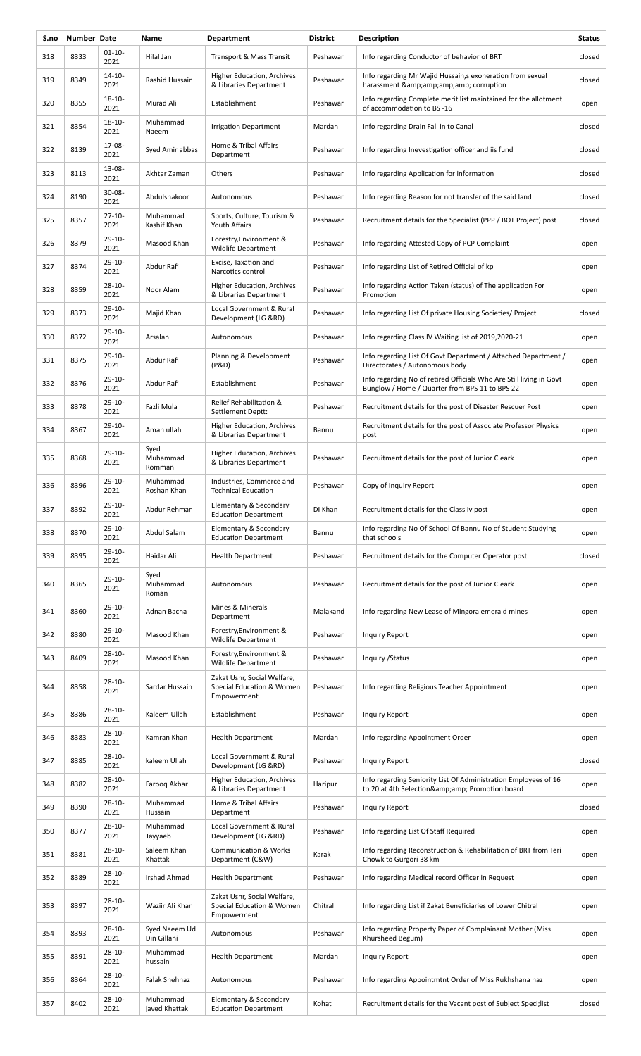| S.no | Number Date |                     | Name                         | <b>Department</b>                                                       | <b>District</b> | Description                                                                                                           | <b>Status</b> |
|------|-------------|---------------------|------------------------------|-------------------------------------------------------------------------|-----------------|-----------------------------------------------------------------------------------------------------------------------|---------------|
| 318  | 8333        | $01 - 10 -$<br>2021 | Hilal Jan                    | Transport & Mass Transit                                                | Peshawar        | Info regarding Conductor of behavior of BRT                                                                           | closed        |
| 319  | 8349        | 14-10-<br>2021      | Rashid Hussain               | Higher Education, Archives<br>& Libraries Department                    | Peshawar        | Info regarding Mr Wajid Hussain, sexoneration from sexual<br>harassment & corruption                                  | closed        |
| 320  | 8355        | $18 - 10 -$<br>2021 | Murad Ali                    | Establishment                                                           | Peshawar        | Info regarding Complete merit list maintained for the allotment<br>of accommodation to BS-16                          | open          |
| 321  | 8354        | $18 - 10 -$<br>2021 | Muhammad<br>Naeem            | <b>Irrigation Department</b>                                            | Mardan          | Info regarding Drain Fall in to Canal                                                                                 | closed        |
| 322  | 8139        | 17-08-<br>2021      | Syed Amir abbas              | Home & Tribal Affairs<br>Department                                     | Peshawar        | Info regarding Inevestigation officer and iis fund                                                                    | closed        |
| 323  | 8113        | 13-08-<br>2021      | Akhtar Zaman                 | Others                                                                  | Peshawar        | Info regarding Application for information                                                                            | closed        |
| 324  | 8190        | $30 - 08 -$<br>2021 | Abdulshakoor                 | Autonomous                                                              | Peshawar        | Info regarding Reason for not transfer of the said land                                                               | closed        |
| 325  | 8357        | $27 - 10 -$<br>2021 | Muhammad<br>Kashif Khan      | Sports, Culture, Tourism &<br>Youth Affairs                             | Peshawar        | Recruitment details for the Specialist (PPP / BOT Project) post                                                       | closed        |
| 326  | 8379        | 29-10-<br>2021      | Masood Khan                  | Forestry, Environment &<br>Wildlife Department                          | Peshawar        | Info regarding Attested Copy of PCP Complaint                                                                         | open          |
| 327  | 8374        | $29-10-$<br>2021    | Abdur Rafi                   | Excise, Taxation and<br>Narcotics control                               | Peshawar        | Info regarding List of Retired Official of kp                                                                         | open          |
| 328  | 8359        | $28 - 10 -$<br>2021 | Noor Alam                    | <b>Higher Education, Archives</b><br>& Libraries Department             | Peshawar        | Info regarding Action Taken (status) of The application For<br>Promotion                                              | open          |
| 329  | 8373        | $29-10-$<br>2021    | Majid Khan                   | Local Government & Rural<br>Development (LG &RD)                        | Peshawar        | Info regarding List Of private Housing Societies/Project                                                              | closed        |
| 330  | 8372        | $29-10-$<br>2021    | Arsalan                      | Autonomous                                                              | Peshawar        | Info regarding Class IV Waiting list of 2019,2020-21                                                                  | open          |
| 331  | 8375        | $29-10-$<br>2021    | Abdur Rafi                   | Planning & Development<br>(P&D)                                         | Peshawar        | Info regarding List Of Govt Department / Attached Department /<br>Directorates / Autonomous body                      | open          |
| 332  | 8376        | $29-10-$<br>2021    | Abdur Rafi                   | Establishment                                                           | Peshawar        | Info regarding No of retired Officials Who Are Still living in Govt<br>Bunglow / Home / Quarter from BPS 11 to BPS 22 | open          |
| 333  | 8378        | 29-10-<br>2021      | Fazli Mula                   | Relief Rehabilitation &<br>Settlement Deptt:                            | Peshawar        | Recruitment details for the post of Disaster Rescuer Post                                                             | open          |
| 334  | 8367        | $29-10-$<br>2021    | Aman ullah                   | Higher Education, Archives<br>& Libraries Department                    | Bannu           | Recruitment details for the post of Associate Professor Physics<br>post                                               | open          |
| 335  | 8368        | $29-10-$<br>2021    | Syed<br>Muhammad<br>Romman   | Higher Education, Archives<br>& Libraries Department                    | Peshawar        | Recruitment details for the post of Junior Cleark                                                                     | open          |
| 336  | 8396        | 29-10-<br>2021      | Muhammad<br>Roshan Khan      | Industries, Commerce and<br><b>Technical Education</b>                  | Peshawar        | Copy of Inquiry Report                                                                                                | open          |
| 337  | 8392        | 29-10-<br>2021      | Abdur Rehman                 | Elementary & Secondary<br><b>Education Department</b>                   | DI Khan         | Recruitment details for the Class Iv post                                                                             | open          |
| 338  | 8370        | $29-10-$<br>2021    | Abdul Salam                  | Elementary & Secondary<br><b>Education Department</b>                   | Bannu           | Info regarding No Of School Of Bannu No of Student Studying<br>that schools                                           | open          |
| 339  | 8395        | $29-10-$<br>2021    | Haidar Ali                   | <b>Health Department</b>                                                | Peshawar        | Recruitment details for the Computer Operator post                                                                    | closed        |
| 340  | 8365        | $29-10-$<br>2021    | Syed<br>Muhammad<br>Roman    | Autonomous                                                              | Peshawar        | Recruitment details for the post of Junior Cleark                                                                     | open          |
| 341  | 8360        | $29-10-$<br>2021    | Adnan Bacha                  | Mines & Minerals<br>Department                                          | Malakand        | Info regarding New Lease of Mingora emerald mines                                                                     | open          |
| 342  | 8380        | 29-10-<br>2021      | Masood Khan                  | Forestry, Environment &<br><b>Wildlife Department</b>                   | Peshawar        | Inquiry Report                                                                                                        | open          |
| 343  | 8409        | $28 - 10 -$<br>2021 | Masood Khan                  | Forestry, Environment &<br><b>Wildlife Department</b>                   | Peshawar        | Inquiry / Status                                                                                                      | open          |
| 344  | 8358        | $28 - 10 -$<br>2021 | Sardar Hussain               | Zakat Ushr, Social Welfare,<br>Special Education & Women<br>Empowerment | Peshawar        | Info regarding Religious Teacher Appointment                                                                          | open          |
| 345  | 8386        | 28-10-<br>2021      | Kaleem Ullah                 | Establishment                                                           | Peshawar        | Inquiry Report                                                                                                        | open          |
| 346  | 8383        | $28 - 10 -$<br>2021 | Kamran Khan                  | <b>Health Department</b>                                                | Mardan          | Info regarding Appointment Order                                                                                      | open          |
| 347  | 8385        | $28 - 10 -$<br>2021 | kaleem Ullah                 | Local Government & Rural<br>Development (LG &RD)                        | Peshawar        | Inquiry Report                                                                                                        | closed        |
| 348  | 8382        | $28 - 10 -$<br>2021 | Faroog Akbar                 | Higher Education, Archives<br>& Libraries Department                    | Haripur         | Info regarding Seniority List Of Administration Employees of 16<br>to 20 at 4th Selection& Promotion board            | open          |
| 349  | 8390        | $28 - 10 -$<br>2021 | Muhammad<br>Hussain          | Home & Tribal Affairs<br>Department                                     | Peshawar        | Inquiry Report                                                                                                        | closed        |
| 350  | 8377        | 28-10-<br>2021      | Muhammad<br>Tayyaeb          | Local Government & Rural<br>Development (LG &RD)                        | Peshawar        | Info regarding List Of Staff Required                                                                                 | open          |
| 351  | 8381        | $28 - 10 -$<br>2021 | Saleem Khan<br>Khattak       | <b>Communication &amp; Works</b><br>Department (C&W)                    | Karak           | Info regarding Reconstruction & Rehabilitation of BRT from Teri<br>Chowk to Gurgori 38 km                             | open          |
| 352  | 8389        | $28 - 10 -$<br>2021 | Irshad Ahmad                 | <b>Health Department</b>                                                | Peshawar        | Info regarding Medical record Officer in Request                                                                      | open          |
| 353  | 8397        | $28 - 10 -$<br>2021 | Waziir Ali Khan              | Zakat Ushr, Social Welfare,<br>Special Education & Women<br>Empowerment | Chitral         | Info regarding List if Zakat Beneficiaries of Lower Chitral                                                           | open          |
| 354  | 8393        | 28-10-<br>2021      | Syed Naeem Ud<br>Din Gillani | Autonomous                                                              | Peshawar        | Info regarding Property Paper of Complainant Mother (Miss<br>Khursheed Begum)                                         | open          |
| 355  | 8391        | $28 - 10 -$<br>2021 | Muhammad<br>hussain          | <b>Health Department</b>                                                | Mardan          | Inquiry Report                                                                                                        | open          |
| 356  | 8364        | 28-10-<br>2021      | <b>Falak Shehnaz</b>         | Autonomous                                                              | Peshawar        | Info regarding Appointmtnt Order of Miss Rukhshana naz                                                                | open          |
| 357  | 8402        | $28 - 10 -$<br>2021 | Muhammad<br>javed Khattak    | Elementary & Secondary<br><b>Education Department</b>                   | Kohat           | Recruitment details for the Vacant post of Subject Speci; list                                                        | closed        |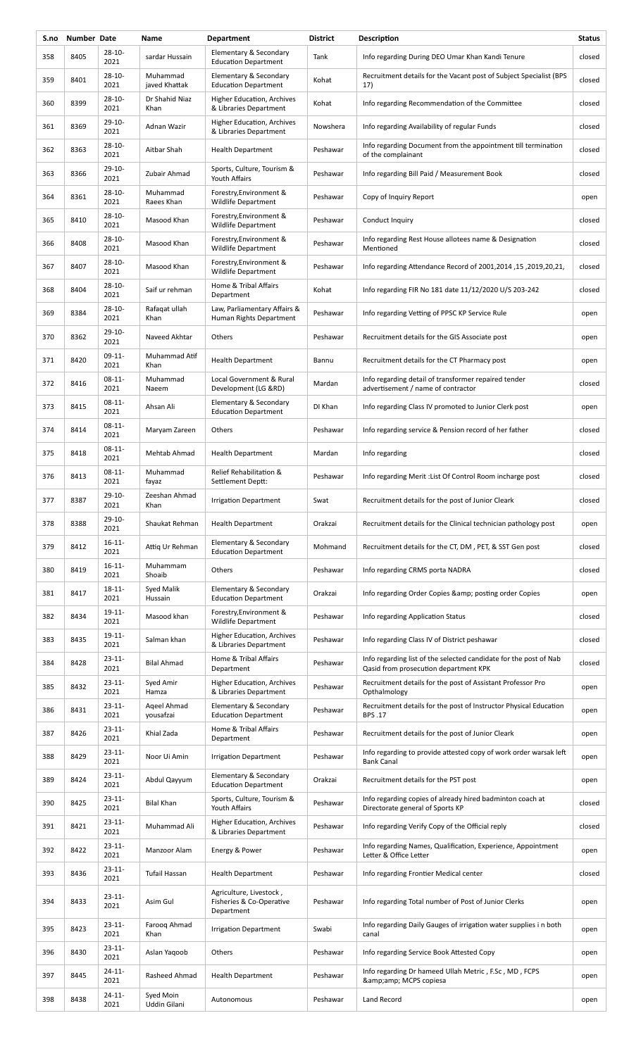| S.no | Number Date |                     | Name                      | <b>Department</b>                                                 | <b>District</b> | Description                                                                                                | <b>Status</b> |
|------|-------------|---------------------|---------------------------|-------------------------------------------------------------------|-----------------|------------------------------------------------------------------------------------------------------------|---------------|
| 358  | 8405        | 28-10-<br>2021      | sardar Hussain            | Elementary & Secondary<br><b>Education Department</b>             | Tank            | Info regarding During DEO Umar Khan Kandi Tenure                                                           | closed        |
| 359  | 8401        | $28 - 10$<br>2021   | Muhammad<br>javed Khattak | Elementary & Secondary<br><b>Education Department</b>             | Kohat           | Recruitment details for the Vacant post of Subject Specialist (BPS<br>17)                                  | closed        |
| 360  | 8399        | $28 - 10 -$<br>2021 | Dr Shahid Niaz<br>Khan    | Higher Education, Archives<br>& Libraries Department              | Kohat           | Info regarding Recommendation of the Committee                                                             | closed        |
| 361  | 8369        | $29-10-$<br>2021    | Adnan Wazir               | Higher Education, Archives<br>& Libraries Department              | Nowshera        | Info regarding Availability of regular Funds                                                               | closed        |
| 362  | 8363        | $28-10-$<br>2021    | Aitbar Shah               | <b>Health Department</b>                                          | Peshawar        | Info regarding Document from the appointment till termination<br>of the complainant                        | closed        |
| 363  | 8366        | $29-10-$<br>2021    | Zubair Ahmad              | Sports, Culture, Tourism &<br>Youth Affairs                       | Peshawar        | Info regarding Bill Paid / Measurement Book                                                                | closed        |
| 364  | 8361        | $28 - 10 -$<br>2021 | Muhammad<br>Raees Khan    | Forestry, Environment &<br><b>Wildlife Department</b>             | Peshawar        | Copy of Inquiry Report                                                                                     | open          |
| 365  | 8410        | 28-10-<br>2021      | Masood Khan               | Forestry, Environment &<br><b>Wildlife Department</b>             | Peshawar        | Conduct Inquiry                                                                                            | closed        |
| 366  | 8408        | $28 - 10 -$<br>2021 | Masood Khan               | Forestry, Environment &<br>Wildlife Department                    | Peshawar        | Info regarding Rest House allotees name & Designation<br>Mentioned                                         | closed        |
| 367  | 8407        | $28 - 10 -$<br>2021 | Masood Khan               | Forestry, Environment &<br><b>Wildlife Department</b>             | Peshawar        | lnfo regarding Attendance Record of 2001, 2014, 15, 2019, 20, 21,                                          | closed        |
| 368  | 8404        | 28-10-<br>2021      | Saif ur rehman            | Home & Tribal Affairs<br>Department                               | Kohat           | Info regarding FIR No 181 date 11/12/2020 U/S 203-242                                                      | closed        |
| 369  | 8384        | 28-10-<br>2021      | Rafaqat ullah<br>Khan     | Law, Parliamentary Affairs &<br>Human Rights Department           | Peshawar        | Info regarding Vetting of PPSC KP Service Rule                                                             | open          |
| 370  | 8362        | $29-10-$<br>2021    | Naveed Akhtar             | Others                                                            | Peshawar        | Recruitment details for the GIS Associate post                                                             | open          |
| 371  | 8420        | $09-11-$<br>2021    | Muhammad Atif<br>Khan     | <b>Health Department</b>                                          | Bannu           | Recruitment details for the CT Pharmacy post                                                               | open          |
| 372  | 8416        | $08-11-$<br>2021    | Muhammad<br>Naeem         | Local Government & Rural<br>Development (LG &RD)                  | Mardan          | Info regarding detail of transformer repaired tender<br>advertisement / name of contractor                 | closed        |
| 373  | 8415        | $08-11-$<br>2021    | Ahsan Ali                 | Elementary & Secondary<br><b>Education Department</b>             | DI Khan         | Info regarding Class IV promoted to Junior Clerk post                                                      | open          |
| 374  | 8414        | $08-11-$<br>2021    | Maryam Zareen             | Others                                                            | Peshawar        | Info regarding service & Pension record of her father                                                      | closed        |
| 375  | 8418        | $08 - 11 -$<br>2021 | Mehtab Ahmad              | <b>Health Department</b>                                          | Mardan          | Info regarding                                                                                             | closed        |
| 376  | 8413        | $08-11-$<br>2021    | Muhammad<br>fayaz         | Relief Rehabilitation &<br>Settlement Deptt:                      | Peshawar        | Info regarding Merit : List Of Control Room incharge post                                                  | closed        |
| 377  | 8387        | $29-10-$<br>2021    | Zeeshan Ahmad<br>Khan     | <b>Irrigation Department</b>                                      | Swat            | Recruitment details for the post of Junior Cleark                                                          | closed        |
| 378  | 8388        | 29-10-<br>2021      | Shaukat Rehman            | <b>Health Department</b>                                          | Orakzai         | Recruitment details for the Clinical technician pathology post                                             | open          |
| 379  | 8412        | $16 - 11$<br>2021   | Attig Ur Rehman           | Elementary & Secondary<br><b>Education Department</b>             | Mohmand         | Recruitment details for the CT, DM, PET, & SST Gen post                                                    | closed        |
| 380  | 8419        | $16 - 11 -$<br>2021 | Muhammam<br>Shoaib        | Others                                                            | Peshawar        | Info regarding CRMS porta NADRA                                                                            | closed        |
| 381  | 8417        | $18 - 11 -$<br>2021 | Syed Malik<br>Hussain     | Elementary & Secondary<br><b>Education Department</b>             | Orakzai         | Info regarding Order Copies & posting order Copies                                                         | open          |
| 382  | 8434        | $19 - 11 -$<br>2021 | Masood khan               | Forestry, Environment &<br><b>Wildlife Department</b>             | Peshawar        | Info regarding Application Status                                                                          | closed        |
| 383  | 8435        | $19-11-$<br>2021    | Salman khan               | Higher Education, Archives<br>& Libraries Department              | Peshawar        | Info regarding Class IV of District peshawar                                                               | closed        |
| 384  | 8428        | $23 - 11 -$<br>2021 | <b>Bilal Ahmad</b>        | Home & Tribal Affairs<br>Department                               | Peshawar        | Info regarding list of the selected candidate for the post of Nab<br>Qasid from prosecution department KPK | closed        |
| 385  | 8432        | $23 - 11 -$<br>2021 | Syed Amir<br>Hamza        | Higher Education, Archives<br>& Libraries Department              | Peshawar        | Recruitment details for the post of Assistant Professor Pro<br>Opthalmology                                | open          |
| 386  | 8431        | $23 - 11 -$<br>2021 | Ageel Ahmad<br>yousafzai  | Elementary & Secondary<br><b>Education Department</b>             | Peshawar        | Recruitment details for the post of Instructor Physical Education<br>BPS.17                                | open          |
| 387  | 8426        | $23 - 11$<br>2021   | Khial Zada                | Home & Tribal Affairs<br>Department                               | Peshawar        | Recruitment details for the post of Junior Cleark                                                          | open          |
| 388  | 8429        | $23 - 11$<br>2021   | Noor Ui Amin              | <b>Irrigation Department</b>                                      | Peshawar        | Info regarding to provide attested copy of work order warsak left<br><b>Bank Canal</b>                     | open          |
| 389  | 8424        | $23 - 11$<br>2021   | Abdul Qayyum              | Elementary & Secondary<br><b>Education Department</b>             | Orakzai         | Recruitment details for the PST post                                                                       | open          |
| 390  | 8425        | $23 - 11$<br>2021   | <b>Bilal Khan</b>         | Sports, Culture, Tourism &<br>Youth Affairs                       | Peshawar        | Info regarding copies of already hired badminton coach at<br>Directorate general of Sports KP              | closed        |
| 391  | 8421        | $23 - 11$<br>2021   | Muhammad Ali              | Higher Education, Archives<br>& Libraries Department              | Peshawar        | Info regarding Verify Copy of the Official reply                                                           | closed        |
| 392  | 8422        | $23 - 11 -$<br>2021 | Manzoor Alam              | Energy & Power                                                    | Peshawar        | Info regarding Names, Qualification, Experience, Appointment<br>Letter & Office Letter                     | open          |
| 393  | 8436        | $23 - 11$<br>2021   | Tufail Hassan             | <b>Health Department</b>                                          | Peshawar        | Info regarding Frontier Medical center                                                                     | closed        |
| 394  | 8433        | $23 - 11$<br>2021   | Asim Gul                  | Agriculture, Livestock,<br>Fisheries & Co-Operative<br>Department | Peshawar        | Info regarding Total number of Post of Junior Clerks                                                       | open          |
| 395  | 8423        | $23 - 11$<br>2021   | Faroog Ahmad<br>Khan      | <b>Irrigation Department</b>                                      | Swabi           | Info regarding Daily Gauges of irrigation water supplies in both<br>canal                                  | open          |
| 396  | 8430        | $23 - 11$<br>2021   | Aslan Yaqoob              | Others                                                            | Peshawar        | Info regarding Service Book Attested Copy                                                                  | open          |
| 397  | 8445        | 24-11-<br>2021      | Rasheed Ahmad             | <b>Health Department</b>                                          | Peshawar        | Info regarding Dr hameed Ullah Metric, F.Sc, MD, FCPS<br>& MCPS copiesa                                    | open          |
| 398  | 8438        | $24 - 11 -$<br>2021 | Syed Moin<br>Uddin Gilani | Autonomous                                                        | Peshawar        | Land Record                                                                                                | open          |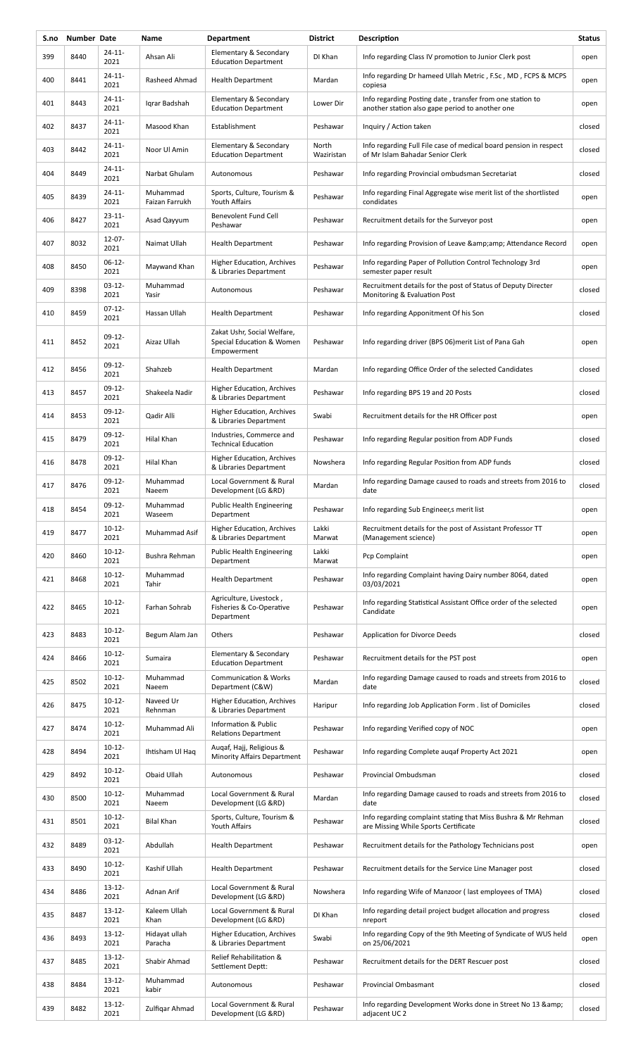| S.no | Number Date |                     | Name                       | <b>Department</b>                                                       | <b>District</b>     | Description                                                                                                  | <b>Status</b> |
|------|-------------|---------------------|----------------------------|-------------------------------------------------------------------------|---------------------|--------------------------------------------------------------------------------------------------------------|---------------|
| 399  | 8440        | 24-11-<br>2021      | Ahsan Ali                  | Elementary & Secondary<br><b>Education Department</b>                   | DI Khan             | Info regarding Class IV promotion to Junior Clerk post                                                       | open          |
| 400  | 8441        | 24-11-<br>2021      | Rasheed Ahmad              | <b>Health Department</b>                                                | Mardan              | Info regarding Dr hameed Ullah Metric, F.Sc, MD, FCPS & MCPS<br>copiesa                                      | open          |
| 401  | 8443        | $24 - 11 -$<br>2021 | Igrar Badshah              | Elementary & Secondary<br><b>Education Department</b>                   | Lower Dir           | Info regarding Posting date, transfer from one station to<br>another station also gape period to another one | open          |
| 402  | 8437        | $24 - 11 -$<br>2021 | Masood Khan                | Establishment                                                           | Peshawar            | Inquiry / Action taken                                                                                       | closed        |
| 403  | 8442        | $24 - 11 -$<br>2021 | Noor Ul Amin               | Elementary & Secondary<br><b>Education Department</b>                   | North<br>Waziristan | Info regarding Full File case of medical board pension in respect<br>of Mr Islam Bahadar Senior Clerk        | closed        |
| 404  | 8449        | $24 - 11 -$<br>2021 | Narbat Ghulam              | Autonomous                                                              | Peshawar            | Info regarding Provincial ombudsman Secretariat                                                              | closed        |
| 405  | 8439        | $24 - 11 -$<br>2021 | Muhammad<br>Faizan Farrukh | Sports, Culture, Tourism &<br>Youth Affairs                             | Peshawar            | Info regarding Final Aggregate wise merit list of the shortlisted<br>condidates                              | open          |
| 406  | 8427        | $23 - 11 -$<br>2021 | Asad Qayyum                | Benevolent Fund Cell<br>Peshawar                                        | Peshawar            | Recruitment details for the Surveyor post                                                                    | open          |
| 407  | 8032        | $12 - 07 -$<br>2021 | Naimat Ullah               | <b>Health Department</b>                                                | Peshawar            | Info regarding Provision of Leave & amp; amp; Attendance Record                                              | open          |
| 408  | 8450        | $06-12-$<br>2021    | Maywand Khan               | Higher Education, Archives<br>& Libraries Department                    | Peshawar            | Info regarding Paper of Pollution Control Technology 3rd<br>semester paper result                            | open          |
| 409  | 8398        | $03-12-$<br>2021    | Muhammad<br>Yasir          | Autonomous                                                              | Peshawar            | Recruitment details for the post of Status of Deputy Directer<br>Monitoring & Evaluation Post                | closed        |
| 410  | 8459        | $07-12-$<br>2021    | Hassan Ullah               | <b>Health Department</b>                                                | Peshawar            | Info regarding Apponitment Of his Son                                                                        | closed        |
| 411  | 8452        | $09-12-$<br>2021    | Aizaz Ullah                | Zakat Ushr, Social Welfare,<br>Special Education & Women<br>Empowerment | Peshawar            | Info regarding driver (BPS 06) merit List of Pana Gah                                                        | open          |
| 412  | 8456        | $09-12-$<br>2021    | Shahzeb                    | <b>Health Department</b>                                                | Mardan              | Info regarding Office Order of the selected Candidates                                                       | closed        |
| 413  | 8457        | $09-12-$<br>2021    | Shakeela Nadir             | Higher Education, Archives<br>& Libraries Department                    | Peshawar            | Info regarding BPS 19 and 20 Posts                                                                           | closed        |
| 414  | 8453        | $09-12-$<br>2021    | Qadir Alli                 | Higher Education, Archives<br>& Libraries Department                    | Swabi               | Recruitment details for the HR Officer post                                                                  | open          |
| 415  | 8479        | $09-12-$<br>2021    | Hilal Khan                 | Industries, Commerce and<br><b>Technical Education</b>                  | Peshawar            | Info regarding Regular position from ADP Funds                                                               | closed        |
| 416  | 8478        | $09-12-$<br>2021    | Hilal Khan                 | Higher Education, Archives<br>& Libraries Department                    | Nowshera            | Info regarding Regular Position from ADP funds                                                               | closed        |
| 417  | 8476        | $09-12-$<br>2021    | Muhammad<br>Naeem          | Local Government & Rural<br>Development (LG &RD)                        | Mardan              | Info regarding Damage caused to roads and streets from 2016 to<br>date                                       | closed        |
| 418  | 8454        | 09-12-<br>2021      | Muhammad<br>Waseem         | <b>Public Health Engineering</b><br>Department                          | Peshawar            | Info regarding Sub Engineer, s merit list                                                                    | open          |
| 419  | 8477        | $10 - 12 -$<br>2021 | Muhammad Asif              | Higher Education, Archives<br>& Libraries Department                    | Lakki<br>Marwat     | Recruitment details for the post of Assistant Professor TT<br>(Management science)                           | open          |
| 420  | 8460        | $10 - 12 -$<br>2021 | Bushra Rehman              | <b>Public Health Engineering</b><br>Department                          | Lakki<br>Marwat     | Pcp Complaint                                                                                                | open          |
| 421  | 8468        | $10-12-$<br>2021    | Muhammad<br>Tahir          | <b>Health Department</b>                                                | Peshawar            | Info regarding Complaint having Dairy number 8064, dated<br>03/03/2021                                       | open          |
| 422  | 8465        | $10 - 12 -$<br>2021 | Farhan Sohrab              | Agriculture, Livestock,<br>Fisheries & Co-Operative<br>Department       | Peshawar            | Info regarding Statistical Assistant Office order of the selected<br>Candidate                               | open          |
| 423  | 8483        | $10 - 12 -$<br>2021 | Begum Alam Jan             | Others                                                                  | Peshawar            | <b>Application for Divorce Deeds</b>                                                                         | closed        |
| 424  | 8466        | $10-12-$<br>2021    | Sumaira                    | Elementary & Secondary<br><b>Education Department</b>                   | Peshawar            | Recruitment details for the PST post                                                                         | open          |
| 425  | 8502        | $10 - 12 -$<br>2021 | Muhammad<br>Naeem          | <b>Communication &amp; Works</b><br>Department (C&W)                    | Mardan              | Info regarding Damage caused to roads and streets from 2016 to<br>date                                       | closed        |
| 426  | 8475        | $10-12-$<br>2021    | Naveed Ur<br>Rehnman       | Higher Education, Archives<br>& Libraries Department                    | Haripur             | Info regarding Job Application Form . list of Domiciles                                                      | closed        |
| 427  | 8474        | $10 - 12 -$<br>2021 | Muhammad Ali               | Information & Public<br><b>Relations Department</b>                     | Peshawar            | Info regarding Verified copy of NOC                                                                          | open          |
| 428  | 8494        | $10-12-$<br>2021    | Ihtisham Ul Haq            | Augaf, Hajj, Religious &<br><b>Minority Affairs Department</b>          | Peshawar            | Info regarding Complete augaf Property Act 2021                                                              | open          |
| 429  | 8492        | $10 - 12 -$<br>2021 | Obaid Ullah                | Autonomous                                                              | Peshawar            | Provincial Ombudsman                                                                                         | closed        |
| 430  | 8500        | $10 - 12 -$<br>2021 | Muhammad<br>Naeem          | Local Government & Rural<br>Development (LG &RD)                        | Mardan              | Info regarding Damage caused to roads and streets from 2016 to<br>date                                       | closed        |
| 431  | 8501        | $10-12-$<br>2021    | Bilal Khan                 | Sports, Culture, Tourism &<br>Youth Affairs                             | Peshawar            | Info regarding complaint stating that Miss Bushra & Mr Rehman<br>are Missing While Sports Certificate        | closed        |
| 432  | 8489        | $03-12-$<br>2021    | Abdullah                   | <b>Health Department</b>                                                | Peshawar            | Recruitment details for the Pathology Technicians post                                                       | open          |
| 433  | 8490        | $10 - 12 -$<br>2021 | Kashif Ullah               | <b>Health Department</b>                                                | Peshawar            | Recruitment details for the Service Line Manager post                                                        | closed        |
| 434  | 8486        | $13 - 12 -$<br>2021 | Adnan Arif                 | Local Government & Rural<br>Development (LG &RD)                        | Nowshera            | Info regarding Wife of Manzoor (last employees of TMA)                                                       | closed        |
| 435  | 8487        | $13 - 12 -$<br>2021 | Kaleem Ullah<br>Khan       | Local Government & Rural<br>Development (LG &RD)                        | DI Khan             | Info regarding detail project budget allocation and progress<br>nreport                                      | closed        |
| 436  | 8493        | $13 - 12 -$<br>2021 | Hidayat ullah<br>Paracha   | Higher Education, Archives<br>& Libraries Department                    | Swabi               | Info regarding Copy of the 9th Meeting of Syndicate of WUS held<br>on 25/06/2021                             | open          |
| 437  | 8485        | $13 - 12 -$<br>2021 | Shabir Ahmad               | Relief Rehabilitation &<br>Settlement Deptt:                            | Peshawar            | Recruitment details for the DERT Rescuer post                                                                | closed        |
| 438  | 8484        | $13 - 12 -$<br>2021 | Muhammad<br>kabir          | Autonomous                                                              | Peshawar            | <b>Provincial Ombasmant</b>                                                                                  | closed        |
| 439  | 8482        | $13 - 12 -$<br>2021 | Zulfigar Ahmad             | Local Government & Rural<br>Development (LG &RD)                        | Peshawar            | Info regarding Development Works done in Street No 13 & amp;<br>adjacent UC <sub>2</sub>                     | closed        |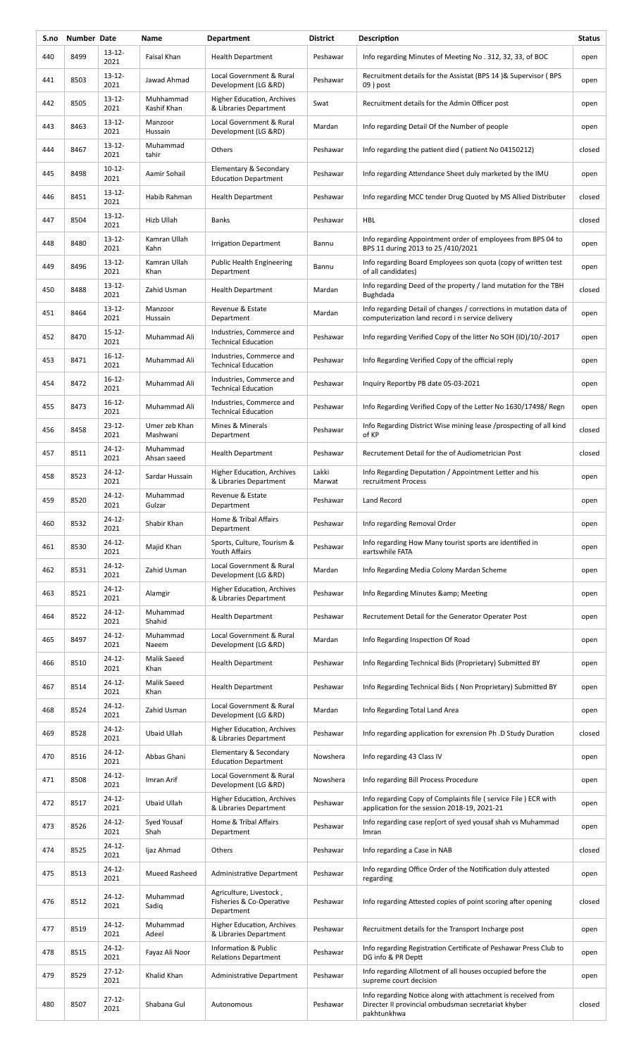| S.no | Number Date |                     | Name                      | <b>Department</b>                                                 | <b>District</b> | Description                                                                                                                        | <b>Status</b> |
|------|-------------|---------------------|---------------------------|-------------------------------------------------------------------|-----------------|------------------------------------------------------------------------------------------------------------------------------------|---------------|
| 440  | 8499        | 13-12-<br>2021      | Faisal Khan               | <b>Health Department</b>                                          | Peshawar        | Info regarding Minutes of Meeting No. 312, 32, 33, of BOC                                                                          | open          |
| 441  | 8503        | $13 - 12 -$<br>2021 | Jawad Ahmad               | Local Government & Rural<br>Development (LG &RD)                  | Peshawar        | Recruitment details for the Assistat (BPS 14) & Supervisor (BPS<br>09 ) post                                                       | open          |
| 442  | 8505        | $13 - 12 -$<br>2021 | Muhhammad<br>Kashif Khan  | Higher Education, Archives<br>& Libraries Department              | Swat            | Recruitment details for the Admin Officer post                                                                                     | open          |
| 443  | 8463        | $13 - 12 -$<br>2021 | Manzoor<br>Hussain        | Local Government & Rural<br>Development (LG &RD)                  | Mardan          | Info regarding Detail Of the Number of people                                                                                      | open          |
| 444  | 8467        | $13 - 12$<br>2021   | Muhammad<br>tahir         | Others                                                            | Peshawar        | Info regarding the patient died (patient No 04150212)                                                                              | closed        |
| 445  | 8498        | $10 - 12 -$<br>2021 | Aamir Sohail              | Elementary & Secondary<br><b>Education Department</b>             | Peshawar        | Info regarding Attendance Sheet duly marketed by the IMU                                                                           | open          |
| 446  | 8451        | $13 - 12 -$<br>2021 | Habib Rahman              | <b>Health Department</b>                                          | Peshawar        | Info regarding MCC tender Drug Quoted by MS Allied Distributer                                                                     | closed        |
| 447  | 8504        | $13 - 12 -$<br>2021 | Hizb Ullah                | Banks                                                             | Peshawar        | <b>HBL</b>                                                                                                                         | closed        |
| 448  | 8480        | $13-12-$<br>2021    | Kamran Ullah<br>Kahn      | <b>Irrigation Department</b>                                      | Bannu           | Info regarding Appointment order of employees from BPS 04 to<br>BPS 11 during 2013 to 25 /410/2021                                 | open          |
| 449  | 8496        | $13 - 12 -$<br>2021 | Kamran Ullah<br>Khan      | Public Health Engineering<br>Department                           | Bannu           | Info regarding Board Employees son quota (copy of written test<br>of all candidates)                                               | open          |
| 450  | 8488        | $13 - 12 -$<br>2021 | Zahid Usman               | <b>Health Department</b>                                          | Mardan          | Info regarding Deed of the property / land mutation for the TBH<br>Bughdada                                                        | closed        |
| 451  | 8464        | $13 - 12 -$<br>2021 | Manzoor<br>Hussain        | Revenue & Estate<br>Department                                    | Mardan          | Info regarding Detail of changes / corrections in mutation data of<br>computerization land record i n service delivery             | open          |
| 452  | 8470        | $15 - 12 -$<br>2021 | Muhammad Ali              | Industries, Commerce and<br><b>Technical Education</b>            | Peshawar        | Info regarding Verified Copy of the litter No SOH (ID)/10/-2017                                                                    | open          |
| 453  | 8471        | $16 - 12 -$<br>2021 | Muhammad Ali              | Industries, Commerce and<br><b>Technical Education</b>            | Peshawar        | Info Regarding Verified Copy of the official reply                                                                                 | open          |
| 454  | 8472        | $16 - 12 -$<br>2021 | Muhammad Ali              | Industries, Commerce and<br><b>Technical Education</b>            | Peshawar        | Inquiry Reportby PB date 05-03-2021                                                                                                | open          |
| 455  | 8473        | $16-12-$<br>2021    | Muhammad Ali              | Industries, Commerce and<br><b>Technical Education</b>            | Peshawar        | Info Regarding Verified Copy of the Letter No 1630/17498/ Regn                                                                     | open          |
| 456  | 8458        | $23 - 12 -$<br>2021 | Umer zeb Khan<br>Mashwani | Mines & Minerals<br>Department                                    | Peshawar        | Info Regarding District Wise mining lease /prospecting of all kind<br>of KP                                                        | closed        |
| 457  | 8511        | $24 - 12 -$<br>2021 | Muhammad<br>Ahsan saeed   | <b>Health Department</b>                                          | Peshawar        | Recrutement Detail for the of Audiometrician Post                                                                                  | closed        |
| 458  | 8523        | $24 - 12 -$<br>2021 | Sardar Hussain            | <b>Higher Education, Archives</b><br>& Libraries Department       | Lakki<br>Marwat | Info Regarding Deputation / Appointment Letter and his<br>recruitment Process                                                      | open          |
| 459  | 8520        | 24-12-<br>2021      | Muhammad<br>Gulzar        | Revenue & Estate<br>Department                                    | Peshawar        | Land Record                                                                                                                        | open          |
| 460  | 8532        | $24 - 12 -$<br>2021 | Shabir Khan               | Home & Tribal Affairs<br>Department                               | Peshawar        | Info regarding Removal Order                                                                                                       | open          |
| 461  | 8530        | $24 - 12 -$<br>2021 | Majid Khan                | Sports, Culture, Tourism &<br>Youth Affairs                       | Peshawar        | Info regarding How Many tourist sports are identified in<br>eartswhile FATA                                                        | open          |
| 462  | 8531        | $24 - 12 -$<br>2021 | Zahid Usman               | Local Government & Rural<br>Development (LG &RD)                  | Mardan          | Info Regarding Media Colony Mardan Scheme                                                                                          | open          |
| 463  | 8521        | $24 - 12 -$<br>2021 | Alamgir                   | Higher Education, Archives<br>& Libraries Department              | Peshawar        | Info Regarding Minutes & amp; Meeting                                                                                              | open          |
| 464  | 8522        | $24 - 12 -$<br>2021 | Muhammad<br>Shahid        | <b>Health Department</b>                                          | Peshawar        | Recrutement Detail for the Generator Operater Post                                                                                 | open          |
| 465  | 8497        | $24 - 12 -$<br>2021 | Muhammad<br>Naeem         | Local Government & Rural<br>Development (LG &RD)                  | Mardan          | Info Regarding Inspection Of Road                                                                                                  | open          |
| 466  | 8510        | 24-12-<br>2021      | Malik Saeed<br>Khan       | <b>Health Department</b>                                          | Peshawar        | Info Regarding Technical Bids (Proprietary) Submitted BY                                                                           | open          |
| 467  | 8514        | 24-12-<br>2021      | Malik Saeed<br>Khan       | <b>Health Department</b>                                          | Peshawar        | Info Regarding Technical Bids (Non Proprietary) Submitted BY                                                                       | open          |
| 468  | 8524        | $24 - 12 -$<br>2021 | Zahid Usman               | Local Government & Rural<br>Development (LG &RD)                  | Mardan          | Info Regarding Total Land Area                                                                                                     | open          |
| 469  | 8528        | 24-12-<br>2021      | Ubaid Ullah               | Higher Education, Archives<br>& Libraries Department              | Peshawar        | Info regarding application for exrension Ph. D Study Duration                                                                      | closed        |
| 470  | 8516        | $24 - 12 -$<br>2021 | Abbas Ghani               | Elementary & Secondary<br><b>Education Department</b>             | Nowshera        | Info regarding 43 Class IV                                                                                                         | open          |
| 471  | 8508        | $24 - 12 -$<br>2021 | Imran Arif                | Local Government & Rural<br>Development (LG &RD)                  | Nowshera        | Info regarding Bill Process Procedure                                                                                              | open          |
| 472  | 8517        | $24 - 12 -$<br>2021 | Ubaid Ullah               | Higher Education, Archives<br>& Libraries Department              | Peshawar        | Info regarding Copy of Complaints file (service File) ECR with<br>application for the session 2018-19, 2021-21                     | open          |
| 473  | 8526        | $24 - 12 -$<br>2021 | Syed Yousaf<br>Shah       | Home & Tribal Affairs<br>Department                               | Peshawar        | Info regarding case rep[ort of syed yousaf shah vs Muhammad<br>Imran                                                               | open          |
| 474  | 8525        | 24-12-<br>2021      | Ijaz Ahmad                | Others                                                            | Peshawar        | Info regarding a Case in NAB                                                                                                       | closed        |
| 475  | 8513        | $24 - 12 -$<br>2021 | Mueed Rasheed             | Administrative Department                                         | Peshawar        | Info regarding Office Order of the Notification duly attested<br>regarding                                                         | open          |
| 476  | 8512        | $24 - 12 -$<br>2021 | Muhammad<br>Sadiq         | Agriculture, Livestock,<br>Fisheries & Co-Operative<br>Department | Peshawar        | Info regarding Attested copies of point scoring after opening                                                                      | closed        |
| 477  | 8519        | $24 - 12 -$<br>2021 | Muhammad<br>Adeel         | Higher Education, Archives<br>& Libraries Department              | Peshawar        | Recruitment details for the Transport Incharge post                                                                                | open          |
| 478  | 8515        | $24 - 12 -$<br>2021 | Fayaz Ali Noor            | Information & Public<br><b>Relations Department</b>               | Peshawar        | Info regarding Registration Certificate of Peshawar Press Club to<br>DG info & PR Deptt                                            | open          |
| 479  | 8529        | $27 - 12$<br>2021   | Khalid Khan               | Administrative Department                                         | Peshawar        | Info regarding Allotment of all houses occupied before the<br>supreme court decision                                               | open          |
| 480  | 8507        | $27 - 12 -$<br>2021 | Shabana Gul               | Autonomous                                                        | Peshawar        | Info regarding Notice along with attachment is received from<br>Directer II provincial ombudsman secretariat khyber<br>pakhtunkhwa | closed        |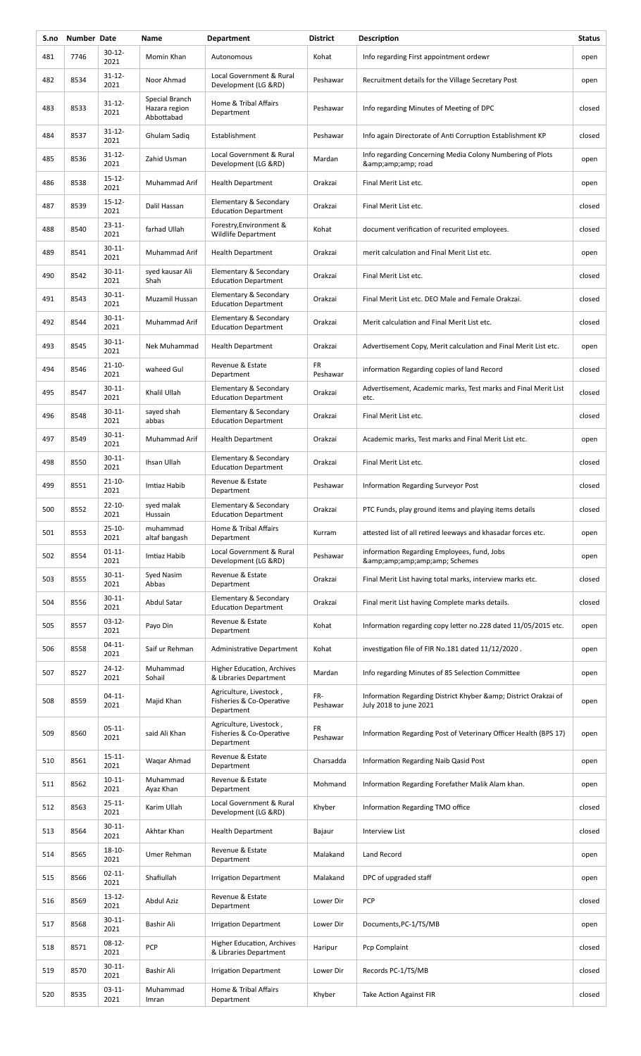| S.no | <b>Number Date</b> |                     | Name                                          | <b>Department</b>                                                 | <b>District</b> | Description                                                                           | <b>Status</b> |
|------|--------------------|---------------------|-----------------------------------------------|-------------------------------------------------------------------|-----------------|---------------------------------------------------------------------------------------|---------------|
| 481  | 7746               | 30-12-<br>2021      | Momin Khan                                    | Autonomous                                                        | Kohat           | Info regarding First appointment ordewr                                               | open          |
| 482  | 8534               | $31 - 12 -$<br>2021 | Noor Ahmad                                    | Local Government & Rural<br>Development (LG &RD)                  | Peshawar        | Recruitment details for the Village Secretary Post                                    | open          |
| 483  | 8533               | $31 - 12 -$<br>2021 | Special Branch<br>Hazara region<br>Abbottabad | Home & Tribal Affairs<br>Department                               | Peshawar        | Info regarding Minutes of Meeting of DPC                                              | closed        |
| 484  | 8537               | $31 - 12 -$<br>2021 | Ghulam Sadiq                                  | Establishment                                                     | Peshawar        | Info again Directorate of Anti Corruption Establishment KP                            | closed        |
| 485  | 8536               | $31 - 12 -$<br>2021 | Zahid Usman                                   | Local Government & Rural<br>Development (LG &RD)                  | Mardan          | Info regarding Concerning Media Colony Numbering of Plots<br>& road                   | open          |
| 486  | 8538               | $15 - 12 -$<br>2021 | Muhammad Arif                                 | <b>Health Department</b>                                          | Orakzai         | Final Merit List etc.                                                                 | open          |
| 487  | 8539               | $15 - 12 -$<br>2021 | Dalil Hassan                                  | Elementary & Secondary<br><b>Education Department</b>             | Orakzai         | Final Merit List etc.                                                                 | closed        |
| 488  | 8540               | $23 - 11 -$<br>2021 | farhad Ullah                                  | Forestry, Environment &<br>Wildlife Department                    | Kohat           | document verification of recurited employees.                                         | closed        |
| 489  | 8541               | $30 - 11 -$<br>2021 | Muhammad Arif                                 | <b>Health Department</b>                                          | Orakzai         | merit calculation and Final Merit List etc.                                           | open          |
| 490  | 8542               | $30 - 11 -$<br>2021 | syed kausar Ali<br>Shah                       | Elementary & Secondary<br><b>Education Department</b>             | Orakzai         | Final Merit List etc.                                                                 | closed        |
| 491  | 8543               | $30 - 11 -$<br>2021 | Muzamil Hussan                                | Elementary & Secondary<br><b>Education Department</b>             | Orakzai         | Final Merit List etc. DEO Male and Female Orakzai.                                    | closed        |
| 492  | 8544               | $30 - 11 -$<br>2021 | Muhammad Arif                                 | Elementary & Secondary<br><b>Education Department</b>             | Orakzai         | Merit calculation and Final Merit List etc.                                           | closed        |
| 493  | 8545               | $30 - 11 -$<br>2021 | Nek Muhammad                                  | <b>Health Department</b>                                          | Orakzai         | Advertisement Copy, Merit calculation and Final Merit List etc.                       | open          |
| 494  | 8546               | $21 - 10 -$<br>2021 | waheed Gul                                    | Revenue & Estate<br>Department                                    | FR<br>Peshawar  | information Regarding copies of land Record                                           | closed        |
| 495  | 8547               | $30 - 11 -$<br>2021 | Khalil Ullah                                  | Elementary & Secondary<br><b>Education Department</b>             | Orakzai         | Advertisement, Academic marks, Test marks and Final Merit List<br>etc.                | closed        |
| 496  | 8548               | $30 - 11 -$<br>2021 | sayed shah<br>abbas                           | Elementary & Secondary<br><b>Education Department</b>             | Orakzai         | Final Merit List etc.                                                                 | closed        |
| 497  | 8549               | $30 - 11 -$<br>2021 | Muhammad Arif                                 | <b>Health Department</b>                                          | Orakzai         | Academic marks, Test marks and Final Merit List etc.                                  | open          |
| 498  | 8550               | $30 - 11 -$<br>2021 | Ihsan Ullah                                   | Elementary & Secondary<br><b>Education Department</b>             | Orakzai         | Final Merit List etc.                                                                 | closed        |
| 499  | 8551               | $21 - 10 -$<br>2021 | Imtiaz Habib                                  | Revenue & Estate<br>Department                                    | Peshawar        | Information Regarding Surveyor Post                                                   | closed        |
| 500  | 8552               | $22 - 10 -$<br>2021 | syed malak<br>Hussain                         | Elementary & Secondary<br><b>Education Department</b>             | Orakzai         | PTC Funds, play ground items and playing items details                                | closed        |
| 501  | 8553               | $25 - 10 -$<br>2021 | muhammad<br>altaf bangash                     | Home & Tribal Affairs<br>Department                               | Kurram          | attested list of all retired leeways and khasadar forces etc.                         | open          |
| 502  | 8554               | $01 - 11 -$<br>2021 | Imtiaz Habib                                  | Local Government & Rural<br>Development (LG &RD)                  | Peshawar        | information Regarding Employees, fund, Jobs<br>& Schemes                              | open          |
| 503  | 8555               | $30 - 11 -$<br>2021 | Syed Nasim<br>Abbas                           | Revenue & Estate<br>Department                                    | Orakzai         | Final Merit List having total marks, interview marks etc.                             | closed        |
| 504  | 8556               | $30 - 11 -$<br>2021 | Abdul Satar                                   | Elementary & Secondary<br><b>Education Department</b>             | Orakzai         | Final merit List having Complete marks details.                                       | closed        |
| 505  | 8557               | $03-12-$<br>2021    | Payo Din                                      | Revenue & Estate<br>Department                                    | Kohat           | Information regarding copy letter no.228 dated 11/05/2015 etc.                        | open          |
| 506  | 8558               | 04-11-<br>2021      | Saif ur Rehman                                | Administrative Department                                         | Kohat           | investigation file of FIR No.181 dated 11/12/2020.                                    | open          |
| 507  | 8527               | $24 - 12 -$<br>2021 | Muhammad<br>Sohail                            | Higher Education, Archives<br>& Libraries Department              | Mardan          | Info regarding Minutes of 85 Selection Committee                                      | open          |
| 508  | 8559               | $04-11-$<br>2021    | Majid Khan                                    | Agriculture, Livestock,<br>Fisheries & Co-Operative<br>Department | FR-<br>Peshawar | Information Regarding District Khyber & District Orakzai of<br>July 2018 to june 2021 | open          |
| 509  | 8560               | $05-11-$<br>2021    | said Ali Khan                                 | Agriculture, Livestock,<br>Fisheries & Co-Operative<br>Department | FR<br>Peshawar  | Information Regarding Post of Veterinary Officer Health (BPS 17)                      | open          |
| 510  | 8561               | $15 - 11 -$<br>2021 | Waqar Ahmad                                   | Revenue & Estate<br>Department                                    | Charsadda       | Information Regarding Naib Qasid Post                                                 | open          |
| 511  | 8562               | $10 - 11 -$<br>2021 | Muhammad<br>Ayaz Khan                         | Revenue & Estate<br>Department                                    | Mohmand         | Information Regarding Forefather Malik Alam khan.                                     | open          |
| 512  | 8563               | $25 - 11 -$<br>2021 | Karim Ullah                                   | Local Government & Rural<br>Development (LG &RD)                  | Khyber          | Information Regarding TMO office                                                      | closed        |
| 513  | 8564               | $30 - 11 -$<br>2021 | Akhtar Khan                                   | <b>Health Department</b>                                          | Bajaur          | <b>Interview List</b>                                                                 | closed        |
| 514  | 8565               | $18 - 10 -$<br>2021 | Umer Rehman                                   | Revenue & Estate<br>Department                                    | Malakand        | Land Record                                                                           | open          |
| 515  | 8566               | $02 - 11 -$<br>2021 | Shafiullah                                    | <b>Irrigation Department</b>                                      | Malakand        | DPC of upgraded staff                                                                 | open          |
| 516  | 8569               | $13 - 12 -$<br>2021 | <b>Abdul Aziz</b>                             | Revenue & Estate<br>Department                                    | Lower Dir       | <b>PCP</b>                                                                            | closed        |
| 517  | 8568               | $30 - 11 -$<br>2021 | Bashir Ali                                    | <b>Irrigation Department</b>                                      | Lower Dir       | Documents, PC-1/TS/MB                                                                 | open          |
| 518  | 8571               | $08-12-$<br>2021    | PCP                                           | Higher Education, Archives<br>& Libraries Department              | Haripur         | Pcp Complaint                                                                         | closed        |
| 519  | 8570               | $30 - 11 -$<br>2021 | Bashir Ali                                    | <b>Irrigation Department</b>                                      | Lower Dir       | Records PC-1/TS/MB                                                                    | closed        |
| 520  | 8535               | $03-11-$<br>2021    | Muhammad<br>Imran                             | Home & Tribal Affairs<br>Department                               | Khyber          | <b>Take Action Against FIR</b>                                                        | closed        |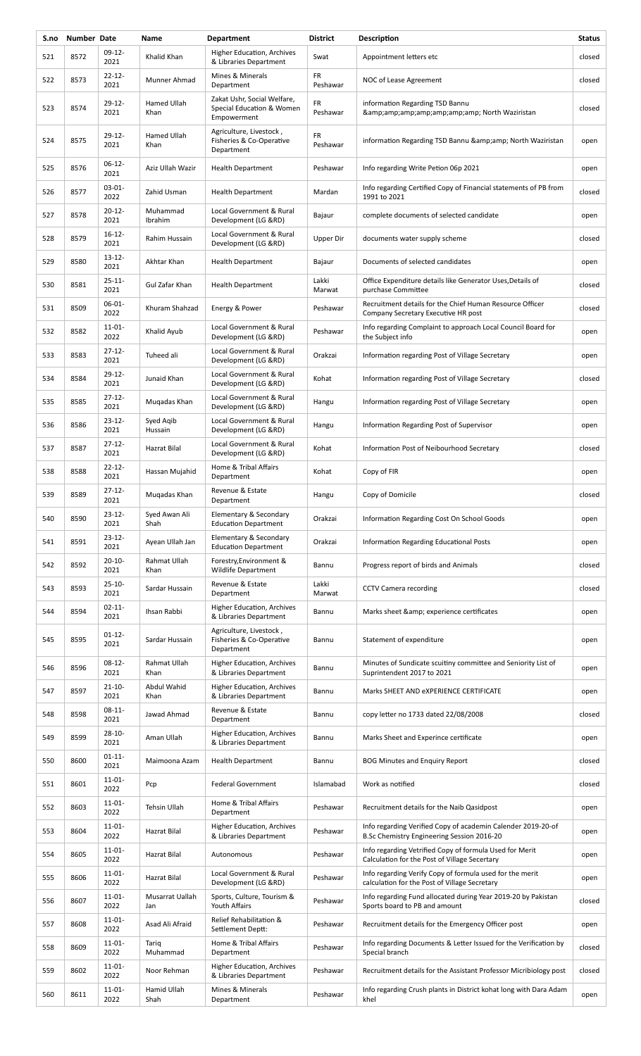| S.no | Number Date |                     | Name                   | <b>Department</b>                                                       | <b>District</b>       | Description                                                                                                | <b>Status</b> |
|------|-------------|---------------------|------------------------|-------------------------------------------------------------------------|-----------------------|------------------------------------------------------------------------------------------------------------|---------------|
| 521  | 8572        | 09-12-<br>2021      | Khalid Khan            | Higher Education, Archives<br>& Libraries Department                    | Swat                  | Appointment letters etc                                                                                    | closed        |
| 522  | 8573        | $22 - 12 -$<br>2021 | Munner Ahmad           | Mines & Minerals<br>Department                                          | <b>FR</b><br>Peshawar | NOC of Lease Agreement                                                                                     | closed        |
| 523  | 8574        | $29-12-$<br>2021    | Hamed Ullah<br>Khan    | Zakat Ushr, Social Welfare,<br>Special Education & Women<br>Empowerment | FR<br>Peshawar        | information Regarding TSD Bannu<br>& North Waziristan                                                      | closed        |
| 524  | 8575        | $29 - 12 -$<br>2021 | Hamed Ullah<br>Khan    | Agriculture, Livestock,<br>Fisheries & Co-Operative<br>Department       | FR<br>Peshawar        | information Regarding TSD Bannu & amp; amp; North Waziristan                                               | open          |
| 525  | 8576        | 06-12-<br>2021      | Aziz Ullah Wazir       | <b>Health Department</b>                                                | Peshawar              | Info regarding Write Petion 06p 2021                                                                       | open          |
| 526  | 8577        | $03 - 01 -$<br>2022 | Zahid Usman            | <b>Health Department</b>                                                | Mardan                | Info regarding Certified Copy of Financial statements of PB from<br>1991 to 2021                           | closed        |
| 527  | 8578        | $20 - 12 -$<br>2021 | Muhammad<br>Ibrahim    | Local Government & Rural<br>Development (LG &RD)                        | Bajaur                | complete documents of selected candidate                                                                   | open          |
| 528  | 8579        | $16-12-$<br>2021    | Rahim Hussain          | Local Government & Rural<br>Development (LG &RD)                        | Upper Dir             | documents water supply scheme                                                                              | closed        |
| 529  | 8580        | $13 - 12 -$<br>2021 | Akhtar Khan            | <b>Health Department</b>                                                | Bajaur                | Documents of selected candidates                                                                           | open          |
| 530  | 8581        | $25 - 11 -$<br>2021 | Gul Zafar Khan         | <b>Health Department</b>                                                | Lakki<br>Marwat       | Office Expenditure details like Generator Uses, Details of<br>purchase Committee                           | closed        |
| 531  | 8509        | 06-01-<br>2022      | Khuram Shahzad         | Energy & Power                                                          | Peshawar              | Recruitment details for the Chief Human Resource Officer<br>Company Secretary Executive HR post            | closed        |
| 532  | 8582        | $11 - 01 -$<br>2022 | Khalid Ayub            | Local Government & Rural<br>Development (LG &RD)                        | Peshawar              | Info regarding Complaint to approach Local Council Board for<br>the Subject info                           | open          |
| 533  | 8583        | $27 - 12 -$<br>2021 | Tuheed ali             | Local Government & Rural<br>Development (LG &RD)                        | Orakzai               | Information regarding Post of Village Secretary                                                            | open          |
| 534  | 8584        | $29 - 12 -$<br>2021 | Junaid Khan            | Local Government & Rural<br>Development (LG &RD)                        | Kohat                 | Information regarding Post of Village Secretary                                                            | closed        |
| 535  | 8585        | $27 - 12 -$<br>2021 | Mugadas Khan           | Local Government & Rural<br>Development (LG &RD)                        | Hangu                 | Information regarding Post of Village Secretary                                                            | open          |
| 536  | 8586        | $23 - 12 -$<br>2021 | Syed Agib<br>Hussain   | Local Government & Rural<br>Development (LG &RD)                        | Hangu                 | Information Regarding Post of Supervisor                                                                   | open          |
| 537  | 8587        | $27 - 12 -$<br>2021 | Hazrat Bilal           | Local Government & Rural<br>Development (LG &RD)                        | Kohat                 | Information Post of Neibourhood Secretary                                                                  | closed        |
| 538  | 8588        | $22 - 12 -$<br>2021 | Hassan Mujahid         | Home & Tribal Affairs<br>Department                                     | Kohat                 | Copy of FIR                                                                                                | open          |
| 539  | 8589        | $27 - 12 -$<br>2021 | Mugadas Khan           | Revenue & Estate<br>Department                                          | Hangu                 | Copy of Domicile                                                                                           | closed        |
| 540  | 8590        | 23-12-<br>2021      | Syed Awan Ali<br>Shah  | Elementary & Secondary<br><b>Education Department</b>                   | Orakzai               | Information Regarding Cost On School Goods                                                                 | open          |
| 541  | 8591        | 23-12-<br>2021      | Ayean Ullah Jan        | Elementary & Secondary<br><b>Education Department</b>                   | Orakzai               | Information Regarding Educational Posts                                                                    | open          |
| 542  | 8592        | $20 - 10 -$<br>2021 | Rahmat Ullah<br>Khan   | Forestry, Environment &<br>Wildlife Department                          | Bannu                 | Progress report of birds and Animals                                                                       | closed        |
| 543  | 8593        | $25 - 10 -$<br>2021 | Sardar Hussain         | Revenue & Estate<br>Department                                          | Lakki<br>Marwat       | <b>CCTV Camera recording</b>                                                                               | closed        |
| 544  | 8594        | $02 - 11 -$<br>2021 | Ihsan Rabbi            | Higher Education, Archives<br>& Libraries Department                    | Bannu                 | Marks sheet & amp; experience certificates                                                                 | open          |
| 545  | 8595        | $01 - 12 -$<br>2021 | Sardar Hussain         | Agriculture, Livestock,<br>Fisheries & Co-Operative<br>Department       | Bannu                 | Statement of expenditure                                                                                   | open          |
| 546  | 8596        | $08-12-$<br>2021    | Rahmat Ullah<br>Khan   | Higher Education, Archives<br>& Libraries Department                    | Bannu                 | Minutes of Sundicate scuitiny committee and Seniority List of<br>Suprintendent 2017 to 2021                | open          |
| 547  | 8597        | $21 - 10 -$<br>2021 | Abdul Wahid<br>Khan    | Higher Education, Archives<br>& Libraries Department                    | Bannu                 | Marks SHEET AND EXPERIENCE CERTIFICATE                                                                     | open          |
| 548  | 8598        | $08-11-$<br>2021    | Jawad Ahmad            | Revenue & Estate<br>Department                                          | Bannu                 | copy letter no 1733 dated 22/08/2008                                                                       | closed        |
| 549  | 8599        | $28 - 10 -$<br>2021 | Aman Ullah             | Higher Education, Archives<br>& Libraries Department                    | Bannu                 | Marks Sheet and Experince certificate                                                                      | open          |
| 550  | 8600        | $01 - 11 -$<br>2021 | Maimoona Azam          | <b>Health Department</b>                                                | Bannu                 | <b>BOG Minutes and Enquiry Report</b>                                                                      | closed        |
| 551  | 8601        | $11 - 01 -$<br>2022 | Pcp                    | <b>Federal Government</b>                                               | Islamabad             | Work as notified                                                                                           | closed        |
| 552  | 8603        | $11-01-$<br>2022    | Tehsin Ullah           | Home & Tribal Affairs<br>Department                                     | Peshawar              | Recruitment details for the Naib Qasidpost                                                                 | open          |
| 553  | 8604        | $11-01-$<br>2022    | Hazrat Bilal           | Higher Education, Archives<br>& Libraries Department                    | Peshawar              | Info regarding Verified Copy of academin Calender 2019-20-of<br>B.Sc Chemistry Engineering Session 2016-20 | open          |
| 554  | 8605        | $11 - 01 -$<br>2022 | <b>Hazrat Bilal</b>    | Autonomous                                                              | Peshawar              | Info regarding Vetrified Copy of formula Used for Merit<br>Calculation for the Post of Village Secertary   | open          |
| 555  | 8606        | $11 - 01 -$<br>2022 | Hazrat Bilal           | Local Government & Rural<br>Development (LG &RD)                        | Peshawar              | Info regarding Verify Copy of formula used for the merit<br>calculation for the Post of Village Secretary  | open          |
| 556  | 8607        | $11 - 01 -$<br>2022 | Musarrat Uallah<br>Jan | Sports, Culture, Tourism &<br>Youth Affairs                             | Peshawar              | Info regarding Fund allocated during Year 2019-20 by Pakistan<br>Sports board to PB and amount             | closed        |
| 557  | 8608        | $11-01-$<br>2022    | Asad Ali Afraid        | Relief Rehabilitation &<br>Settlement Deptt:                            | Peshawar              | Recruitment details for the Emergency Officer post                                                         | open          |
| 558  | 8609        | $11 - 01 -$<br>2022 | Tariq<br>Muhammad      | Home & Tribal Affairs<br>Department                                     | Peshawar              | Info regarding Documents & Letter Issued for the Verification by<br>Special branch                         | closed        |
| 559  | 8602        | $11 - 01 -$<br>2022 | Noor Rehman            | <b>Higher Education, Archives</b><br>& Libraries Department             | Peshawar              | Recruitment details for the Assistant Professor Micribiology post                                          | closed        |
| 560  | 8611        | $11-01-$<br>2022    | Hamid Ullah<br>Shah    | Mines & Minerals<br>Department                                          | Peshawar              | Info regarding Crush plants in District kohat long with Dara Adam<br>khel                                  | open          |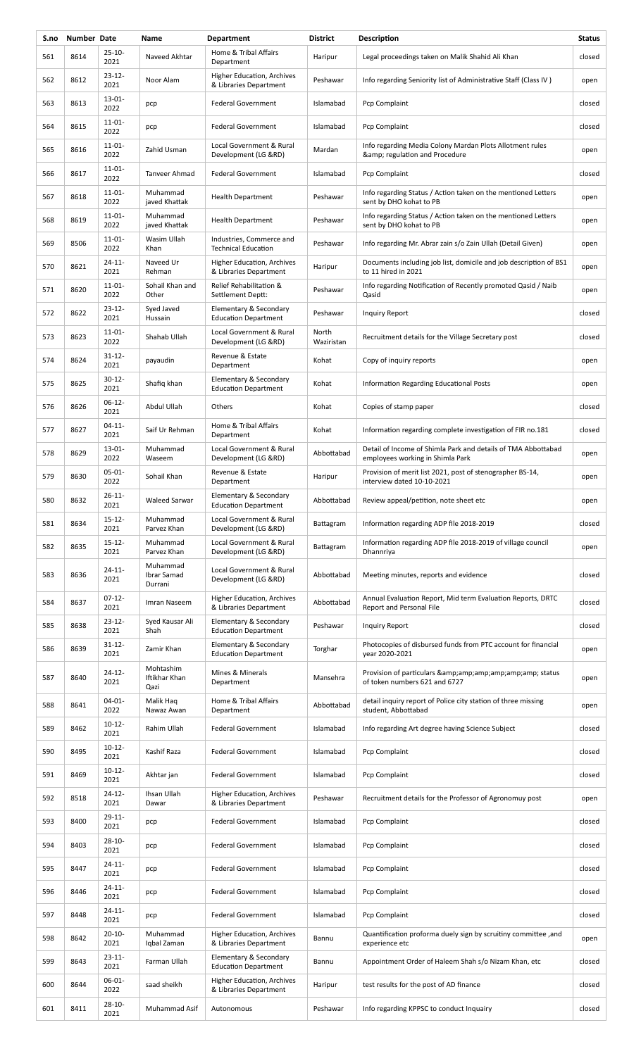| S.no | Number Date |                     | Name                               | <b>Department</b>                                      | <b>District</b>     | Description                                                                                       | <b>Status</b> |
|------|-------------|---------------------|------------------------------------|--------------------------------------------------------|---------------------|---------------------------------------------------------------------------------------------------|---------------|
| 561  | 8614        | $25 - 10 -$<br>2021 | Naveed Akhtar                      | Home & Tribal Affairs<br>Department                    | Haripur             | Legal proceedings taken on Malik Shahid Ali Khan                                                  | closed        |
| 562  | 8612        | $23 - 12 -$<br>2021 | Noor Alam                          | Higher Education, Archives<br>& Libraries Department   | Peshawar            | Info regarding Seniority list of Administrative Staff (Class IV)                                  | open          |
| 563  | 8613        | 13-01-<br>2022      | pcp                                | <b>Federal Government</b>                              | Islamabad           | Pcp Complaint                                                                                     | closed        |
| 564  | 8615        | $11 - 01 -$<br>2022 | pcp                                | <b>Federal Government</b>                              | Islamabad           | Pcp Complaint                                                                                     | closed        |
| 565  | 8616        | $11-01-$<br>2022    | Zahid Usman                        | Local Government & Rural<br>Development (LG &RD)       | Mardan              | Info regarding Media Colony Mardan Plots Allotment rules<br>& regulation and Procedure            | open          |
| 566  | 8617        | $11 - 01 -$<br>2022 | Tanveer Ahmad                      | <b>Federal Government</b>                              | Islamabad           | Pcp Complaint                                                                                     | closed        |
| 567  | 8618        | $11 - 01 -$<br>2022 | Muhammad<br>javed Khattak          | <b>Health Department</b>                               | Peshawar            | Info regarding Status / Action taken on the mentioned Letters<br>sent by DHO kohat to PB          | open          |
| 568  | 8619        | $11 - 01 -$<br>2022 | Muhammad<br>javed Khattak          | <b>Health Department</b>                               | Peshawar            | Info regarding Status / Action taken on the mentioned Letters<br>sent by DHO kohat to PB          | open          |
| 569  | 8506        | $11 - 01 -$<br>2022 | Wasim Ullah<br>Khan                | Industries, Commerce and<br><b>Technical Education</b> | Peshawar            | Info regarding Mr. Abrar zain s/o Zain Ullah (Detail Given)                                       | open          |
| 570  | 8621        | $24 - 11 -$<br>2021 | Naveed Ur<br>Rehman                | Higher Education, Archives<br>& Libraries Department   | Haripur             | Documents including job list, domicile and job description of BS1<br>to 11 hired in 2021          | open          |
| 571  | 8620        | 11-01-<br>2022      | Sohail Khan and<br>Other           | Relief Rehabilitation &<br>Settlement Deptt:           | Peshawar            | Info regarding Notification of Recently promoted Qasid / Naib<br>Qasid                            | open          |
| 572  | 8622        | 23-12-<br>2021      | Syed Javed<br>Hussain              | Elementary & Secondary<br><b>Education Department</b>  | Peshawar            | Inquiry Report                                                                                    | closed        |
| 573  | 8623        | $11 - 01 -$<br>2022 | Shahab Ullah                       | Local Government & Rural<br>Development (LG &RD)       | North<br>Waziristan | Recruitment details for the Village Secretary post                                                | closed        |
| 574  | 8624        | $31 - 12 -$<br>2021 | payaudin                           | Revenue & Estate<br>Department                         | Kohat               | Copy of inquiry reports                                                                           | open          |
| 575  | 8625        | $30 - 12 -$<br>2021 | Shafiq khan                        | Elementary & Secondary<br><b>Education Department</b>  | Kohat               | Information Regarding Educational Posts                                                           | open          |
| 576  | 8626        | $06-12-$<br>2021    | Abdul Ullah                        | Others                                                 | Kohat               | Copies of stamp paper                                                                             | closed        |
| 577  | 8627        | $04-11-$<br>2021    | Saif Ur Rehman                     | Home & Tribal Affairs<br>Department                    | Kohat               | Information regarding complete investigation of FIR no.181                                        | closed        |
| 578  | 8629        | 13-01-<br>2022      | Muhammad<br>Waseem                 | Local Government & Rural<br>Development (LG &RD)       | Abbottabad          | Detail of Income of Shimla Park and details of TMA Abbottabad<br>employees working in Shimla Park | open          |
| 579  | 8630        | $05-01-$<br>2022    | Sohail Khan                        | Revenue & Estate<br>Department                         | Haripur             | Provision of merit list 2021, post of stenographer BS-14,<br>interview dated 10-10-2021           | open          |
| 580  | 8632        | $26 - 11$<br>2021   | <b>Waleed Sarwar</b>               | Elementary & Secondary<br><b>Education Department</b>  | Abbottabad          | Review appeal/petition, note sheet etc                                                            | open          |
| 581  | 8634        | $15 - 12 -$<br>2021 | Muhammad<br>Parvez Khan            | Local Government & Rural<br>Development (LG &RD)       | Battagram           | Information regarding ADP file 2018-2019                                                          | closed        |
| 582  | 8635        | $15 - 12 -$<br>2021 | Muhammad<br>Parvez Khan            | Local Government & Rural<br>Development (LG &RD)       | Battagram           | Information regarding ADP file 2018-2019 of village council<br>Dhannriya                          | open          |
| 583  | 8636        | $24 - 11 -$<br>2021 | Muhammad<br>Ibrar Samad<br>Durrani | Local Government & Rural<br>Development (LG &RD)       | Abbottabad          | Meeting minutes, reports and evidence                                                             | closed        |
| 584  | 8637        | $07-12-$<br>2021    | Imran Naseem                       | Higher Education, Archives<br>& Libraries Department   | Abbottabad          | Annual Evaluation Report, Mid term Evaluation Reports, DRTC<br>Report and Personal File           | closed        |
| 585  | 8638        | $23 - 12 -$<br>2021 | Syed Kausar Ali<br>Shah            | Elementary & Secondary<br><b>Education Department</b>  | Peshawar            | Inquiry Report                                                                                    | closed        |
| 586  | 8639        | $31 - 12 -$<br>2021 | Zamir Khan                         | Elementary & Secondary<br><b>Education Department</b>  | Torghar             | Photocopies of disbursed funds from PTC account for financial<br>year 2020-2021                   | open          |
| 587  | 8640        | $24 - 12 -$<br>2021 | Mohtashim<br>Iftikhar Khan<br>Qazi | Mines & Minerals<br>Department                         | Mansehra            | Provision of particulars & amp; amp; amp; amp; amp; amp; status<br>of token numbers 621 and 6727  | open          |
| 588  | 8641        | $04 - 01 -$<br>2022 | Malik Haq<br>Nawaz Awan            | Home & Tribal Affairs<br>Department                    | Abbottabad          | detail inquiry report of Police city station of three missing<br>student, Abbottabad              | open          |
| 589  | 8462        | $10-12-$<br>2021    | Rahim Ullah                        | <b>Federal Government</b>                              | Islamabad           | Info regarding Art degree having Science Subject                                                  | closed        |
| 590  | 8495        | $10 - 12 -$<br>2021 | Kashif Raza                        | <b>Federal Government</b>                              | Islamabad           | Pcp Complaint                                                                                     | closed        |
| 591  | 8469        | $10-12-$<br>2021    | Akhtar jan                         | <b>Federal Government</b>                              | Islamabad           | Pcp Complaint                                                                                     | closed        |
| 592  | 8518        | $24 - 12 -$<br>2021 | Ihsan Ullah<br>Dawar               | Higher Education, Archives<br>& Libraries Department   | Peshawar            | Recruitment details for the Professor of Agronomuy post                                           | open          |
| 593  | 8400        | $29 - 11 -$<br>2021 | pcp                                | <b>Federal Government</b>                              | Islamabad           | Pcp Complaint                                                                                     | closed        |
| 594  | 8403        | $28 - 10 -$<br>2021 | pcp                                | <b>Federal Government</b>                              | Islamabad           | Pcp Complaint                                                                                     | closed        |
| 595  | 8447        | $24 - 11 -$<br>2021 | pcp                                | <b>Federal Government</b>                              | Islamabad           | Pcp Complaint                                                                                     | closed        |
| 596  | 8446        | $24 - 11 -$<br>2021 | pcp                                | <b>Federal Government</b>                              | Islamabad           | Pcp Complaint                                                                                     | closed        |
| 597  | 8448        | $24 - 11 -$<br>2021 | pcp                                | <b>Federal Government</b>                              | Islamabad           | Pcp Complaint                                                                                     | closed        |
| 598  | 8642        | $20 - 10 -$<br>2021 | Muhammad<br>Iqbal Zaman            | Higher Education, Archives<br>& Libraries Department   | Bannu               | Quantification proforma duely sign by scruitiny committee, and<br>experience etc                  | open          |
| 599  | 8643        | $23 - 11 -$<br>2021 | Farman Ullah                       | Elementary & Secondary<br><b>Education Department</b>  | Bannu               | Appointment Order of Haleem Shah s/o Nizam Khan, etc                                              | closed        |
| 600  | 8644        | 06-01-<br>2022      | saad sheikh                        | Higher Education, Archives<br>& Libraries Department   | Haripur             | test results for the post of AD finance                                                           | closed        |
| 601  | 8411        | $28 - 10 -$<br>2021 | Muhammad Asif                      | Autonomous                                             | Peshawar            | Info regarding KPPSC to conduct Inquairy                                                          | closed        |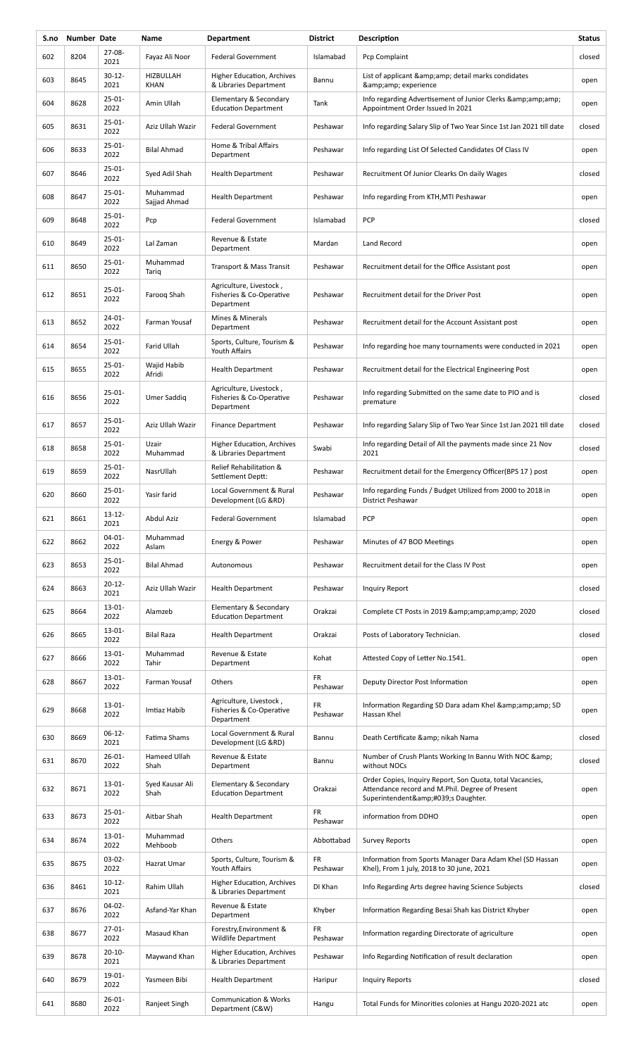| S.no | Number Date |                     | Name                     | <b>Department</b>                                                 | <b>District</b> | Description                                                                                                                                | <b>Status</b> |
|------|-------------|---------------------|--------------------------|-------------------------------------------------------------------|-----------------|--------------------------------------------------------------------------------------------------------------------------------------------|---------------|
| 602  | 8204        | $27 - 08 -$<br>2021 | Fayaz Ali Noor           | <b>Federal Government</b>                                         | Islamabad       | Pcp Complaint                                                                                                                              | closed        |
| 603  | 8645        | $30 - 12 -$<br>2021 | HIZBULLAH<br>KHAN        | Higher Education, Archives<br>& Libraries Department              | Bannu           | List of applicant & amp; amp; detail marks condidates<br>& experience                                                                      | open          |
| 604  | 8628        | $25-01-$<br>2022    | Amin Ullah               | Elementary & Secondary<br><b>Education Department</b>             | Tank            | Info regarding Advertisement of Junior Clerks & amp; amp; amp;<br>Appointment Order Issued In 2021                                         | open          |
| 605  | 8631        | $25 - 01 -$<br>2022 | Aziz Ullah Wazir         | <b>Federal Government</b>                                         | Peshawar        | Info regarding Salary Slip of Two Year Since 1st Jan 2021 till date                                                                        | closed        |
| 606  | 8633        | $25 - 01 -$<br>2022 | Bilal Ahmad              | Home & Tribal Affairs<br>Department                               | Peshawar        | Info regarding List Of Selected Candidates Of Class IV                                                                                     | open          |
| 607  | 8646        | $25 - 01 -$<br>2022 | Syed Adil Shah           | <b>Health Department</b>                                          | Peshawar        | Recruitment Of Junior Clearks On daily Wages                                                                                               | closed        |
| 608  | 8647        | $25 - 01 -$<br>2022 | Muhammad<br>Sajjad Ahmad | <b>Health Department</b>                                          | Peshawar        | Info regarding From KTH, MTI Peshawar                                                                                                      | open          |
| 609  | 8648        | $25 - 01 -$<br>2022 | Pcp                      | <b>Federal Government</b>                                         | Islamabad       | PCP                                                                                                                                        | closed        |
| 610  | 8649        | $25 - 01 -$<br>2022 | Lal Zaman                | Revenue & Estate<br>Department                                    | Mardan          | Land Record                                                                                                                                | open          |
| 611  | 8650        | $25 - 01 -$<br>2022 | Muhammad<br>Tariq        | Transport & Mass Transit                                          | Peshawar        | Recruitment detail for the Office Assistant post                                                                                           | open          |
| 612  | 8651        | $25 - 01 -$<br>2022 | Faroog Shah              | Agriculture, Livestock,<br>Fisheries & Co-Operative<br>Department | Peshawar        | Recruitment detail for the Driver Post                                                                                                     | open          |
| 613  | 8652        | 24-01-<br>2022      | Farman Yousaf            | Mines & Minerals<br>Department                                    | Peshawar        | Recruitment detail for the Account Assistant post                                                                                          | open          |
| 614  | 8654        | $25-01-$<br>2022    | Farid Ullah              | Sports, Culture, Tourism &<br>Youth Affairs                       | Peshawar        | Info regarding hoe many tournaments were conducted in 2021                                                                                 | open          |
| 615  | 8655        | 25-01-<br>2022      | Wajid Habib<br>Afridi    | <b>Health Department</b>                                          | Peshawar        | Recruitment detail for the Electrical Engineering Post                                                                                     | open          |
| 616  | 8656        | $25 - 01 -$<br>2022 | Umer Saddig              | Agriculture, Livestock,<br>Fisheries & Co-Operative<br>Department | Peshawar        | Info regarding Submitted on the same date to PIO and is<br>premature                                                                       | closed        |
| 617  | 8657        | $25-01-$<br>2022    | Aziz Ullah Wazir         | <b>Finance Department</b>                                         | Peshawar        | Info regarding Salary Slip of Two Year Since 1st Jan 2021 till date                                                                        | closed        |
| 618  | 8658        | $25-01-$<br>2022    | Uzair<br>Muhammad        | Higher Education, Archives<br>& Libraries Department              | Swabi           | Info regarding Detail of All the payments made since 21 Nov<br>2021                                                                        | closed        |
| 619  | 8659        | $25-01-$<br>2022    | NasrUllah                | Relief Rehabilitation &<br>Settlement Deptt:                      | Peshawar        | Recruitment detail for the Emergency Officer(BPS 17) post                                                                                  | open          |
| 620  | 8660        | $25 - 01 -$<br>2022 | Yasir farid              | Local Government & Rural<br>Development (LG &RD)                  | Peshawar        | Info regarding Funds / Budget Utilized from 2000 to 2018 in<br>District Peshawar                                                           | open          |
| 621  | 8661        | $13 - 12 -$<br>2021 | <b>Abdul Aziz</b>        | <b>Federal Government</b>                                         | Islamabad       | PCP                                                                                                                                        | open          |
| 622  | 8662        | $04 - 01 -$<br>2022 | Muhammad<br>Aslam        | Energy & Power                                                    | Peshawar        | Minutes of 47 BOD Meetings                                                                                                                 | open          |
| 623  | 8653        | $25-01-$<br>2022    | <b>Bilal Ahmad</b>       | Autonomous                                                        | Peshawar        | Recruitment detail for the Class IV Post                                                                                                   | open          |
| 624  | 8663        | $20 - 12 -$<br>2021 | Aziz Ullah Wazir         | <b>Health Department</b>                                          | Peshawar        | Inquiry Report                                                                                                                             | closed        |
| 625  | 8664        | $13 - 01 -$<br>2022 | Alamzeb                  | Elementary & Secondary<br><b>Education Department</b>             | Orakzai         | Complete CT Posts in 2019 & 2020                                                                                                           | closed        |
| 626  | 8665        | $13 - 01 -$<br>2022 | <b>Bilal Raza</b>        | <b>Health Department</b>                                          | Orakzai         | Posts of Laboratory Technician.                                                                                                            | closed        |
| 627  | 8666        | 13-01-<br>2022      | Muhammad<br>Tahir        | Revenue & Estate<br>Department                                    | Kohat           | Attested Copy of Letter No.1541.                                                                                                           | open          |
| 628  | 8667        | $13 - 01 -$<br>2022 | Farman Yousaf            | Others                                                            | FR<br>Peshawar  | Deputy Director Post Information                                                                                                           | open          |
| 629  | 8668        | $13 - 01 -$<br>2022 | Imtiaz Habib             | Agriculture, Livestock,<br>Fisheries & Co-Operative<br>Department | FR<br>Peshawar  | Information Regarding SD Dara adam Khel & amp; amp; amp; SD<br>Hassan Khel                                                                 | open          |
| 630  | 8669        | $06-12-$<br>2021    | Fatima Shams             | Local Government & Rural<br>Development (LG &RD)                  | Bannu           | Death Certificate & nikah Nama                                                                                                             | closed        |
| 631  | 8670        | $26 - 01 -$<br>2022 | Hameed Ullah<br>Shah     | Revenue & Estate<br>Department                                    | Bannu           | Number of Crush Plants Working In Bannu With NOC & amp;<br>without NOCs                                                                    | closed        |
| 632  | 8671        | $13 - 01 -$<br>2022 | Syed Kausar Ali<br>Shah  | Elementary & Secondary<br><b>Education Department</b>             | Orakzai         | Order Copies, Inquiry Report, Son Quota, total Vacancies,<br>Attendance record and M.Phil. Degree of Present<br>Superintendent's Daughter. | open          |
| 633  | 8673        | $25 - 01 -$<br>2022 | Aitbar Shah              | <b>Health Department</b>                                          | FR<br>Peshawar  | information from DDHO                                                                                                                      | open          |
| 634  | 8674        | 13-01-<br>2022      | Muhammad<br>Mehboob      | Others                                                            | Abbottabad      | <b>Survey Reports</b>                                                                                                                      | open          |
| 635  | 8675        | $03-02-$<br>2022    | Hazrat Umar              | Sports, Culture, Tourism &<br>Youth Affairs                       | FR<br>Peshawar  | Information from Sports Manager Dara Adam Khel (SD Hassan<br>Khel), From 1 july, 2018 to 30 june, 2021                                     | open          |
| 636  | 8461        | $10 - 12 -$<br>2021 | Rahim Ullah              | Higher Education, Archives<br>& Libraries Department              | DI Khan         | Info Regarding Arts degree having Science Subjects                                                                                         | closed        |
| 637  | 8676        | 04-02-<br>2022      | Asfand-Yar Khan          | Revenue & Estate<br>Department                                    | Khyber          | Information Regarding Besai Shah kas District Khyber                                                                                       | open          |
| 638  | 8677        | $27-01-$<br>2022    | Masaud Khan              | Forestry, Environment &<br>Wildlife Department                    | FR<br>Peshawar  | Information regarding Directorate of agriculture                                                                                           | open          |
| 639  | 8678        | $20 - 10 -$<br>2021 | Maywand Khan             | Higher Education, Archives<br>& Libraries Department              | Peshawar        | Info Regarding Notification of result declaration                                                                                          | open          |
| 640  | 8679        | 19-01-<br>2022      | Yasmeen Bibi             | <b>Health Department</b>                                          | Haripur         | <b>Inquiry Reports</b>                                                                                                                     | closed        |
| 641  | 8680        | $26 - 01 -$<br>2022 | Ranjeet Singh            | <b>Communication &amp; Works</b><br>Department (C&W)              | Hangu           | Total Funds for Minorities colonies at Hangu 2020-2021 atc                                                                                 | open          |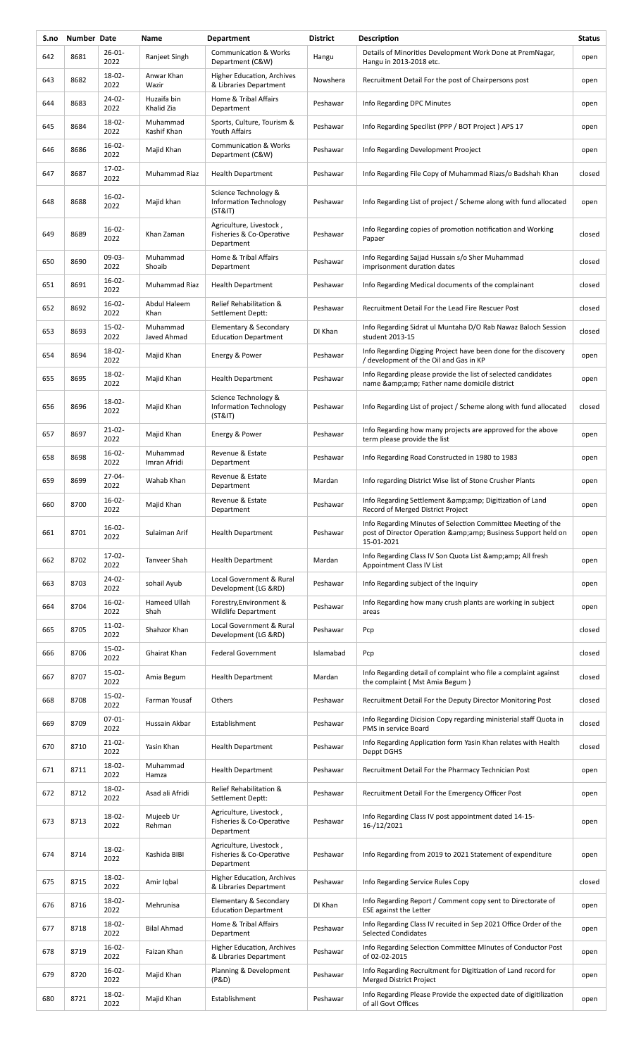| S.no | Number Date |                     | Name                      | <b>Department</b>                                                 | <b>District</b> | Description                                                                                                                                   | <b>Status</b> |
|------|-------------|---------------------|---------------------------|-------------------------------------------------------------------|-----------------|-----------------------------------------------------------------------------------------------------------------------------------------------|---------------|
| 642  | 8681        | $26 - 01 -$<br>2022 | Ranjeet Singh             | <b>Communication &amp; Works</b><br>Department (C&W)              | Hangu           | Details of Minorities Development Work Done at PremNagar,<br>Hangu in 2013-2018 etc.                                                          | open          |
| 643  | 8682        | 18-02-<br>2022      | Anwar Khan<br>Wazir       | Higher Education, Archives<br>& Libraries Department              | Nowshera        | Recruitment Detail For the post of Chairpersons post                                                                                          | open          |
| 644  | 8683        | $24-02-$<br>2022    | Huzaifa bin<br>Khalid Zia | Home & Tribal Affairs<br>Department                               | Peshawar        | Info Regarding DPC Minutes                                                                                                                    | open          |
| 645  | 8684        | 18-02-<br>2022      | Muhammad<br>Kashif Khan   | Sports, Culture, Tourism &<br>Youth Affairs                       | Peshawar        | Info Regarding Specilist (PPP / BOT Project) APS 17                                                                                           | open          |
| 646  | 8686        | $16 - 02 -$<br>2022 | Majid Khan                | <b>Communication &amp; Works</b><br>Department (C&W)              | Peshawar        | Info Regarding Development Prooject                                                                                                           | open          |
| 647  | 8687        | $17-02-$<br>2022    | Muhammad Riaz             | <b>Health Department</b>                                          | Peshawar        | Info Regarding File Copy of Muhammad Riazs/o Badshah Khan                                                                                     | closed        |
| 648  | 8688        | $16 - 02 -$<br>2022 | Majid khan                | Science Technology &<br>Information Technology<br>(ST&IT)         | Peshawar        | Info Regarding List of project / Scheme along with fund allocated                                                                             | open          |
| 649  | 8689        | $16 - 02 -$<br>2022 | Khan Zaman                | Agriculture, Livestock,<br>Fisheries & Co-Operative<br>Department | Peshawar        | Info Regarding copies of promotion notification and Working<br>Papaer                                                                         | closed        |
| 650  | 8690        | 09-03-<br>2022      | Muhammad<br>Shoaib        | Home & Tribal Affairs<br>Department                               | Peshawar        | Info Regarding Sajjad Hussain s/o Sher Muhammad<br>imprisonment duration dates                                                                | closed        |
| 651  | 8691        | $16-02-$<br>2022    | Muhammad Riaz             | <b>Health Department</b>                                          | Peshawar        | Info Regarding Medical documents of the complainant                                                                                           | closed        |
| 652  | 8692        | $16-02-$<br>2022    | Abdul Haleem<br>Khan      | Relief Rehabilitation &<br>Settlement Deptt:                      | Peshawar        | Recruitment Detail For the Lead Fire Rescuer Post                                                                                             | closed        |
| 653  | 8693        | 15-02-<br>2022      | Muhammad<br>Javed Ahmad   | Elementary & Secondary<br><b>Education Department</b>             | DI Khan         | Info Regarding Sidrat ul Muntaha D/O Rab Nawaz Baloch Session<br>student 2013-15                                                              | closed        |
| 654  | 8694        | 18-02-<br>2022      | Majid Khan                | Energy & Power                                                    | Peshawar        | Info Regarding Digging Project have been done for the discovery<br>/ development of the Oil and Gas in KP                                     | open          |
| 655  | 8695        | 18-02-<br>2022      | Majid Khan                | <b>Health Department</b>                                          | Peshawar        | Info Regarding please provide the list of selected candidates<br>name & Father name domicile district                                         | open          |
| 656  | 8696        | 18-02-<br>2022      | Majid Khan                | Science Technology &<br>Information Technology<br>(ST&T)          | Peshawar        | Info Regarding List of project / Scheme along with fund allocated                                                                             | closed        |
| 657  | 8697        | $21 - 02 -$<br>2022 | Majid Khan                | Energy & Power                                                    | Peshawar        | Info Regarding how many projects are approved for the above<br>term please provide the list                                                   | open          |
| 658  | 8698        | $16 - 02 -$<br>2022 | Muhammad<br>Imran Afridi  | Revenue & Estate<br>Department                                    | Peshawar        | Info Regarding Road Constructed in 1980 to 1983                                                                                               | open          |
| 659  | 8699        | 27-04-<br>2022      | Wahab Khan                | Revenue & Estate<br>Department                                    | Mardan          | Info regarding District Wise list of Stone Crusher Plants                                                                                     | open          |
| 660  | 8700        | $16-02-$<br>2022    | Majid Khan                | Revenue & Estate<br>Department                                    | Peshawar        | Info Regarding Settlement & amp; Digitization of Land<br>Record of Merged District Project                                                    | open          |
| 661  | 8701        | $16-02-$<br>2022    | Sulaiman Arif             | <b>Health Department</b>                                          | Peshawar        | Info Regarding Minutes of Selection Committee Meeting of the<br>post of Director Operation & amp; amp; Business Support held on<br>15-01-2021 | open          |
| 662  | 8702        | 17-02-<br>2022      | Tanveer Shah              | <b>Health Department</b>                                          | Mardan          | Info Regarding Class IV Son Quota List & amp; amp; All fresh<br>Appointment Class IV List                                                     | open          |
| 663  | 8703        | 24-02-<br>2022      | sohail Ayub               | Local Government & Rural<br>Development (LG &RD)                  | Peshawar        | Info Regarding subject of the Inquiry                                                                                                         | open          |
| 664  | 8704        | $16-02-$<br>2022    | Hameed Ullah<br>Shah      | Forestry, Environment &<br><b>Wildlife Department</b>             | Peshawar        | Info Regarding how many crush plants are working in subject<br>areas                                                                          | open          |
| 665  | 8705        | $11-02-$<br>2022    | Shahzor Khan              | Local Government & Rural<br>Development (LG &RD)                  | Peshawar        | Pcp                                                                                                                                           | closed        |
| 666  | 8706        | 15-02-<br>2022      | Ghairat Khan              | <b>Federal Government</b>                                         | Islamabad       | Pcp                                                                                                                                           | closed        |
| 667  | 8707        | 15-02-<br>2022      | Amia Begum                | <b>Health Department</b>                                          | Mardan          | Info Regarding detail of complaint who file a complaint against<br>the complaint (Mst Amia Begum)                                             | closed        |
| 668  | 8708        | 15-02-<br>2022      | Farman Yousaf             | Others                                                            | Peshawar        | Recruitment Detail For the Deputy Director Monitoring Post                                                                                    | closed        |
| 669  | 8709        | $07 - 01 -$<br>2022 | Hussain Akbar             | Establishment                                                     | Peshawar        | Info Regarding Dicision Copy regarding ministerial staff Quota in<br>PMS in service Board                                                     | closed        |
| 670  | 8710        | 21-02-<br>2022      | Yasin Khan                | <b>Health Department</b>                                          | Peshawar        | Info Regarding Application form Yasin Khan relates with Health<br>Deppt DGHS                                                                  | closed        |
| 671  | 8711        | 18-02-<br>2022      | Muhammad<br>Hamza         | <b>Health Department</b>                                          | Peshawar        | Recruitment Detail For the Pharmacy Technician Post                                                                                           | open          |
| 672  | 8712        | 18-02-<br>2022      | Asad ali Afridi           | Relief Rehabilitation &<br>Settlement Deptt:                      | Peshawar        | Recruitment Detail For the Emergency Officer Post                                                                                             | open          |
| 673  | 8713        | 18-02-<br>2022      | Mujeeb Ur<br>Rehman       | Agriculture, Livestock,<br>Fisheries & Co-Operative<br>Department | Peshawar        | Info Regarding Class IV post appointment dated 14-15-<br>16-/12/2021                                                                          | open          |
| 674  | 8714        | 18-02-<br>2022      | Kashida BIBI              | Agriculture, Livestock,<br>Fisheries & Co-Operative<br>Department | Peshawar        | Info Regarding from 2019 to 2021 Statement of expenditure                                                                                     | open          |
| 675  | 8715        | 18-02-<br>2022      | Amir Iqbal                | Higher Education, Archives<br>& Libraries Department              | Peshawar        | Info Regarding Service Rules Copy                                                                                                             | closed        |
| 676  | 8716        | 18-02-<br>2022      | Mehrunisa                 | Elementary & Secondary<br><b>Education Department</b>             | DI Khan         | Info Regarding Report / Comment copy sent to Directorate of<br><b>ESE</b> against the Letter                                                  | open          |
| 677  | 8718        | 18-02-<br>2022      | <b>Bilal Ahmad</b>        | Home & Tribal Affairs<br>Department                               | Peshawar        | Info Regarding Class IV recuited in Sep 2021 Office Order of the<br><b>Selected Condidates</b>                                                | open          |
| 678  | 8719        | $16-02-$<br>2022    | Faizan Khan               | Higher Education, Archives<br>& Libraries Department              | Peshawar        | Info Regarding Selection Committee MInutes of Conductor Post<br>of 02-02-2015                                                                 | open          |
| 679  | 8720        | $16-02-$<br>2022    | Majid Khan                | Planning & Development<br>(P&D)                                   | Peshawar        | Info Regarding Recruitment for Digitization of Land record for<br>Merged District Project                                                     | open          |
| 680  | 8721        | 18-02-<br>2022      | Majid Khan                | Establishment                                                     | Peshawar        | Info Regarding Please Provide the expected date of digitilization<br>of all Govt Offices                                                      | open          |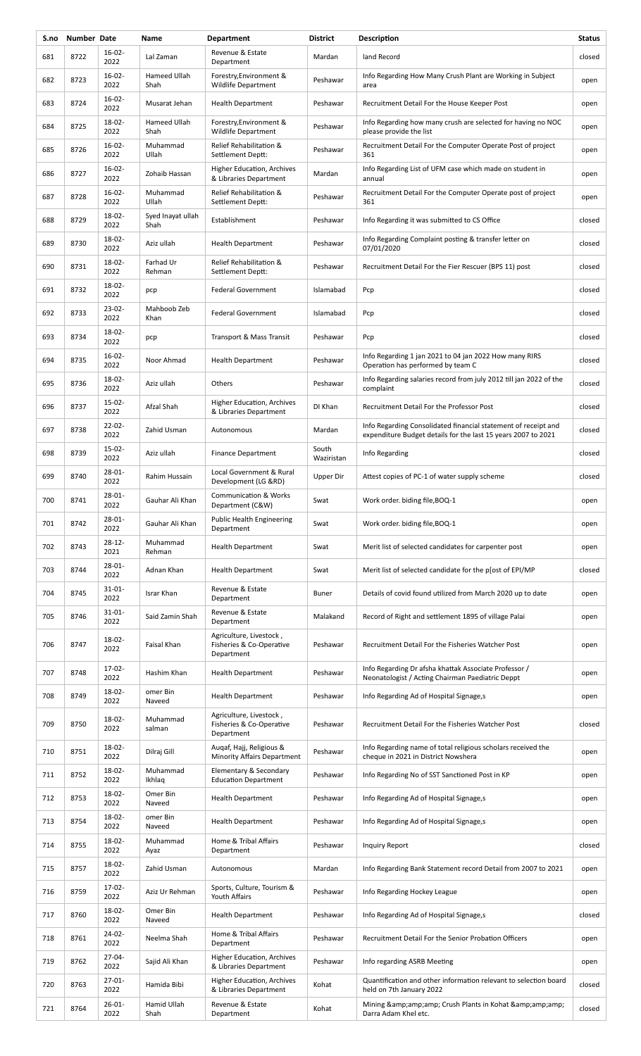| S.no | Number Date |                     | Name                      | <b>Department</b>                                                 | <b>District</b>     | <b>Description</b>                                                                                                              | <b>Status</b> |
|------|-------------|---------------------|---------------------------|-------------------------------------------------------------------|---------------------|---------------------------------------------------------------------------------------------------------------------------------|---------------|
| 681  | 8722        | $16-02-$<br>2022    | Lal Zaman                 | Revenue & Estate<br>Department                                    | Mardan              | land Record                                                                                                                     | closed        |
| 682  | 8723        | $16 - 02 -$<br>2022 | Hameed Ullah<br>Shah      | Forestry, Environment &<br>Wildlife Department                    | Peshawar            | Info Regarding How Many Crush Plant are Working in Subject<br>area                                                              | open          |
| 683  | 8724        | $16-02-$<br>2022    | Musarat Jehan             | <b>Health Department</b>                                          | Peshawar            | Recruitment Detail For the House Keeper Post                                                                                    | open          |
| 684  | 8725        | 18-02-<br>2022      | Hameed Ullah<br>Shah      | Forestry, Environment &<br><b>Wildlife Department</b>             | Peshawar            | Info Regarding how many crush are selected for having no NOC<br>please provide the list                                         | open          |
| 685  | 8726        | $16 - 02 -$<br>2022 | Muhammad<br>Ullah         | Relief Rehabilitation &<br>Settlement Deptt:                      | Peshawar            | Recruitment Detail For the Computer Operate Post of project<br>361                                                              | open          |
| 686  | 8727        | $16 - 02 -$<br>2022 | Zohaib Hassan             | Higher Education, Archives<br>& Libraries Department              | Mardan              | Info Regarding List of UFM case which made on student in<br>annual                                                              | open          |
| 687  | 8728        | $16 - 02 -$<br>2022 | Muhammad<br>Ullah         | Relief Rehabilitation &<br>Settlement Deptt:                      | Peshawar            | Recruitment Detail For the Computer Operate post of project<br>361                                                              | open          |
| 688  | 8729        | 18-02-<br>2022      | Syed Inayat ullah<br>Shah | Establishment                                                     | Peshawar            | Info Regarding it was submitted to CS Office                                                                                    | closed        |
| 689  | 8730        | 18-02-<br>2022      | Aziz ullah                | <b>Health Department</b>                                          | Peshawar            | Info Regarding Complaint posting & transfer letter on<br>07/01/2020                                                             | closed        |
| 690  | 8731        | 18-02-<br>2022      | Farhad Ur<br>Rehman       | Relief Rehabilitation &<br>Settlement Deptt:                      | Peshawar            | Recruitment Detail For the Fier Rescuer (BPS 11) post                                                                           | closed        |
| 691  | 8732        | 18-02-<br>2022      | pcp                       | <b>Federal Government</b>                                         | Islamabad           | Pcp                                                                                                                             | closed        |
| 692  | 8733        | $23-02-$<br>2022    | Mahboob Zeb<br>Khan       | <b>Federal Government</b>                                         | Islamabad           | Pcp                                                                                                                             | closed        |
| 693  | 8734        | 18-02-<br>2022      | pcp                       | Transport & Mass Transit                                          | Peshawar            | Pcp                                                                                                                             | closed        |
| 694  | 8735        | 16-02-<br>2022      | Noor Ahmad                | <b>Health Department</b>                                          | Peshawar            | Info Regarding 1 jan 2021 to 04 jan 2022 How many RIRS<br>Operation has performed by team C                                     | closed        |
| 695  | 8736        | 18-02-<br>2022      | Aziz ullah                | Others                                                            | Peshawar            | Info Regarding salaries record from july 2012 till jan 2022 of the<br>complaint                                                 | closed        |
| 696  | 8737        | 15-02-<br>2022      | Afzal Shah                | Higher Education, Archives<br>& Libraries Department              | DI Khan             | Recruitment Detail For the Professor Post                                                                                       | closed        |
| 697  | 8738        | $22 - 02 -$<br>2022 | Zahid Usman               | Autonomous                                                        | Mardan              | Info Regarding Consolidated financial statement of receipt and<br>expenditure Budget details for the last 15 years 2007 to 2021 | closed        |
| 698  | 8739        | $15-02-$<br>2022    | Aziz ullah                | <b>Finance Department</b>                                         | South<br>Waziristan | Info Regarding                                                                                                                  | closed        |
| 699  | 8740        | 28-01-<br>2022      | Rahim Hussain             | Local Government & Rural<br>Development (LG &RD)                  | Upper Dir           | Attest copies of PC-1 of water supply scheme                                                                                    | closed        |
| 700  | 8741        | $28 - 01 -$<br>2022 | Gauhar Ali Khan           | <b>Communication &amp; Works</b><br>Department (C&W)              | Swat                | Work order. biding file, BOQ-1                                                                                                  | open          |
| 701  | 8742        | $28 - 01 -$<br>2022 | Gauhar Ali Khan           | Public Health Engineering<br>Department                           | Swat                | Work order. biding file, BOQ-1                                                                                                  | open          |
| 702  | 8743        | $28 - 12 -$<br>2021 | Muhammad<br>Rehman        | <b>Health Department</b>                                          | Swat                | Merit list of selected candidates for carpenter post                                                                            | open          |
| 703  | 8744        | 28-01-<br>2022      | Adnan Khan                | <b>Health Department</b>                                          | Swat                | Merit list of selected candidate for the plost of EPI/MP                                                                        | closed        |
| 704  | 8745        | $31 - 01 -$<br>2022 | Israr Khan                | Revenue & Estate<br>Department                                    | Buner               | Details of covid found utilized from March 2020 up to date                                                                      | open          |
| 705  | 8746        | $31 - 01 -$<br>2022 | Said Zamin Shah           | Revenue & Estate<br>Department                                    | Malakand            | Record of Right and settlement 1895 of village Palai                                                                            | open          |
| 706  | 8747        | 18-02-<br>2022      | Faisal Khan               | Agriculture, Livestock,<br>Fisheries & Co-Operative<br>Department | Peshawar            | Recruitment Detail For the Fisheries Watcher Post                                                                               | open          |
| 707  | 8748        | $17-02-$<br>2022    | Hashim Khan               | <b>Health Department</b>                                          | Peshawar            | Info Regarding Dr afsha khattak Associate Professor /<br>Neonatologist / Acting Chairman Paediatric Deppt                       | open          |
| 708  | 8749        | 18-02-<br>2022      | omer Bin<br>Naveed        | <b>Health Department</b>                                          | Peshawar            | Info Regarding Ad of Hospital Signage,s                                                                                         | open          |
| 709  | 8750        | $18 - 02 -$<br>2022 | Muhammad<br>salman        | Agriculture, Livestock,<br>Fisheries & Co-Operative<br>Department | Peshawar            | Recruitment Detail For the Fisheries Watcher Post                                                                               | closed        |
| 710  | 8751        | 18-02-<br>2022      | Dilraj Gill               | Augaf, Hajj, Religious &<br><b>Minority Affairs Department</b>    | Peshawar            | Info Regarding name of total religious scholars received the<br>cheque in 2021 in District Nowshera                             | open          |
| 711  | 8752        | 18-02-<br>2022      | Muhammad<br>Ikhlaq        | Elementary & Secondary<br><b>Education Department</b>             | Peshawar            | Info Regarding No of SST Sanctioned Post in KP                                                                                  | open          |
| 712  | 8753        | 18-02-<br>2022      | Omer Bin<br>Naveed        | <b>Health Department</b>                                          | Peshawar            | Info Regarding Ad of Hospital Signage,s                                                                                         | open          |
| 713  | 8754        | 18-02-<br>2022      | omer Bin<br>Naveed        | <b>Health Department</b>                                          | Peshawar            | Info Regarding Ad of Hospital Signage,s                                                                                         | open          |
| 714  | 8755        | 18-02-<br>2022      | Muhammad<br>Ayaz          | Home & Tribal Affairs<br>Department                               | Peshawar            | Inquiry Report                                                                                                                  | closed        |
| 715  | 8757        | 18-02-<br>2022      | Zahid Usman               | Autonomous                                                        | Mardan              | Info Regarding Bank Statement record Detail from 2007 to 2021                                                                   | open          |
| 716  | 8759        | 17-02-<br>2022      | Aziz Ur Rehman            | Sports, Culture, Tourism &<br>Youth Affairs                       | Peshawar            | Info Regarding Hockey League                                                                                                    | open          |
| 717  | 8760        | 18-02-<br>2022      | Omer Bin<br>Naveed        | <b>Health Department</b>                                          | Peshawar            | Info Regarding Ad of Hospital Signage,s                                                                                         | closed        |
| 718  | 8761        | $24 - 02 -$<br>2022 | Neelma Shah               | Home & Tribal Affairs<br>Department                               | Peshawar            | Recruitment Detail For the Senior Probation Officers                                                                            | open          |
| 719  | 8762        | 27-04-<br>2022      | Sajid Ali Khan            | Higher Education, Archives<br>& Libraries Department              | Peshawar            | Info regarding ASRB Meeting                                                                                                     | open          |
| 720  | 8763        | $27 - 01 -$<br>2022 | Hamida Bibi               | Higher Education, Archives<br>& Libraries Department              | Kohat               | Quantification and other information relevant to selection board<br>held on 7th January 2022                                    | closed        |
| 721  | 8764        | $26 - 01 -$<br>2022 | Hamid Ullah<br>Shah       | Revenue & Estate<br>Department                                    | Kohat               | Mining & Crush Plants in Kohat &<br>Darra Adam Khel etc.                                                                        | closed        |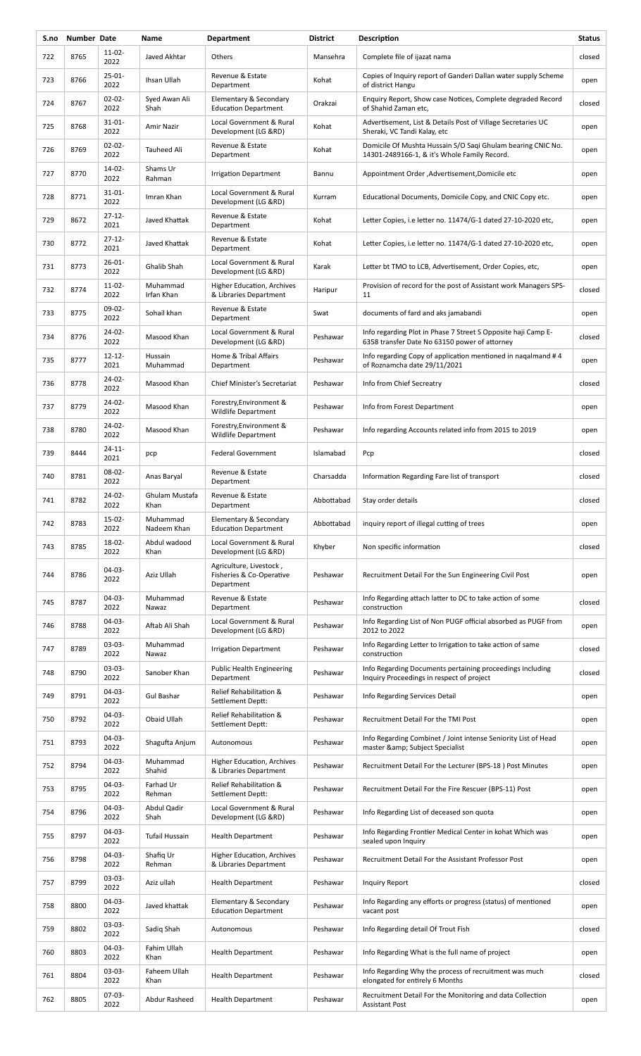| S.no | Number Date |                     | Name                    | <b>Department</b>                                                 | <b>District</b> | Description                                                                                                    | <b>Status</b> |
|------|-------------|---------------------|-------------------------|-------------------------------------------------------------------|-----------------|----------------------------------------------------------------------------------------------------------------|---------------|
| 722  | 8765        | $11-02-$<br>2022    | Javed Akhtar            | Others                                                            | Mansehra        | Complete file of ijazat nama                                                                                   | closed        |
| 723  | 8766        | 25-01-<br>2022      | Ihsan Ullah             | Revenue & Estate<br>Department                                    | Kohat           | Copies of Inquiry report of Ganderi Dallan water supply Scheme<br>of district Hangu                            | open          |
| 724  | 8767        | $02 - 02 -$<br>2022 | Syed Awan Ali<br>Shah   | Elementary & Secondary<br><b>Education Department</b>             | Orakzai         | Enquiry Report, Show case Notices, Complete degraded Record<br>of Shahid Zaman etc,                            | closed        |
| 725  | 8768        | $31 - 01 -$<br>2022 | Amir Nazir              | Local Government & Rural<br>Development (LG &RD)                  | Kohat           | Advertisement, List & Details Post of Village Secretaries UC<br>Sheraki, VC Tandi Kalay, etc                   | open          |
| 726  | 8769        | $02 - 02 -$<br>2022 | Tauheed Ali             | Revenue & Estate<br>Department                                    | Kohat           | Domicile Of Mushta Hussain S/O Sagi Ghulam bearing CNIC No.<br>14301-2489166-1, & it's Whole Family Record.    | open          |
| 727  | 8770        | $14 - 02 -$<br>2022 | Shams Ur<br>Rahman      | <b>Irrigation Department</b>                                      | Bannu           | Appointment Order , Advertisement, Domicile etc                                                                | open          |
| 728  | 8771        | $31 - 01 -$<br>2022 | Imran Khan              | Local Government & Rural<br>Development (LG &RD)                  | Kurram          | Educational Documents, Domicile Copy, and CNIC Copy etc.                                                       | open          |
| 729  | 8672        | $27 - 12 -$<br>2021 | Javed Khattak           | Revenue & Estate<br>Department                                    | Kohat           | Letter Copies, i.e letter no. 11474/G-1 dated 27-10-2020 etc,                                                  | open          |
| 730  | 8772        | $27 - 12 -$<br>2021 | Javed Khattak           | Revenue & Estate<br>Department                                    | Kohat           | Letter Copies, i.e letter no. 11474/G-1 dated 27-10-2020 etc,                                                  | open          |
| 731  | 8773        | $26 - 01 -$<br>2022 | Ghalib Shah             | Local Government & Rural<br>Development (LG &RD)                  | Karak           | Letter bt TMO to LCB, Advertisement, Order Copies, etc,                                                        | open          |
| 732  | 8774        | $11-02-$<br>2022    | Muhammad<br>Irfan Khan  | Higher Education, Archives<br>& Libraries Department              | Haripur         | Provision of record for the post of Assistant work Managers SPS-<br>11                                         | closed        |
| 733  | 8775        | 09-02-<br>2022      | Sohail khan             | Revenue & Estate<br>Department                                    | Swat            | documents of fard and aks jamabandi                                                                            | open          |
| 734  | 8776        | $24 - 02 -$<br>2022 | Masood Khan             | Local Government & Rural<br>Development (LG &RD)                  | Peshawar        | Info regarding Plot in Phase 7 Street S Opposite haji Camp E-<br>6358 transfer Date No 63150 power of attorney | closed        |
| 735  | 8777        | $12 - 12 -$<br>2021 | Hussain<br>Muhammad     | Home & Tribal Affairs<br>Department                               | Peshawar        | Info regarding Copy of application mentioned in nagalmand #4<br>of Roznamcha date 29/11/2021                   | open          |
| 736  | 8778        | $24 - 02 -$<br>2022 | Masood Khan             | Chief Minister's Secretariat                                      | Peshawar        | Info from Chief Secreatry                                                                                      | closed        |
| 737  | 8779        | 24-02-<br>2022      | Masood Khan             | Forestry, Environment &<br><b>Wildlife Department</b>             | Peshawar        | Info from Forest Department                                                                                    | open          |
| 738  | 8780        | $24 - 02 -$<br>2022 | Masood Khan             | Forestry, Environment &<br><b>Wildlife Department</b>             | Peshawar        | Info regarding Accounts related info from 2015 to 2019                                                         | open          |
| 739  | 8444        | $24 - 11 -$<br>2021 | pcp                     | <b>Federal Government</b>                                         | Islamabad       | Pcp                                                                                                            | closed        |
| 740  | 8781        | 08-02-<br>2022      | Anas Baryal             | Revenue & Estate<br>Department                                    | Charsadda       | Information Regarding Fare list of transport                                                                   | closed        |
| 741  | 8782        | $24-02-$<br>2022    | Ghulam Mustafa<br>Khan  | Revenue & Estate<br>Department                                    | Abbottabad      | Stay order details                                                                                             | closed        |
| 742  | 8783        | $15-02-$<br>2022    | Muhammad<br>Nadeem Khan | Elementary & Secondary<br><b>Education Department</b>             | Abbottabad      | inquiry report of illegal cutting of trees                                                                     | open          |
| 743  | 8785        | 18-02-<br>2022      | Abdul wadood<br>Khan    | Local Government & Rural<br>Development (LG &RD)                  | Khyber          | Non specific information                                                                                       | closed        |
| 744  | 8786        | 04-03-<br>2022      | Aziz Ullah              | Agriculture, Livestock,<br>Fisheries & Co-Operative<br>Department | Peshawar        | Recruitment Detail For the Sun Engineering Civil Post                                                          | open          |
| 745  | 8787        | $04-03-$<br>2022    | Muhammad<br>Nawaz       | Revenue & Estate<br>Department                                    | Peshawar        | Info Regarding attach latter to DC to take action of some<br>construction                                      | closed        |
| 746  | 8788        | $04-03-$<br>2022    | Aftab Ali Shah          | Local Government & Rural<br>Development (LG &RD)                  | Peshawar        | Info Regarding List of Non PUGF official absorbed as PUGF from<br>2012 to 2022                                 | open          |
| 747  | 8789        | $03-03-$<br>2022    | Muhammad<br>Nawaz       | <b>Irrigation Department</b>                                      | Peshawar        | Info Regarding Letter to Irrigation to take action of same<br>construction                                     | closed        |
| 748  | 8790        | 03-03-<br>2022      | Sanober Khan            | <b>Public Health Engineering</b><br>Department                    | Peshawar        | Info Regarding Documents pertaining proceedings including<br>Inquiry Proceedings in respect of project         | closed        |
| 749  | 8791        | 04-03-<br>2022      | Gul Bashar              | Relief Rehabilitation &<br>Settlement Deptt:                      | Peshawar        | Info Regarding Services Detail                                                                                 | open          |
| 750  | 8792        | $04 - 03 -$<br>2022 | Obaid Ullah             | Relief Rehabilitation &<br>Settlement Deptt:                      | Peshawar        | Recruitment Detail For the TMI Post                                                                            | open          |
| 751  | 8793        | $04 - 03 -$<br>2022 | Shagufta Anjum          | Autonomous                                                        | Peshawar        | Info Regarding Combinet / Joint intense Seniority List of Head<br>master & Subject Specialist                  | open          |
| 752  | 8794        | 04-03-<br>2022      | Muhammad<br>Shahid      | Higher Education, Archives<br>& Libraries Department              | Peshawar        | Recruitment Detail For the Lecturer (BPS-18) Post Minutes                                                      | open          |
| 753  | 8795        | $04-03-$<br>2022    | Farhad Ur<br>Rehman     | Relief Rehabilitation &<br>Settlement Deptt:                      | Peshawar        | Recruitment Detail For the Fire Rescuer (BPS-11) Post                                                          | open          |
| 754  | 8796        | 04-03-<br>2022      | Abdul Qadir<br>Shah     | Local Government & Rural<br>Development (LG &RD)                  | Peshawar        | Info Regarding List of deceased son quota                                                                      | open          |
| 755  | 8797        | $04 - 03 -$<br>2022 | Tufail Hussain          | <b>Health Department</b>                                          | Peshawar        | Info Regarding Frontier Medical Center in kohat Which was<br>sealed upon Inquiry                               | open          |
| 756  | 8798        | 04-03-<br>2022      | Shafiq Ur<br>Rehman     | Higher Education, Archives<br>& Libraries Department              | Peshawar        | Recruitment Detail For the Assistant Professor Post                                                            | open          |
| 757  | 8799        | $03-03-$<br>2022    | Aziz ullah              | <b>Health Department</b>                                          | Peshawar        | <b>Inquiry Report</b>                                                                                          | closed        |
| 758  | 8800        | $04 - 03 -$<br>2022 | Javed khattak           | Elementary & Secondary<br><b>Education Department</b>             | Peshawar        | Info Regarding any efforts or progress (status) of mentioned<br>vacant post                                    | open          |
| 759  | 8802        | 03-03-<br>2022      | Sadiq Shah              | Autonomous                                                        | Peshawar        | Info Regarding detail Of Trout Fish                                                                            | closed        |
| 760  | 8803        | 04-03-<br>2022      | Fahim Ullah<br>Khan     | <b>Health Department</b>                                          | Peshawar        | Info Regarding What is the full name of project                                                                | open          |
| 761  | 8804        | 03-03-<br>2022      | Faheem Ullah<br>Khan    | <b>Health Department</b>                                          | Peshawar        | Info Regarding Why the process of recruitment was much<br>elongated for entirely 6 Months                      | closed        |
| 762  | 8805        | 07-03-<br>2022      | Abdur Rasheed           | <b>Health Department</b>                                          | Peshawar        | Recruitment Detail For the Monitoring and data Collection<br><b>Assistant Post</b>                             | open          |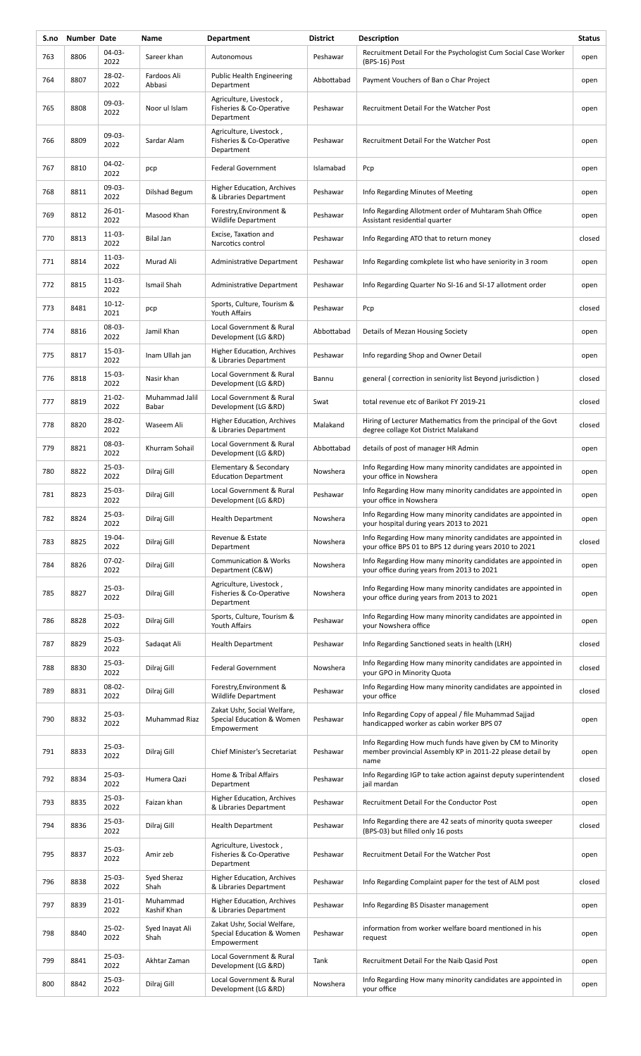| S.no | Number Date |                     | Name                    | <b>Department</b>                                                       | <b>District</b> | Description                                                                                                                     | <b>Status</b> |
|------|-------------|---------------------|-------------------------|-------------------------------------------------------------------------|-----------------|---------------------------------------------------------------------------------------------------------------------------------|---------------|
| 763  | 8806        | $04 - 03 -$<br>2022 | Sareer khan             | Autonomous                                                              | Peshawar        | Recruitment Detail For the Psychologist Cum Social Case Worker<br>(BPS-16) Post                                                 | open          |
| 764  | 8807        | 28-02-<br>2022      | Fardoos Ali<br>Abbasi   | <b>Public Health Engineering</b><br>Department                          | Abbottabad      | Payment Vouchers of Ban o Char Project                                                                                          | open          |
| 765  | 8808        | 09-03-<br>2022      | Noor ul Islam           | Agriculture, Livestock,<br>Fisheries & Co-Operative<br>Department       | Peshawar        | Recruitment Detail For the Watcher Post                                                                                         | open          |
| 766  | 8809        | 09-03-<br>2022      | Sardar Alam             | Agriculture, Livestock,<br>Fisheries & Co-Operative<br>Department       | Peshawar        | Recruitment Detail For the Watcher Post                                                                                         | open          |
| 767  | 8810        | 04-02-<br>2022      | pcp                     | <b>Federal Government</b>                                               | Islamabad       | Pcp                                                                                                                             | open          |
| 768  | 8811        | 09-03-<br>2022      | Dilshad Begum           | Higher Education, Archives<br>& Libraries Department                    | Peshawar        | Info Regarding Minutes of Meeting                                                                                               | open          |
| 769  | 8812        | $26 - 01 -$<br>2022 | Masood Khan             | Forestry, Environment &<br><b>Wildlife Department</b>                   | Peshawar        | Info Regarding Allotment order of Muhtaram Shah Office<br>Assistant residential quarter                                         | open          |
| 770  | 8813        | $11 - 03 -$<br>2022 | Bilal Jan               | Excise, Taxation and<br>Narcotics control                               | Peshawar        | Info Regarding ATO that to return money                                                                                         | closed        |
| 771  | 8814        | 11-03-<br>2022      | Murad Ali               | Administrative Department                                               | Peshawar        | Info Regarding comkplete list who have seniority in 3 room                                                                      | open          |
| 772  | 8815        | 11-03-<br>2022      | <b>Ismail Shah</b>      | Administrative Department                                               | Peshawar        | Info Regarding Quarter No SI-16 and SI-17 allotment order                                                                       | open          |
| 773  | 8481        | $10 - 12 -$<br>2021 | pcp                     | Sports, Culture, Tourism &<br>Youth Affairs                             | Peshawar        | Pcp                                                                                                                             | closed        |
| 774  | 8816        | 08-03-<br>2022      | Jamil Khan              | Local Government & Rural<br>Development (LG &RD)                        | Abbottabad      | Details of Mezan Housing Society                                                                                                | open          |
| 775  | 8817        | $15-03-$<br>2022    | Inam Ullah jan          | Higher Education, Archives<br>& Libraries Department                    | Peshawar        | Info regarding Shop and Owner Detail                                                                                            | open          |
| 776  | 8818        | $15-03-$<br>2022    | Nasir khan              | Local Government & Rural<br>Development (LG &RD)                        | Bannu           | general (correction in seniority list Beyond jurisdiction)                                                                      | closed        |
| 777  | 8819        | $21 - 02 -$<br>2022 | Muhammad Jalil<br>Babar | Local Government & Rural<br>Development (LG &RD)                        | Swat            | total revenue etc of Barikot FY 2019-21                                                                                         | closed        |
| 778  | 8820        | 28-02-<br>2022      | Waseem Ali              | Higher Education, Archives<br>& Libraries Department                    | Malakand        | Hiring of Lecturer Mathematics from the principal of the Govt<br>degree collage Kot District Malakand                           | closed        |
| 779  | 8821        | 08-03-<br>2022      | Khurram Sohail          | Local Government & Rural<br>Development (LG &RD)                        | Abbottabad      | details of post of manager HR Admin                                                                                             | open          |
| 780  | 8822        | $25-03-$<br>2022    | Dilraj Gill             | Elementary & Secondary<br><b>Education Department</b>                   | Nowshera        | Info Regarding How many minority candidates are appointed in<br>your office in Nowshera                                         | open          |
| 781  | 8823        | $25-03-$<br>2022    | Dilraj Gill             | Local Government & Rural<br>Development (LG &RD)                        | Peshawar        | Info Regarding How many minority candidates are appointed in<br>your office in Nowshera                                         | open          |
| 782  | 8824        | 25-03-<br>2022      | Dilraj Gill             | <b>Health Department</b>                                                | Nowshera        | Info Regarding How many minority candidates are appointed in<br>your hospital during years 2013 to 2021                         | open          |
| 783  | 8825        | 19-04-<br>2022      | Dilraj Gill             | Revenue & Estate<br>Department                                          | Nowshera        | Info Regarding How many minority candidates are appointed in<br>your office BPS 01 to BPS 12 during years 2010 to 2021          | closed        |
| 784  | 8826        | $07-02-$<br>2022    | Dilraj Gill             | <b>Communication &amp; Works</b><br>Department (C&W)                    | Nowshera        | Info Regarding How many minority candidates are appointed in<br>your office during years from 2013 to 2021                      | open          |
| 785  | 8827        | $25-03-$<br>2022    | Dilraj Gill             | Agriculture, Livestock,<br>Fisheries & Co-Operative<br>Department       | Nowshera        | Info Regarding How many minority candidates are appointed in<br>your office during years from 2013 to 2021                      | open          |
| 786  | 8828        | $25-03-$<br>2022    | Dilraj Gill             | Sports, Culture, Tourism &<br>Youth Affairs                             | Peshawar        | Info Regarding How many minority candidates are appointed in<br>your Nowshera office                                            | open          |
| 787  | 8829        | $25-03-$<br>2022    | Sadaqat Ali             | <b>Health Department</b>                                                | Peshawar        | Info Regarding Sanctioned seats in health (LRH)                                                                                 | closed        |
| 788  | 8830        | $25-03-$<br>2022    | Dilraj Gill             | <b>Federal Government</b>                                               | Nowshera        | Info Regarding How many minority candidates are appointed in<br>your GPO in Minority Quota                                      | closed        |
| 789  | 8831        | 08-02-<br>2022      | Dilraj Gill             | Forestry, Environment &<br>Wildlife Department                          | Peshawar        | Info Regarding How many minority candidates are appointed in<br>your office                                                     | closed        |
| 790  | 8832        | $25-03-$<br>2022    | Muhammad Riaz           | Zakat Ushr, Social Welfare,<br>Special Education & Women<br>Empowerment | Peshawar        | Info Regarding Copy of appeal / file Muhammad Sajjad<br>handicapped worker as cabin worker BPS 07                               | open          |
| 791  | 8833        | $25 - 03 -$<br>2022 | Dilraj Gill             | Chief Minister's Secretariat                                            | Peshawar        | Info Regarding How much funds have given by CM to Minority<br>member provincial Assembly KP in 2011-22 please detail by<br>name | open          |
| 792  | 8834        | 25-03-<br>2022      | Humera Qazi             | Home & Tribal Affairs<br>Department                                     | Peshawar        | Info Regarding IGP to take action against deputy superintendent<br>jail mardan                                                  | closed        |
| 793  | 8835        | $25-03-$<br>2022    | Faizan khan             | Higher Education, Archives<br>& Libraries Department                    | Peshawar        | Recruitment Detail For the Conductor Post                                                                                       | open          |
| 794  | 8836        | $25-03-$<br>2022    | Dilraj Gill             | <b>Health Department</b>                                                | Peshawar        | Info Regarding there are 42 seats of minority quota sweeper<br>(BPS-03) but filled only 16 posts                                | closed        |
| 795  | 8837        | $25-03-$<br>2022    | Amir zeb                | Agriculture, Livestock,<br>Fisheries & Co-Operative<br>Department       | Peshawar        | Recruitment Detail For the Watcher Post                                                                                         | open          |
| 796  | 8838        | $25-03-$<br>2022    | Syed Sheraz<br>Shah     | <b>Higher Education, Archives</b><br>& Libraries Department             | Peshawar        | Info Regarding Complaint paper for the test of ALM post                                                                         | closed        |
| 797  | 8839        | $21 - 01 -$<br>2022 | Muhammad<br>Kashif Khan | Higher Education, Archives<br>& Libraries Department                    | Peshawar        | Info Regarding BS Disaster management                                                                                           | open          |
| 798  | 8840        | $25-02-$<br>2022    | Syed Inayat Ali<br>Shah | Zakat Ushr, Social Welfare,<br>Special Education & Women<br>Empowerment | Peshawar        | information from worker welfare board mentioned in his<br>request                                                               | open          |
| 799  | 8841        | 25-03-<br>2022      | Akhtar Zaman            | Local Government & Rural<br>Development (LG &RD)                        | Tank            | Recruitment Detail For the Naib Qasid Post                                                                                      | open          |
| 800  | 8842        | 25-03-<br>2022      | Dilraj Gill             | Local Government & Rural<br>Development (LG &RD)                        | Nowshera        | Info Regarding How many minority candidates are appointed in<br>your office                                                     | open          |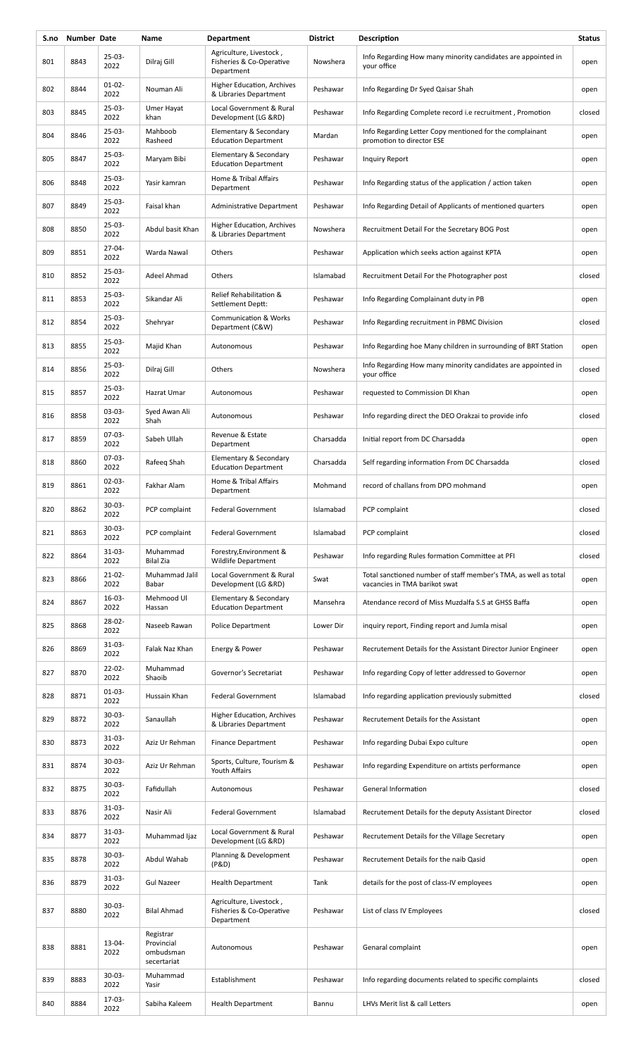| S.no | <b>Number Date</b> |                     | Name                                                | <b>Department</b>                                                 | <b>District</b> | Description                                                                                      | <b>Status</b> |
|------|--------------------|---------------------|-----------------------------------------------------|-------------------------------------------------------------------|-----------------|--------------------------------------------------------------------------------------------------|---------------|
| 801  | 8843               | $25-03-$<br>2022    | Dilraj Gill                                         | Agriculture, Livestock,<br>Fisheries & Co-Operative<br>Department | Nowshera        | Info Regarding How many minority candidates are appointed in<br>your office                      | open          |
| 802  | 8844               | $01 - 02 -$<br>2022 | Nouman Ali                                          | Higher Education, Archives<br>& Libraries Department              | Peshawar        | Info Regarding Dr Syed Qaisar Shah                                                               | open          |
| 803  | 8845               | $25-03-$<br>2022    | Umer Hayat<br>khan                                  | Local Government & Rural<br>Development (LG &RD)                  | Peshawar        | Info Regarding Complete record <i>i.e</i> recruitment, Promotion                                 | closed        |
| 804  | 8846               | $25 - 03 -$<br>2022 | Mahboob<br>Rasheed                                  | Elementary & Secondary<br><b>Education Department</b>             | Mardan          | Info Regarding Letter Copy mentioned for the complainant<br>promotion to director ESE            | open          |
| 805  | 8847               | $25 - 03 -$<br>2022 | Maryam Bibi                                         | Elementary & Secondary<br><b>Education Department</b>             | Peshawar        | Inquiry Report                                                                                   | open          |
| 806  | 8848               | $25 - 03 -$<br>2022 | Yasir kamran                                        | Home & Tribal Affairs<br>Department                               | Peshawar        | Info Regarding status of the application / action taken                                          | open          |
| 807  | 8849               | $25 - 03 -$<br>2022 | Faisal khan                                         | Administrative Department                                         | Peshawar        | Info Regarding Detail of Applicants of mentioned quarters                                        | open          |
| 808  | 8850               | $25-03-$<br>2022    | Abdul basit Khan                                    | Higher Education, Archives<br>& Libraries Department              | Nowshera        | Recruitment Detail For the Secretary BOG Post                                                    | open          |
| 809  | 8851               | $27 - 04 -$<br>2022 | Warda Nawal                                         | Others                                                            | Peshawar        | Application which seeks action against KPTA                                                      | open          |
| 810  | 8852               | $25-03-$<br>2022    | Adeel Ahmad                                         | Others                                                            | Islamabad       | Recruitment Detail For the Photographer post                                                     | closed        |
| 811  | 8853               | $25-03-$<br>2022    | Sikandar Ali                                        | Relief Rehabilitation &<br>Settlement Deptt:                      | Peshawar        | Info Regarding Complainant duty in PB                                                            | open          |
| 812  | 8854               | $25 - 03 -$<br>2022 | Shehryar                                            | <b>Communication &amp; Works</b><br>Department (C&W)              | Peshawar        | Info Regarding recruitment in PBMC Division                                                      | closed        |
| 813  | 8855               | $25 - 03 -$<br>2022 | Majid Khan                                          | Autonomous                                                        | Peshawar        | Info Regarding hoe Many children in surrounding of BRT Station                                   | open          |
| 814  | 8856               | $25 - 03 -$<br>2022 | Dilraj Gill                                         | Others                                                            | Nowshera        | Info Regarding How many minority candidates are appointed in<br>your office                      | closed        |
| 815  | 8857               | $25 - 03 -$<br>2022 | Hazrat Umar                                         | Autonomous                                                        | Peshawar        | requested to Commission DI Khan                                                                  | open          |
| 816  | 8858               | $03 - 03 -$<br>2022 | Syed Awan Ali<br>Shah                               | Autonomous                                                        | Peshawar        | Info regarding direct the DEO Orakzai to provide info                                            | closed        |
| 817  | 8859               | $07-03-$<br>2022    | Sabeh Ullah                                         | Revenue & Estate<br>Department                                    | Charsadda       | Initial report from DC Charsadda                                                                 | open          |
| 818  | 8860               | $07-03-$<br>2022    | Rafeeg Shah                                         | Elementary & Secondary<br><b>Education Department</b>             | Charsadda       | Self regarding information From DC Charsadda                                                     | closed        |
| 819  | 8861               | $02 - 03 -$<br>2022 | Fakhar Alam                                         | Home & Tribal Affairs<br>Department                               | Mohmand         | record of challans from DPO mohmand                                                              | open          |
| 820  | 8862               | 30-03-<br>2022      | PCP complaint                                       | <b>Federal Government</b>                                         | Islamabad       | PCP complaint                                                                                    | closed        |
| 821  | 8863               | $30 - 03 -$<br>2022 | PCP complaint                                       | <b>Federal Government</b>                                         | Islamabad       | PCP complaint                                                                                    | closed        |
| 822  | 8864               | $31 - 03 -$<br>2022 | Muhammad<br><b>Bilal Zia</b>                        | Forestry, Environment &<br><b>Wildlife Department</b>             | Peshawar        | Info regarding Rules formation Committee at PFI                                                  | closed        |
| 823  | 8866               | $21-02-$<br>2022    | Muhammad Jalil<br>Babar                             | Local Government & Rural<br>Development (LG &RD)                  | Swat            | Total sanctioned number of staff member's TMA, as well as total<br>vacancies in TMA barikot swat | open          |
| 824  | 8867               | 16-03-<br>2022      | Mehmood Ul<br>Hassan                                | Elementary & Secondary<br><b>Education Department</b>             | Mansehra        | Atendance record of Miss Muzdalfa S.S at GHSS Baffa                                              | open          |
| 825  | 8868               | $28 - 02 -$<br>2022 | Naseeb Rawan                                        | <b>Police Department</b>                                          | Lower Dir       | inquiry report, Finding report and Jumla misal                                                   | open          |
| 826  | 8869               | $31-03-$<br>2022    | Falak Naz Khan                                      | Energy & Power                                                    | Peshawar        | Recrutement Details for the Assistant Director Junior Engineer                                   | open          |
| 827  | 8870               | $22 - 02 -$<br>2022 | Muhammad<br>Shaoib                                  | Governor's Secretariat                                            | Peshawar        | Info regarding Copy of letter addressed to Governor                                              | open          |
| 828  | 8871               | $01 - 03 -$<br>2022 | Hussain Khan                                        | <b>Federal Government</b>                                         | Islamabad       | Info regarding application previously submitted                                                  | closed        |
| 829  | 8872               | $30 - 03 -$<br>2022 | Sanaullah                                           | <b>Higher Education, Archives</b><br>& Libraries Department       | Peshawar        | Recrutement Details for the Assistant                                                            | open          |
| 830  | 8873               | $31 - 03 -$<br>2022 | Aziz Ur Rehman                                      | <b>Finance Department</b>                                         | Peshawar        | Info regarding Dubai Expo culture                                                                | open          |
| 831  | 8874               | $30 - 03 -$<br>2022 | Aziz Ur Rehman                                      | Sports, Culture, Tourism &<br>Youth Affairs                       | Peshawar        | Info regarding Expenditure on artists performance                                                | open          |
| 832  | 8875               | $30 - 03 -$<br>2022 | Fafidullah                                          | Autonomous                                                        | Peshawar        | General Information                                                                              | closed        |
| 833  | 8876               | $31-03-$<br>2022    | Nasir Ali                                           | <b>Federal Government</b>                                         | Islamabad       | Recrutement Details for the deputy Assistant Director                                            | closed        |
| 834  | 8877               | $31 - 03 -$<br>2022 | Muhammad Ijaz                                       | Local Government & Rural<br>Development (LG &RD)                  | Peshawar        | Recrutement Details for the Village Secretary                                                    | open          |
| 835  | 8878               | $30 - 03 -$<br>2022 | Abdul Wahab                                         | Planning & Development<br>(P&D)                                   | Peshawar        | Recrutement Details for the naib Qasid                                                           | open          |
| 836  | 8879               | $31 - 03 -$<br>2022 | <b>Gul Nazeer</b>                                   | <b>Health Department</b>                                          | Tank            | details for the post of class-IV employees                                                       | open          |
| 837  | 8880               | $30-03-$<br>2022    | <b>Bilal Ahmad</b>                                  | Agriculture, Livestock,<br>Fisheries & Co-Operative<br>Department | Peshawar        | List of class IV Employees                                                                       | closed        |
| 838  | 8881               | 13-04-<br>2022      | Registrar<br>Provincial<br>ombudsman<br>secertariat | Autonomous                                                        | Peshawar        | Genaral complaint                                                                                | open          |
| 839  | 8883               | $30 - 03 -$<br>2022 | Muhammad<br>Yasir                                   | Establishment                                                     | Peshawar        | Info regarding documents related to specific complaints                                          | closed        |
| 840  | 8884               | 17-03-<br>2022      | Sabiha Kaleem                                       | <b>Health Department</b>                                          | Bannu           | LHVs Merit list & call Letters                                                                   | open          |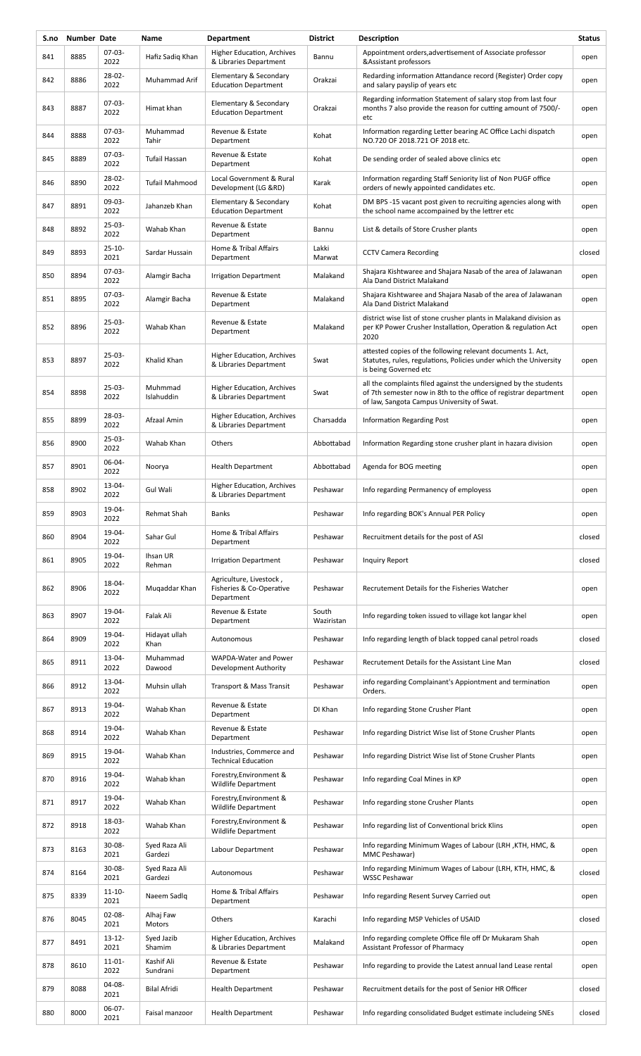| S.no | Number Date |                     | Name                     | <b>Department</b>                                                 | <b>District</b>     | Description                                                                                                                                                                        | <b>Status</b> |
|------|-------------|---------------------|--------------------------|-------------------------------------------------------------------|---------------------|------------------------------------------------------------------------------------------------------------------------------------------------------------------------------------|---------------|
| 841  | 8885        | $07-03-$<br>2022    | Hafiz Sadiq Khan         | Higher Education, Archives<br>& Libraries Department              | Bannu               | Appointment orders, advertisement of Associate professor<br>&Assistant professors                                                                                                  | open          |
| 842  | 8886        | 28-02-<br>2022      | Muhammad Arif            | Elementary & Secondary<br><b>Education Department</b>             | Orakzai             | Redarding information Attandance record (Register) Order copy<br>and salary payslip of years etc                                                                                   | open          |
| 843  | 8887        | $07-03-$<br>2022    | Himat khan               | Elementary & Secondary<br><b>Education Department</b>             | Orakzai             | Regarding information Statement of salary stop from last four<br>months 7 also provide the reason for cutting amount of 7500/-<br>etc                                              | open          |
| 844  | 8888        | $07-03-$<br>2022    | Muhammad<br>Tahir        | Revenue & Estate<br>Department                                    | Kohat               | Information regarding Letter bearing AC Office Lachi dispatch<br>NO.720 OF 2018.721 OF 2018 etc.                                                                                   | open          |
| 845  | 8889        | $07-03-$<br>2022    | <b>Tufail Hassan</b>     | Revenue & Estate<br>Department                                    | Kohat               | De sending order of sealed above clinics etc                                                                                                                                       | open          |
| 846  | 8890        | 28-02-<br>2022      | <b>Tufail Mahmood</b>    | Local Government & Rural<br>Development (LG &RD)                  | Karak               | Information regarding Staff Seniority list of Non PUGF office<br>orders of newly appointed candidates etc.                                                                         | open          |
| 847  | 8891        | 09-03-<br>2022      | Jahanzeb Khan            | Elementary & Secondary<br><b>Education Department</b>             | Kohat               | DM BPS -15 vacant post given to recruiting agencies along with<br>the school name accompained by the lettrer etc                                                                   | open          |
| 848  | 8892        | $25-03-$<br>2022    | Wahab Khan               | Revenue & Estate<br>Department                                    | Bannu               | List & details of Store Crusher plants                                                                                                                                             | open          |
| 849  | 8893        | $25 - 10 -$<br>2021 | Sardar Hussain           | Home & Tribal Affairs<br>Department                               | Lakki<br>Marwat     | <b>CCTV Camera Recording</b>                                                                                                                                                       | closed        |
| 850  | 8894        | $07-03-$<br>2022    | Alamgir Bacha            | <b>Irrigation Department</b>                                      | Malakand            | Shajara Kishtwaree and Shajara Nasab of the area of Jalawanan<br>Ala Dand District Malakand                                                                                        | open          |
| 851  | 8895        | 07-03-<br>2022      | Alamgir Bacha            | Revenue & Estate<br>Department                                    | Malakand            | Shajara Kishtwaree and Shajara Nasab of the area of Jalawanan<br>Ala Dand District Malakand                                                                                        | open          |
| 852  | 8896        | $25-03-$<br>2022    | Wahab Khan               | Revenue & Estate<br>Department                                    | Malakand            | district wise list of stone crusher plants in Malakand division as<br>per KP Power Crusher Installation, Operation & regulation Act<br>2020                                        | open          |
| 853  | 8897        | $25-03-$<br>2022    | Khalid Khan              | Higher Education, Archives<br>& Libraries Department              | Swat                | attested copies of the following relevant documents 1. Act,<br>Statutes, rules, regulations, Policies under which the University<br>is being Governed etc                          | open          |
| 854  | 8898        | $25-03-$<br>2022    | Muhmmad<br>Islahuddin    | Higher Education, Archives<br>& Libraries Department              | Swat                | all the complaints filed against the undersigned by the students<br>of 7th semester now in 8th to the office of registrar department<br>of law, Sangota Campus University of Swat. | open          |
| 855  | 8899        | 28-03-<br>2022      | Afzaal Amin              | Higher Education, Archives<br>& Libraries Department              | Charsadda           | <b>Information Regarding Post</b>                                                                                                                                                  | open          |
| 856  | 8900        | $25-03-$<br>2022    | Wahab Khan               | Others                                                            | Abbottabad          | Information Regarding stone crusher plant in hazara division                                                                                                                       | open          |
| 857  | 8901        | 06-04-<br>2022      | Noorya                   | <b>Health Department</b>                                          | Abbottabad          | Agenda for BOG meeting                                                                                                                                                             | open          |
| 858  | 8902        | 13-04-<br>2022      | Gul Wali                 | Higher Education, Archives<br>& Libraries Department              | Peshawar            | Info regarding Permanency of employess                                                                                                                                             | open          |
| 859  | 8903        | 19-04-<br>2022      | Rehmat Shah              | <b>Banks</b>                                                      | Peshawar            | Info regarding BOK's Annual PER Policy                                                                                                                                             | open          |
| 860  | 8904        | 19-04-<br>2022      | Sahar Gul                | Home & Tribal Affairs<br>Department                               | Peshawar            | Recruitment details for the post of ASI                                                                                                                                            | closed        |
| 861  | 8905        | 19-04-<br>2022      | Ihsan UR<br>Rehman       | <b>Irrigation Department</b>                                      | Peshawar            | Inquiry Report                                                                                                                                                                     | closed        |
| 862  | 8906        | 18-04-<br>2022      | Muqaddar Khan            | Agriculture, Livestock,<br>Fisheries & Co-Operative<br>Department | Peshawar            | Recrutement Details for the Fisheries Watcher                                                                                                                                      | open          |
| 863  | 8907        | 19-04-<br>2022      | Falak Ali                | Revenue & Estate<br>Department                                    | South<br>Waziristan | Info regarding token issued to village kot langar khel                                                                                                                             | open          |
| 864  | 8909        | 19-04-<br>2022      | Hidayat ullah<br>Khan    | Autonomous                                                        | Peshawar            | Info regarding length of black topped canal petrol roads                                                                                                                           | closed        |
| 865  | 8911        | $13 - 04 -$<br>2022 | Muhammad<br>Dawood       | WAPDA-Water and Power<br>Development Authority                    | Peshawar            | Recrutement Details for the Assistant Line Man                                                                                                                                     | closed        |
| 866  | 8912        | 13-04-<br>2022      | Muhsin ullah             | Transport & Mass Transit                                          | Peshawar            | info regarding Complainant's Appiontment and termination<br>Orders.                                                                                                                | open          |
| 867  | 8913        | 19-04-<br>2022      | Wahab Khan               | Revenue & Estate<br>Department                                    | DI Khan             | Info regarding Stone Crusher Plant                                                                                                                                                 | open          |
| 868  | 8914        | 19-04-<br>2022      | Wahab Khan               | Revenue & Estate<br>Department                                    | Peshawar            | Info regarding District Wise list of Stone Crusher Plants                                                                                                                          | open          |
| 869  | 8915        | 19-04-<br>2022      | Wahab Khan               | Industries, Commerce and<br><b>Technical Education</b>            | Peshawar            | Info regarding District Wise list of Stone Crusher Plants                                                                                                                          | open          |
| 870  | 8916        | 19-04-<br>2022      | Wahab khan               | Forestry, Environment &<br><b>Wildlife Department</b>             | Peshawar            | Info regarding Coal Mines in KP                                                                                                                                                    | open          |
| 871  | 8917        | 19-04-<br>2022      | Wahab Khan               | Forestry, Environment &<br><b>Wildlife Department</b>             | Peshawar            | Info regarding stone Crusher Plants                                                                                                                                                | open          |
| 872  | 8918        | 18-03-<br>2022      | Wahab Khan               | Forestry, Environment &<br>Wildlife Department                    | Peshawar            | Info regarding list of Conventional brick Klins                                                                                                                                    | open          |
| 873  | 8163        | $30 - 08 -$<br>2021 | Syed Raza Ali<br>Gardezi | Labour Department                                                 | Peshawar            | Info regarding Minimum Wages of Labour (LRH, KTH, HMC, &<br>MMC Peshawar)                                                                                                          | open          |
| 874  | 8164        | 30-08-<br>2021      | Syed Raza Ali<br>Gardezi | Autonomous                                                        | Peshawar            | Info regarding Minimum Wages of Labour (LRH, KTH, HMC, &<br><b>WSSC Peshawar</b>                                                                                                   | closed        |
| 875  | 8339        | $11 - 10 -$<br>2021 | Naeem Sadlq              | Home & Tribal Affairs<br>Department                               | Peshawar            | Info regarding Resent Survey Carried out                                                                                                                                           | open          |
| 876  | 8045        | $02 - 08 -$<br>2021 | Alhaj Faw<br>Motors      | Others                                                            | Karachi             | Info regarding MSP Vehicles of USAID                                                                                                                                               | closed        |
| 877  | 8491        | $13 - 12 -$<br>2021 | Syed Jazib<br>Shamim     | Higher Education, Archives<br>& Libraries Department              | Malakand            | Info regarding complete Office file off Dr Mukaram Shah<br>Assistant Professor of Pharmacy                                                                                         | open          |
| 878  | 8610        | $11 - 01 -$<br>2022 | Kashif Ali<br>Sundrani   | Revenue & Estate<br>Department                                    | Peshawar            | Info regarding to provide the Latest annual land Lease rental                                                                                                                      | open          |
| 879  | 8088        | 04-08-<br>2021      | Bilal Afridi             | <b>Health Department</b>                                          | Peshawar            | Recruitment details for the post of Senior HR Officer                                                                                                                              | closed        |
| 880  | 8000        | 06-07-<br>2021      | Faisal manzoor           | <b>Health Department</b>                                          | Peshawar            | Info regarding consolidated Budget estimate includeing SNEs                                                                                                                        | closed        |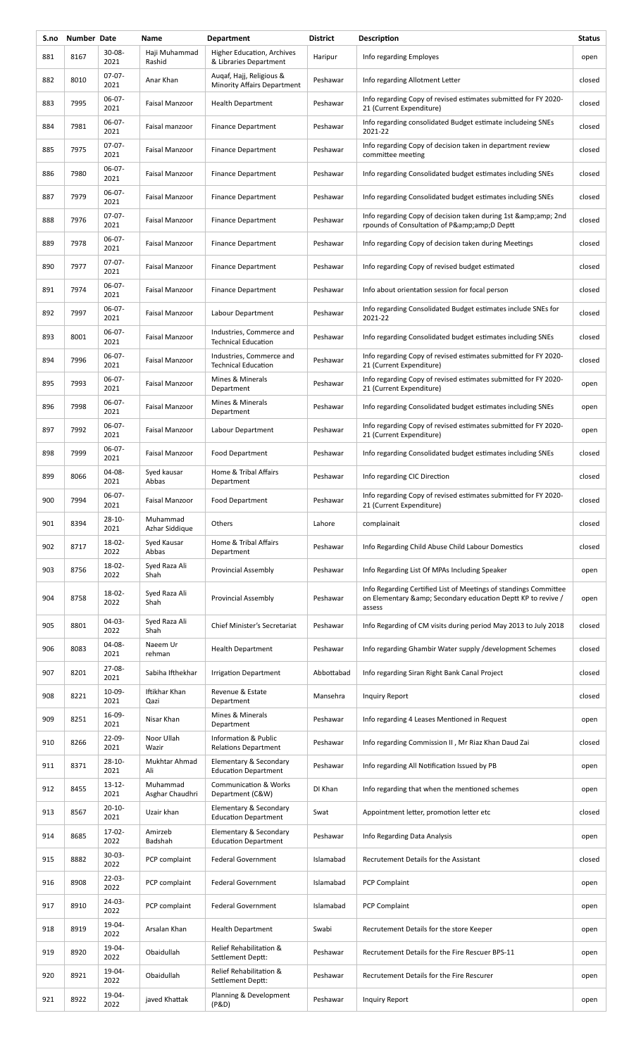| S.no | Number Date |                     | Name                        | <b>Department</b>                                              | <b>District</b> | Description                                                                                                                                 | <b>Status</b> |
|------|-------------|---------------------|-----------------------------|----------------------------------------------------------------|-----------------|---------------------------------------------------------------------------------------------------------------------------------------------|---------------|
| 881  | 8167        | 30-08-<br>2021      | Haji Muhammad<br>Rashid     | <b>Higher Education, Archives</b><br>& Libraries Department    | Haripur         | Info regarding Employes                                                                                                                     | open          |
| 882  | 8010        | $07-07-$<br>2021    | Anar Khan                   | Augaf, Hajj, Religious &<br><b>Minority Affairs Department</b> | Peshawar        | Info regarding Allotment Letter                                                                                                             | closed        |
| 883  | 7995        | 06-07-<br>2021      | Faisal Manzoor              | <b>Health Department</b>                                       | Peshawar        | Info regarding Copy of revised estimates submitted for FY 2020-<br>21 (Current Expenditure)                                                 | closed        |
| 884  | 7981        | 06-07-<br>2021      | Faisal manzoor              | <b>Finance Department</b>                                      | Peshawar        | Info regarding consolidated Budget estimate includeing SNEs<br>2021-22                                                                      | closed        |
| 885  | 7975        | $07-07-$<br>2021    | Faisal Manzoor              | <b>Finance Department</b>                                      | Peshawar        | Info regarding Copy of decision taken in department review<br>committee meeting                                                             | closed        |
| 886  | 7980        | $06-07-$<br>2021    | Faisal Manzoor              | <b>Finance Department</b>                                      | Peshawar        | Info regarding Consolidated budget estimates including SNEs                                                                                 | closed        |
| 887  | 7979        | $06-07-$<br>2021    | Faisal Manzoor              | <b>Finance Department</b>                                      | Peshawar        | Info regarding Consolidated budget estimates including SNEs                                                                                 | closed        |
| 888  | 7976        | $07-07-$<br>2021    | Faisal Manzoor              | <b>Finance Department</b>                                      | Peshawar        | Info regarding Copy of decision taken during 1st & 2nd<br>rpounds of Consultation of P&D Deptt                                              | closed        |
| 889  | 7978        | $06-07-$<br>2021    | Faisal Manzoor              | <b>Finance Department</b>                                      | Peshawar        | Info regarding Copy of decision taken during Meetings                                                                                       | closed        |
| 890  | 7977        | $07-07-$<br>2021    | Faisal Manzoor              | <b>Finance Department</b>                                      | Peshawar        | Info regarding Copy of revised budget estimated                                                                                             | closed        |
| 891  | 7974        | 06-07-<br>2021      | Faisal Manzoor              | <b>Finance Department</b>                                      | Peshawar        | Info about orientation session for focal person                                                                                             | closed        |
| 892  | 7997        | 06-07-<br>2021      | Faisal Manzoor              | Labour Department                                              | Peshawar        | Info regarding Consolidated Budget estimates include SNEs for<br>2021-22                                                                    | closed        |
| 893  | 8001        | $06-07-$<br>2021    | Faisal Manzoor              | Industries, Commerce and<br><b>Technical Education</b>         | Peshawar        | Info regarding Consolidated budget estimates including SNEs                                                                                 | closed        |
| 894  | 7996        | 06-07-<br>2021      | Faisal Manzoor              | Industries, Commerce and<br><b>Technical Education</b>         | Peshawar        | Info regarding Copy of revised estimates submitted for FY 2020-<br>21 (Current Expenditure)                                                 | closed        |
| 895  | 7993        | 06-07-<br>2021      | Faisal Manzoor              | Mines & Minerals<br>Department                                 | Peshawar        | Info regarding Copy of revised estimates submitted for FY 2020-<br>21 (Current Expenditure)                                                 | open          |
| 896  | 7998        | 06-07-<br>2021      | Faisal Manzoor              | Mines & Minerals<br>Department                                 | Peshawar        | Info regarding Consolidated budget estimates including SNEs                                                                                 | open          |
| 897  | 7992        | 06-07-<br>2021      | Faisal Manzoor              | Labour Department                                              | Peshawar        | Info regarding Copy of revised estimates submitted for FY 2020-<br>21 (Current Expenditure)                                                 | open          |
| 898  | 7999        | 06-07-<br>2021      | Faisal Manzoor              | <b>Food Department</b>                                         | Peshawar        | Info regarding Consolidated budget estimates including SNEs                                                                                 | closed        |
| 899  | 8066        | 04-08-<br>2021      | Syed kausar<br>Abbas        | Home & Tribal Affairs<br>Department                            | Peshawar        | Info regarding CIC Direction                                                                                                                | closed        |
| 900  | 7994        | $06-07-$<br>2021    | Faisal Manzoor              | Food Department                                                | Peshawar        | Info regarding Copy of revised estimates submitted for FY 2020-<br>21 (Current Expenditure)                                                 | closed        |
| 901  | 8394        | 28-10-<br>2021      | Muhammad<br>Azhar Siddique  | Others                                                         | Lahore          | complainait                                                                                                                                 | closed        |
| 902  | 8717        | 18-02-<br>2022      | Syed Kausar<br>Abbas        | Home & Tribal Affairs<br>Department                            | Peshawar        | Info Regarding Child Abuse Child Labour Domestics                                                                                           | closed        |
| 903  | 8756        | 18-02-<br>2022      | Syed Raza Ali<br>Shah       | <b>Provincial Assembly</b>                                     | Peshawar        | Info Regarding List Of MPAs Including Speaker                                                                                               | open          |
| 904  | 8758        | 18-02-<br>2022      | Syed Raza Ali<br>Shah       | <b>Provincial Assembly</b>                                     | Peshawar        | Info Regarding Certified List of Meetings of standings Committee<br>on Elementary & amp; Secondary education Deptt KP to revive /<br>assess | open          |
| 905  | 8801        | 04-03-<br>2022      | Syed Raza Ali<br>Shah       | <b>Chief Minister's Secretariat</b>                            | Peshawar        | Info Regarding of CM visits during period May 2013 to July 2018                                                                             | closed        |
| 906  | 8083        | 04-08-<br>2021      | Naeem Ur<br>rehman          | <b>Health Department</b>                                       | Peshawar        | Info regarding Ghambir Water supply /development Schemes                                                                                    | closed        |
| 907  | 8201        | 27-08-<br>2021      | Sabiha Ifthekhar            | <b>Irrigation Department</b>                                   | Abbottabad      | Info regarding Siran Right Bank Canal Project                                                                                               | closed        |
| 908  | 8221        | 10-09-<br>2021      | Iftikhar Khan<br>Qazi       | Revenue & Estate<br>Department                                 | Mansehra        | Inquiry Report                                                                                                                              | closed        |
| 909  | 8251        | 16-09-<br>2021      | Nisar Khan                  | Mines & Minerals<br>Department                                 | Peshawar        | Info regarding 4 Leases Mentioned in Request                                                                                                | open          |
| 910  | 8266        | 22-09-<br>2021      | Noor Ullah<br>Wazir         | Information & Public<br><b>Relations Department</b>            | Peshawar        | Info regarding Commission II, Mr Riaz Khan Daud Zai                                                                                         | closed        |
| 911  | 8371        | $28 - 10 -$<br>2021 | Mukhtar Ahmad<br>Ali        | Elementary & Secondary<br><b>Education Department</b>          | Peshawar        | Info regarding All Notification Issued by PB                                                                                                | open          |
| 912  | 8455        | $13 - 12 -$<br>2021 | Muhammad<br>Asghar Chaudhri | <b>Communication &amp; Works</b><br>Department (C&W)           | DI Khan         | Info regarding that when the mentioned schemes                                                                                              | open          |
| 913  | 8567        | $20 - 10 -$<br>2021 | Uzair khan                  | Elementary & Secondary<br><b>Education Department</b>          | Swat            | Appointment letter, promotion letter etc                                                                                                    | closed        |
| 914  | 8685        | 17-02-<br>2022      | Amirzeb<br>Badshah          | Elementary & Secondary<br><b>Education Department</b>          | Peshawar        | Info Regarding Data Analysis                                                                                                                | open          |
| 915  | 8882        | $30-03-$<br>2022    | PCP complaint               | <b>Federal Government</b>                                      | Islamabad       | Recrutement Details for the Assistant                                                                                                       | closed        |
| 916  | 8908        | $22 - 03 -$<br>2022 | PCP complaint               | <b>Federal Government</b>                                      | Islamabad       | <b>PCP Complaint</b>                                                                                                                        | open          |
| 917  | 8910        | $24-03-$<br>2022    | PCP complaint               | <b>Federal Government</b>                                      | Islamabad       | <b>PCP Complaint</b>                                                                                                                        | open          |
| 918  | 8919        | 19-04-<br>2022      | Arsalan Khan                | <b>Health Department</b>                                       | Swabi           | Recrutement Details for the store Keeper                                                                                                    | open          |
| 919  | 8920        | 19-04-<br>2022      | Obaidullah                  | Relief Rehabilitation &<br>Settlement Deptt:                   | Peshawar        | Recrutement Details for the Fire Rescuer BPS-11                                                                                             | open          |
| 920  | 8921        | 19-04-<br>2022      | Obaidullah                  | Relief Rehabilitation &<br>Settlement Deptt:                   | Peshawar        | Recrutement Details for the Fire Rescurer                                                                                                   | open          |
| 921  | 8922        | 19-04-<br>2022      | javed Khattak               | Planning & Development<br>(P&D)                                | Peshawar        | <b>Inquiry Report</b>                                                                                                                       | open          |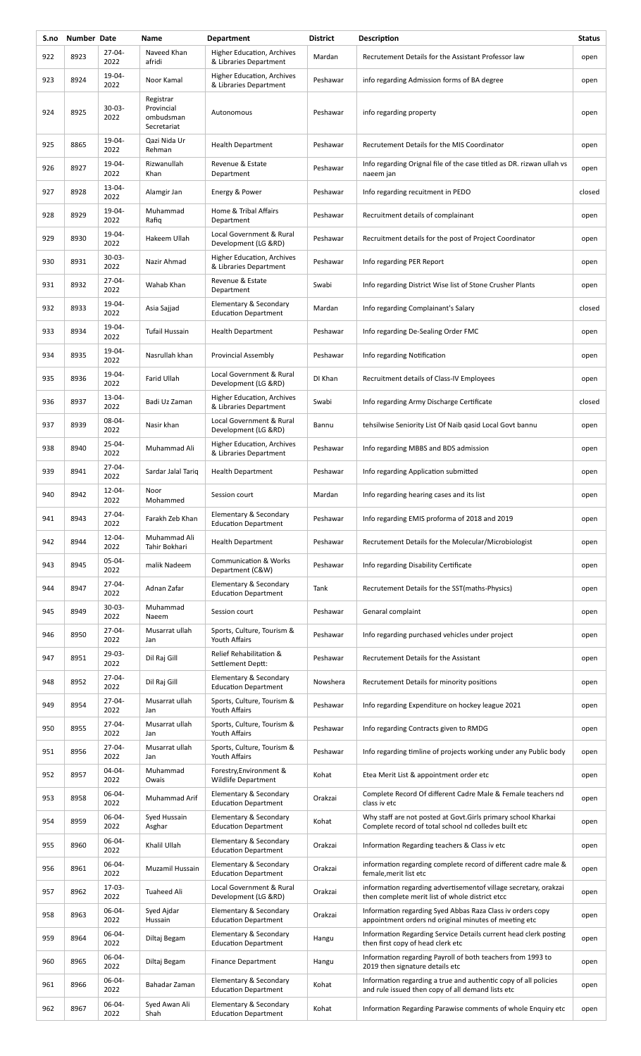| S.no | Number Date |                     | Name                                                | <b>Department</b>                                     | <b>District</b> | Description                                                                                                            | <b>Status</b> |
|------|-------------|---------------------|-----------------------------------------------------|-------------------------------------------------------|-----------------|------------------------------------------------------------------------------------------------------------------------|---------------|
| 922  | 8923        | 27-04-<br>2022      | Naveed Khan<br>afridi                               | Higher Education, Archives<br>& Libraries Department  | Mardan          | Recrutement Details for the Assistant Professor law                                                                    | open          |
| 923  | 8924        | 19-04-<br>2022      | Noor Kamal                                          | Higher Education, Archives<br>& Libraries Department  | Peshawar        | info regarding Admission forms of BA degree                                                                            | open          |
| 924  | 8925        | $30 - 03 -$<br>2022 | Registrar<br>Provincial<br>ombudsman<br>Secretariat | Autonomous                                            | Peshawar        | info regarding property                                                                                                | open          |
| 925  | 8865        | 19-04-<br>2022      | Qazi Nida Ur<br>Rehman                              | <b>Health Department</b>                              | Peshawar        | Recrutement Details for the MIS Coordinator                                                                            | open          |
| 926  | 8927        | 19-04-<br>2022      | Rizwanullah<br>Khan                                 | Revenue & Estate<br>Department                        | Peshawar        | Info regarding Orignal file of the case titled as DR. rizwan ullah vs<br>naeem jan                                     | open          |
| 927  | 8928        | 13-04-<br>2022      | Alamgir Jan                                         | Energy & Power                                        | Peshawar        | Info regarding recuitment in PEDO                                                                                      | closed        |
| 928  | 8929        | 19-04-<br>2022      | Muhammad<br>Rafiq                                   | Home & Tribal Affairs<br>Department                   | Peshawar        | Recruitment details of complainant                                                                                     | open          |
| 929  | 8930        | 19-04-<br>2022      | Hakeem Ullah                                        | Local Government & Rural<br>Development (LG &RD)      | Peshawar        | Recruitment details for the post of Project Coordinator                                                                | open          |
| 930  | 8931        | $30 - 03 -$<br>2022 | Nazir Ahmad                                         | Higher Education, Archives<br>& Libraries Department  | Peshawar        | Info regarding PER Report                                                                                              | open          |
| 931  | 8932        | 27-04-<br>2022      | Wahab Khan                                          | Revenue & Estate<br>Department                        | Swabi           | Info regarding District Wise list of Stone Crusher Plants                                                              | open          |
| 932  | 8933        | 19-04-<br>2022      | Asia Sajjad                                         | Elementary & Secondary<br><b>Education Department</b> | Mardan          | Info regarding Complainant's Salary                                                                                    | closed        |
| 933  | 8934        | 19-04-<br>2022      | Tufail Hussain                                      | <b>Health Department</b>                              | Peshawar        | Info regarding De-Sealing Order FMC                                                                                    | open          |
| 934  | 8935        | 19-04-<br>2022      | Nasrullah khan                                      | <b>Provincial Assembly</b>                            | Peshawar        | Info regarding Notification                                                                                            | open          |
| 935  | 8936        | 19-04-<br>2022      | Farid Ullah                                         | Local Government & Rural<br>Development (LG &RD)      | DI Khan         | Recruitment details of Class-IV Employees                                                                              | open          |
| 936  | 8937        | 13-04-<br>2022      | Badi Uz Zaman                                       | Higher Education, Archives<br>& Libraries Department  | Swabi           | Info regarding Army Discharge Certificate                                                                              | closed        |
| 937  | 8939        | 08-04-<br>2022      | Nasir khan                                          | Local Government & Rural<br>Development (LG &RD)      | Bannu           | tehsilwise Seniority List Of Naib gasid Local Govt bannu                                                               | open          |
| 938  | 8940        | $25 - 04 -$<br>2022 | Muhammad Ali                                        | Higher Education, Archives<br>& Libraries Department  | Peshawar        | Info regarding MBBS and BDS admission                                                                                  | open          |
| 939  | 8941        | 27-04-<br>2022      | Sardar Jalal Tariq                                  | <b>Health Department</b>                              | Peshawar        | Info regarding Application submitted                                                                                   | open          |
| 940  | 8942        | 12-04-<br>2022      | Noor<br>Mohammed                                    | Session court                                         | Mardan          | Info regarding hearing cases and its list                                                                              | open          |
| 941  | 8943        | 27-04-<br>2022      | Farakh Zeb Khan                                     | Elementary & Secondary<br><b>Education Department</b> | Peshawar        | Info regarding EMIS proforma of 2018 and 2019                                                                          | open          |
| 942  | 8944        | 12-04-<br>2022      | Muhammad Ali<br>Tahir Bokhari                       | <b>Health Department</b>                              | Peshawar        | Recrutement Details for the Molecular/Microbiologist                                                                   | open          |
| 943  | 8945        | 05-04-<br>2022      | malik Nadeem                                        | <b>Communication &amp; Works</b><br>Department (C&W)  | Peshawar        | Info regarding Disability Certificate                                                                                  | open          |
| 944  | 8947        | 27-04-<br>2022      | Adnan Zafar                                         | Elementary & Secondary<br><b>Education Department</b> | Tank            | Recrutement Details for the SST(maths-Physics)                                                                         | open          |
| 945  | 8949        | $30 - 03 -$<br>2022 | Muhammad<br>Naeem                                   | Session court                                         | Peshawar        | Genaral complaint                                                                                                      | open          |
| 946  | 8950        | 27-04-<br>2022      | Musarrat ullah<br>Jan                               | Sports, Culture, Tourism &<br>Youth Affairs           | Peshawar        | Info regarding purchased vehicles under project                                                                        | open          |
| 947  | 8951        | $29-03-$<br>2022    | Dil Raj Gill                                        | Relief Rehabilitation &<br>Settlement Deptt:          | Peshawar        | Recrutement Details for the Assistant                                                                                  | open          |
| 948  | 8952        | 27-04-<br>2022      | Dil Raj Gill                                        | Elementary & Secondary<br><b>Education Department</b> | Nowshera        | Recrutement Details for minority positions                                                                             | open          |
| 949  | 8954        | 27-04-<br>2022      | Musarrat ullah<br>Jan                               | Sports, Culture, Tourism &<br>Youth Affairs           | Peshawar        | Info regarding Expenditure on hockey league 2021                                                                       | open          |
| 950  | 8955        | $27 - 04 -$<br>2022 | Musarrat ullah<br>Jan                               | Sports, Culture, Tourism &<br>Youth Affairs           | Peshawar        | Info regarding Contracts given to RMDG                                                                                 | open          |
| 951  | 8956        | 27-04-<br>2022      | Musarrat ullah<br>Jan                               | Sports, Culture, Tourism &<br>Youth Affairs           | Peshawar        | Info regarding timline of projects working under any Public body                                                       | open          |
| 952  | 8957        | 04-04-<br>2022      | Muhammad<br>Owais                                   | Forestry, Environment &<br><b>Wildlife Department</b> | Kohat           | Etea Merit List & appointment order etc                                                                                | open          |
| 953  | 8958        | 06-04-<br>2022      | Muhammad Arif                                       | Elementary & Secondary<br><b>Education Department</b> | Orakzai         | Complete Record Of different Cadre Male & Female teachers nd<br>class iv etc                                           | open          |
| 954  | 8959        | 06-04-<br>2022      | Syed Hussain<br>Asghar                              | Elementary & Secondary<br><b>Education Department</b> | Kohat           | Why staff are not posted at Govt.Girls primary school Kharkai<br>Complete record of total school nd colledes built etc | open          |
| 955  | 8960        | 06-04-<br>2022      | Khalil Ullah                                        | Elementary & Secondary<br><b>Education Department</b> | Orakzai         | Information Regarding teachers & Class iv etc                                                                          | open          |
| 956  | 8961        | 06-04-<br>2022      | Muzamil Hussain                                     | Elementary & Secondary<br><b>Education Department</b> | Orakzai         | information regarding complete record of different cadre male &<br>female, merit list etc                              | open          |
| 957  | 8962        | 17-03-<br>2022      | <b>Tuaheed Ali</b>                                  | Local Government & Rural<br>Development (LG &RD)      | Orakzai         | information regarding advertisementof village secretary, orakzai<br>then complete merit list of whole district etcc    | open          |
| 958  | 8963        | 06-04-<br>2022      | Syed Ajdar<br>Hussain                               | Elementary & Secondary<br><b>Education Department</b> | Orakzai         | Information regarding Syed Abbas Raza Class iv orders copy<br>appointment orders nd original minutes of meeting etc    | open          |
| 959  | 8964        | 06-04-<br>2022      | Diltaj Begam                                        | Elementary & Secondary<br><b>Education Department</b> | Hangu           | Information Regarding Service Details current head clerk posting<br>then first copy of head clerk etc                  | open          |
| 960  | 8965        | 06-04-<br>2022      | Diltaj Begam                                        | <b>Finance Department</b>                             | Hangu           | Information regarding Payroll of both teachers from 1993 to<br>2019 then signature details etc                         | open          |
| 961  | 8966        | 06-04-<br>2022      | Bahadar Zaman                                       | Elementary & Secondary<br><b>Education Department</b> | Kohat           | Information regarding a true and authentic copy of all policies<br>and rule issued then copy of all demand lists etc   | open          |
| 962  | 8967        | 06-04-<br>2022      | Syed Awan Ali<br>Shah                               | Elementary & Secondary<br><b>Education Department</b> | Kohat           | Information Regarding Parawise comments of whole Enquiry etc                                                           | open          |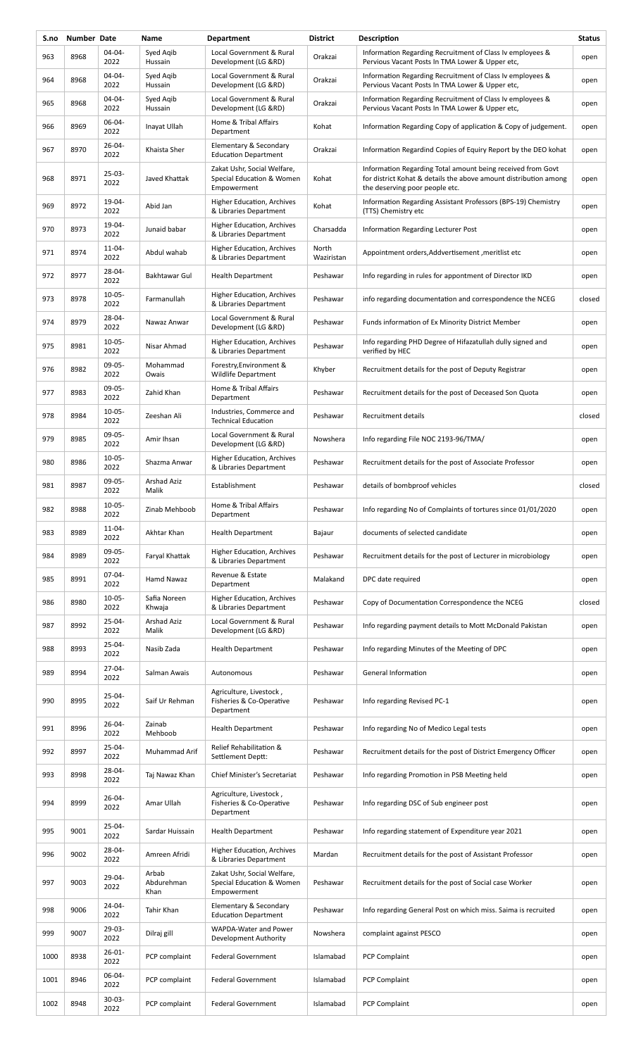| S.no | Number Date |                     | Name                        | <b>Department</b>                                                       | <b>District</b>     | Description                                                                                                                                                       | <b>Status</b> |
|------|-------------|---------------------|-----------------------------|-------------------------------------------------------------------------|---------------------|-------------------------------------------------------------------------------------------------------------------------------------------------------------------|---------------|
| 963  | 8968        | 04-04-<br>2022      | Syed Agib<br>Hussain        | Local Government & Rural<br>Development (LG &RD)                        | Orakzai             | Information Regarding Recruitment of Class Iv employees &<br>Pervious Vacant Posts In TMA Lower & Upper etc,                                                      | open          |
| 964  | 8968        | 04-04-<br>2022      | Syed Agib<br>Hussain        | Local Government & Rural<br>Development (LG &RD)                        | Orakzai             | Information Regarding Recruitment of Class Iv employees &<br>Pervious Vacant Posts In TMA Lower & Upper etc,                                                      | open          |
| 965  | 8968        | 04-04-<br>2022      | Syed Aqib<br>Hussain        | Local Government & Rural<br>Development (LG &RD)                        | Orakzai             | Information Regarding Recruitment of Class Iv employees &<br>Pervious Vacant Posts In TMA Lower & Upper etc,                                                      | open          |
| 966  | 8969        | 06-04-<br>2022      | Inayat Ullah                | Home & Tribal Affairs<br>Department                                     | Kohat               | Information Regarding Copy of application & Copy of judgement.                                                                                                    | open          |
| 967  | 8970        | $26 - 04 -$<br>2022 | Khaista Sher                | Elementary & Secondary<br><b>Education Department</b>                   | Orakzai             | Information Regardind Copies of Equiry Report by the DEO kohat                                                                                                    | open          |
| 968  | 8971        | 25-03-<br>2022      | Javed Khattak               | Zakat Ushr, Social Welfare,<br>Special Education & Women<br>Empowerment | Kohat               | Information Regarding Total amount being received from Govt<br>for district Kohat & details the above amount distribution among<br>the deserving poor people etc. | open          |
| 969  | 8972        | 19-04-<br>2022      | Abid Jan                    | Higher Education, Archives<br>& Libraries Department                    | Kohat               | Information Regarding Assistant Professors (BPS-19) Chemistry<br>(TTS) Chemistry etc                                                                              | open          |
| 970  | 8973        | 19-04-<br>2022      | Junaid babar                | Higher Education, Archives<br>& Libraries Department                    | Charsadda           | Information Regarding Lecturer Post                                                                                                                               | open          |
| 971  | 8974        | $11 - 04 -$<br>2022 | Abdul wahab                 | Higher Education, Archives<br>& Libraries Department                    | North<br>Waziristan | Appointment orders, Addvertisement, meritlist etc                                                                                                                 | open          |
| 972  | 8977        | 28-04-<br>2022      | Bakhtawar Gul               | <b>Health Department</b>                                                | Peshawar            | Info regarding in rules for appontment of Director IKD                                                                                                            | open          |
| 973  | 8978        | $10 - 05 -$<br>2022 | Farmanullah                 | Higher Education, Archives<br>& Libraries Department                    | Peshawar            | info regarding documentation and correspondence the NCEG                                                                                                          | closed        |
| 974  | 8979        | 28-04-<br>2022      | Nawaz Anwar                 | Local Government & Rural<br>Development (LG &RD)                        | Peshawar            | Funds information of Ex Minority District Member                                                                                                                  | open          |
| 975  | 8981        | $10 - 05 -$<br>2022 | Nisar Ahmad                 | Higher Education, Archives<br>& Libraries Department                    | Peshawar            | Info regarding PHD Degree of Hifazatullah dully signed and<br>verified by HEC                                                                                     | open          |
| 976  | 8982        | $09-05-$<br>2022    | Mohammad<br>Owais           | Forestry, Environment &<br>Wildlife Department                          | Khyber              | Recruitment details for the post of Deputy Registrar                                                                                                              | open          |
| 977  | 8983        | 09-05-<br>2022      | Zahid Khan                  | Home & Tribal Affairs<br>Department                                     | Peshawar            | Recruitment details for the post of Deceased Son Quota                                                                                                            | open          |
| 978  | 8984        | $10 - 05 -$<br>2022 | Zeeshan Ali                 | Industries, Commerce and<br><b>Technical Education</b>                  | Peshawar            | Recruitment details                                                                                                                                               | closed        |
| 979  | 8985        | 09-05-<br>2022      | Amir Ihsan                  | Local Government & Rural<br>Development (LG &RD)                        | Nowshera            | Info regarding File NOC 2193-96/TMA/                                                                                                                              | open          |
| 980  | 8986        | $10 - 05 -$<br>2022 | Shazma Anwar                | Higher Education, Archives<br>& Libraries Department                    | Peshawar            | Recruitment details for the post of Associate Professor                                                                                                           | open          |
| 981  | 8987        | 09-05-<br>2022      | Arshad Aziz<br>Malik        | Establishment                                                           | Peshawar            | details of bombproof vehicles                                                                                                                                     | closed        |
| 982  | 8988        | $10 - 05 -$<br>2022 | Zinab Mehboob               | Home & Tribal Affairs<br>Department                                     | Peshawar            | Info regarding No of Complaints of tortures since 01/01/2020                                                                                                      | open          |
| 983  | 8989        | $11 - 04 -$<br>2022 | Akhtar Khan                 | <b>Health Department</b>                                                | Bajaur              | documents of selected candidate                                                                                                                                   | open          |
| 984  | 8989        | 09-05-<br>2022      | Faryal Khattak              | Higher Education, Archives<br>& Libraries Department                    | Peshawar            | Recruitment details for the post of Lecturer in microbiology                                                                                                      | open          |
| 985  | 8991        | 07-04-<br>2022      | Hamd Nawaz                  | Revenue & Estate<br>Department                                          | Malakand            | DPC date required                                                                                                                                                 | open          |
| 986  | 8980        | $10-05-$<br>2022    | Safia Noreen<br>Khwaja      | Higher Education, Archives<br>& Libraries Department                    | Peshawar            | Copy of Documentation Correspondence the NCEG                                                                                                                     | closed        |
| 987  | 8992        | 25-04-<br>2022      | <b>Arshad Aziz</b><br>Malik | Local Government & Rural<br>Development (LG &RD)                        | Peshawar            | Info regarding payment details to Mott McDonald Pakistan                                                                                                          | open          |
| 988  | 8993        | 25-04-<br>2022      | Nasib Zada                  | <b>Health Department</b>                                                | Peshawar            | Info regarding Minutes of the Meeting of DPC                                                                                                                      | open          |
| 989  | 8994        | 27-04-<br>2022      | Salman Awais                | Autonomous                                                              | Peshawar            | General Information                                                                                                                                               | open          |
| 990  | 8995        | 25-04-<br>2022      | Saif Ur Rehman              | Agriculture, Livestock,<br>Fisheries & Co-Operative<br>Department       | Peshawar            | Info regarding Revised PC-1                                                                                                                                       | open          |
| 991  | 8996        | $26 - 04 -$<br>2022 | Zainab<br>Mehboob           | <b>Health Department</b>                                                | Peshawar            | Info regarding No of Medico Legal tests                                                                                                                           | open          |
| 992  | 8997        | 25-04-<br>2022      | Muhammad Arif               | Relief Rehabilitation &<br>Settlement Deptt:                            | Peshawar            | Recruitment details for the post of District Emergency Officer                                                                                                    | open          |
| 993  | 8998        | 28-04-<br>2022      | Taj Nawaz Khan              | Chief Minister's Secretariat                                            | Peshawar            | Info regarding Promotion in PSB Meeting held                                                                                                                      | open          |
| 994  | 8999        | $26 - 04 -$<br>2022 | Amar Ullah                  | Agriculture, Livestock,<br>Fisheries & Co-Operative<br>Department       | Peshawar            | Info regarding DSC of Sub engineer post                                                                                                                           | open          |
| 995  | 9001        | 25-04-<br>2022      | Sardar Huissain             | <b>Health Department</b>                                                | Peshawar            | Info regarding statement of Expenditure year 2021                                                                                                                 | open          |
| 996  | 9002        | 28-04-<br>2022      | Amreen Afridi               | Higher Education, Archives<br>& Libraries Department                    | Mardan              | Recruitment details for the post of Assistant Professor                                                                                                           | open          |
| 997  | 9003        | 29-04-<br>2022      | Arbab<br>Abdurehman<br>Khan | Zakat Ushr, Social Welfare,<br>Special Education & Women<br>Empowerment | Peshawar            | Recruitment details for the post of Social case Worker                                                                                                            | open          |
| 998  | 9006        | 24-04-<br>2022      | Tahir Khan                  | Elementary & Secondary<br><b>Education Department</b>                   | Peshawar            | Info regarding General Post on which miss. Saima is recruited                                                                                                     | open          |
| 999  | 9007        | 29-03-<br>2022      | Dilraj gill                 | WAPDA-Water and Power<br>Development Authority                          | Nowshera            | complaint against PESCO                                                                                                                                           | open          |
| 1000 | 8938        | 26-01-<br>2022      | PCP complaint               | <b>Federal Government</b>                                               | Islamabad           | <b>PCP Complaint</b>                                                                                                                                              | open          |
| 1001 | 8946        | 06-04-<br>2022      | PCP complaint               | <b>Federal Government</b>                                               | Islamabad           | PCP Complaint                                                                                                                                                     | open          |
| 1002 | 8948        | 30-03-<br>2022      | PCP complaint               | <b>Federal Government</b>                                               | Islamabad           | PCP Complaint                                                                                                                                                     | open          |